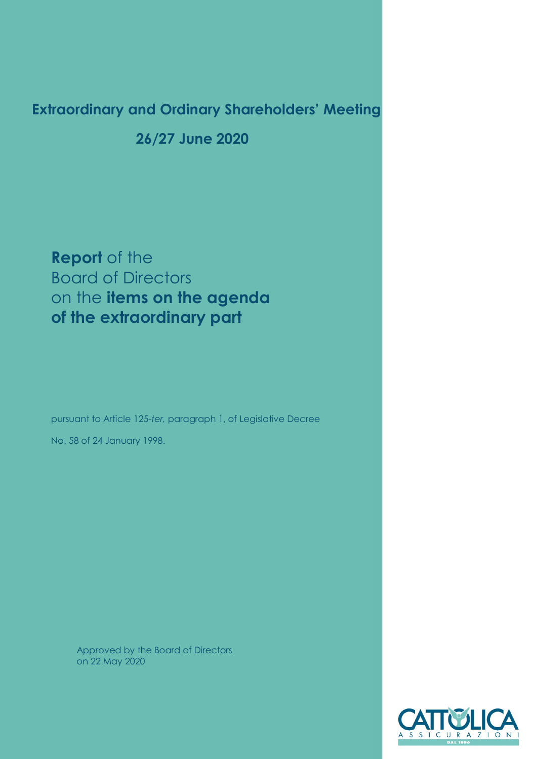# **Extraordinary and Ordinary Shareholders' Meeting**

 **26/27 June 2020**

**Report** of the Board of Directors on the **items on the agenda of the extraordinary part**

pursuant to Article 125-*ter,* paragraph 1, of Legislative Decree No. 58 of 24 January 1998.

Approved by the Board of Directors on 22 May 2020

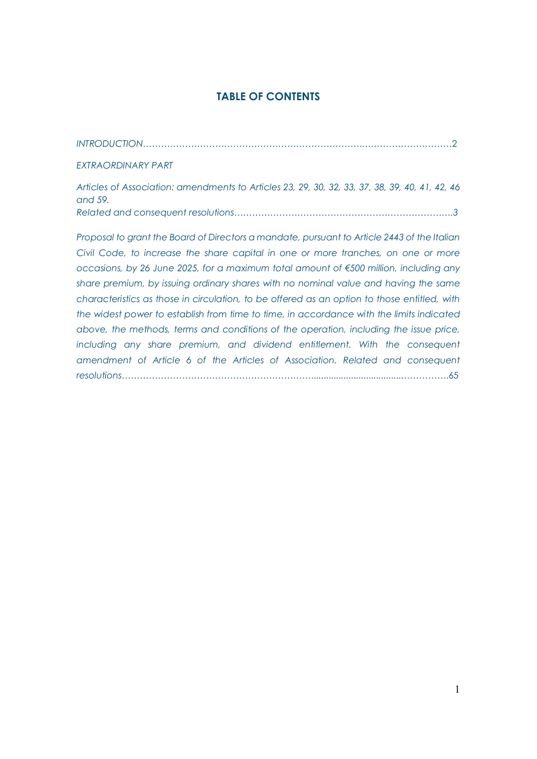# **TABLE OF CONTENTS**

| <b>EXTRAORDINARY PART</b>                                                                                                                                                        |
|----------------------------------------------------------------------------------------------------------------------------------------------------------------------------------|
| Articles of Association: amendments to Articles 23, 29, 30, 32, 33, 37, 38, 39, 40, 41, 42, 46<br>and 59.                                                                        |
|                                                                                                                                                                                  |
| Proposal to grant the Board of Directors a mandate, pursuant to Article 2443 of the Italian<br>Civil Code, to increase the share capital in one or more tranches, on one or more |
| occasions, by 26 June 2025, for a maximum total amount of $\epsilon$ 500 million, including any                                                                                  |
| share premium, by issuing ordinary shares with no nominal value and having the same                                                                                              |
| characteristics as those in circulation, to be offered as an option to those entitled, with                                                                                      |
| the widest power to establish from time to time, in accordance with the limits indicated                                                                                         |

*above, the methods, terms and conditions of the operation, including the issue price,*  including any share premium, and dividend entitlement. With the consequent *amendment of Article 6 of the Articles of Association. Related and consequent resolutions*………………………………………………………....................................…………….65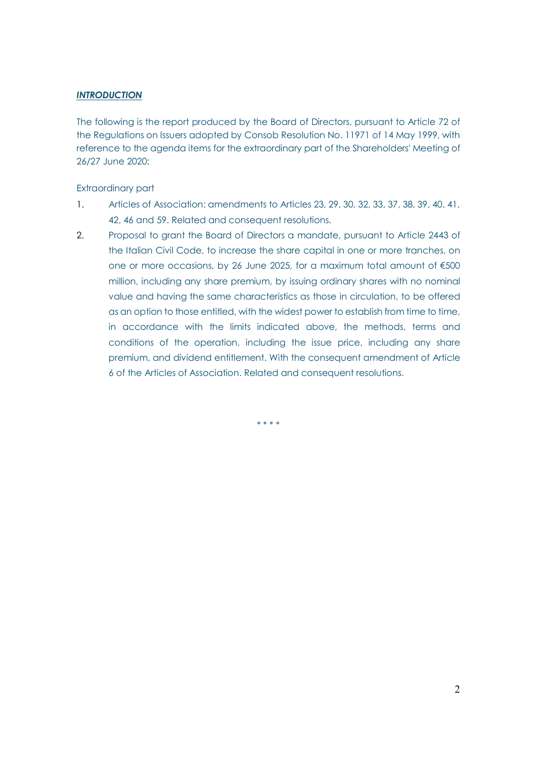## *INTRODUCTION*

The following is the report produced by the Board of Directors, pursuant to Article 72 of the Regulations on Issuers adopted by Consob Resolution No. 11971 of 14 May 1999, with reference to the agenda items for the extraordinary part of the Shareholders' Meeting of 26/27 June 2020:

Extraordinary part

- 1. Articles of Association: amendments to Articles 23, 29, 30, 32, 33, 37, 38, 39, 40, 41, 42, 46 and 59. Related and consequent resolutions.
- 2. Proposal to grant the Board of Directors a mandate, pursuant to Article 2443 of the Italian Civil Code, to increase the share capital in one or more tranches, on one or more occasions, by 26 June 2025, for a maximum total amount of €500 million, including any share premium, by issuing ordinary shares with no nominal value and having the same characteristics as those in circulation, to be offered as an option to those entitled, with the widest power to establish from time to time, in accordance with the limits indicated above, the methods, terms and conditions of the operation, including the issue price, including any share premium, and dividend entitlement. With the consequent amendment of Article 6 of the Articles of Association. Related and consequent resolutions.

\* \* \* \*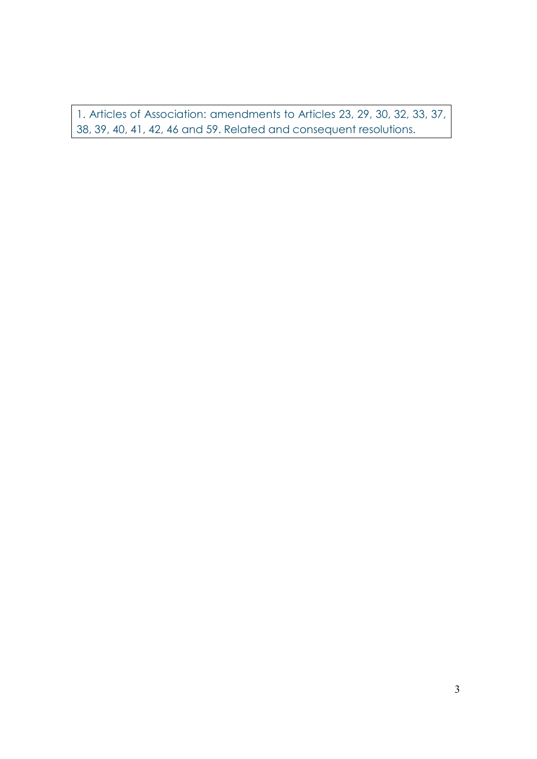1. Articles of Association: amendments to Articles 23, 29, 30, 32, 33, 37, 38, 39, 40, 41, 42, 46 and 59. Related and consequent resolutions.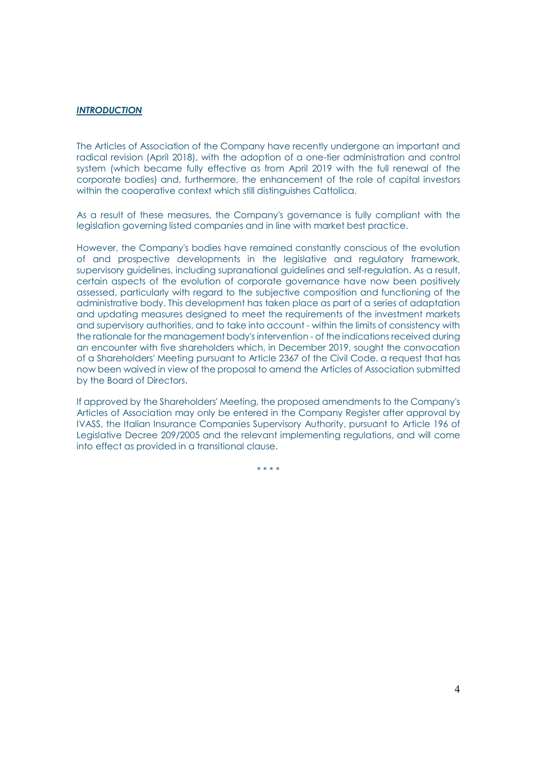#### *INTRODUCTION*

The Articles of Association of the Company have recently undergone an important and radical revision (April 2018), with the adoption of a one-tier administration and control system (which became fully effective as from April 2019 with the full renewal of the corporate bodies) and, furthermore, the enhancement of the role of capital investors within the cooperative context which still distinguishes Cattolica.

As a result of these measures, the Company's governance is fully compliant with the legislation governing listed companies and in line with market best practice.

However, the Company's bodies have remained constantly conscious of the evolution of and prospective developments in the legislative and regulatory framework, supervisory guidelines, including supranational guidelines and self-regulation. As a result, certain aspects of the evolution of corporate governance have now been positively assessed, particularly with regard to the subjective composition and functioning of the administrative body. This development has taken place as part of a series of adaptation and updating measures designed to meet the requirements of the investment markets and supervisory authorities, and to take into account - within the limits of consistency with the rationale for the management body's intervention - of the indications received during an encounter with five shareholders which, in December 2019, sought the convocation of a Shareholders' Meeting pursuant to Article 2367 of the Civil Code, a request that has now been waived in view of the proposal to amend the Articles of Association submitted by the Board of Directors.

If approved by the Shareholders' Meeting, the proposed amendments to the Company's Articles of Association may only be entered in the Company Register after approval by IVASS, the Italian Insurance Companies Supervisory Authority, pursuant to Article 196 of Legislative Decree 209/2005 and the relevant implementing regulations, and will come into effect as provided in a transitional clause.

\* \* \* \*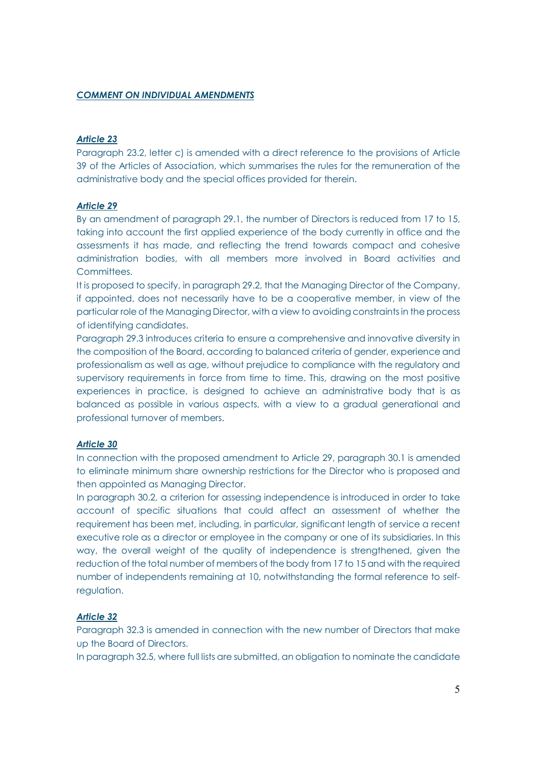## *COMMENT ON INDIVIDUAL AMENDMENTS*

## *Article 23*

Paragraph 23.2, letter c) is amended with a direct reference to the provisions of Article 39 of the Articles of Association, which summarises the rules for the remuneration of the administrative body and the special offices provided for therein.

#### *Article 29*

By an amendment of paragraph 29.1, the number of Directors is reduced from 17 to 15, taking into account the first applied experience of the body currently in office and the assessments it has made, and reflecting the trend towards compact and cohesive administration bodies, with all members more involved in Board activities and **Committees** 

It is proposed to specify, in paragraph 29.2, that the Managing Director of the Company, if appointed, does not necessarily have to be a cooperative member, in view of the particular role of the Managing Director, with a view to avoiding constraints in the process of identifying candidates.

Paragraph 29.3 introduces criteria to ensure a comprehensive and innovative diversity in the composition of the Board, according to balanced criteria of gender, experience and professionalism as well as age, without prejudice to compliance with the regulatory and supervisory requirements in force from time to time. This, drawing on the most positive experiences in practice, is designed to achieve an administrative body that is as balanced as possible in various aspects, with a view to a gradual generational and professional turnover of members.

### *Article 30*

In connection with the proposed amendment to Article 29, paragraph 30.1 is amended to eliminate minimum share ownership restrictions for the Director who is proposed and then appointed as Managing Director.

In paragraph 30.2, a criterion for assessing independence is introduced in order to take account of specific situations that could affect an assessment of whether the requirement has been met, including, in particular, significant length of service a recent executive role as a director or employee in the company or one of its subsidiaries. In this way, the overall weight of the quality of independence is strengthened, given the reduction of the total number of members of the body from 17 to 15 and with the required number of independents remaining at 10, notwithstanding the formal reference to selfregulation.

### *Article 32*

Paragraph 32.3 is amended in connection with the new number of Directors that make up the Board of Directors.

In paragraph 32.5, where full lists are submitted, an obligation to nominate the candidate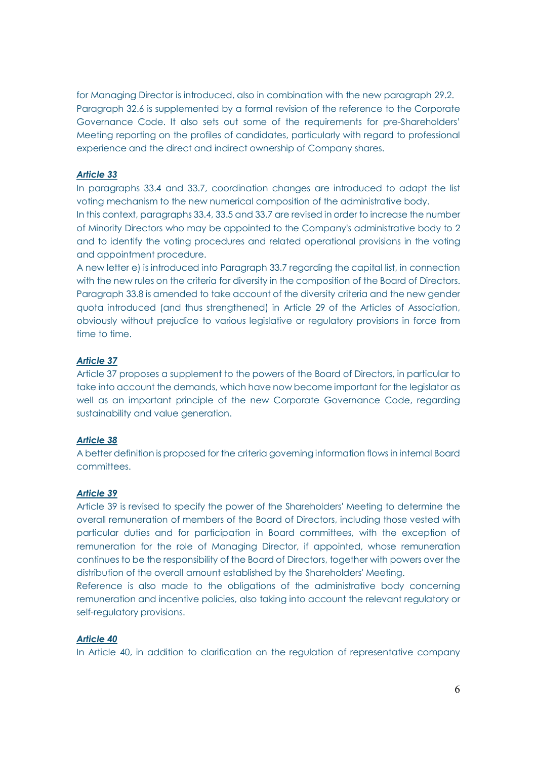for Managing Director is introduced, also in combination with the new paragraph 29.2. Paragraph 32.6 is supplemented by a formal revision of the reference to the Corporate Governance Code. It also sets out some of the requirements for pre-Shareholders' Meeting reporting on the profiles of candidates, particularly with regard to professional experience and the direct and indirect ownership of Company shares.

## *Article 33*

In paragraphs 33.4 and 33.7, coordination changes are introduced to adapt the list voting mechanism to the new numerical composition of the administrative body.

In this context, paragraphs 33.4, 33.5 and 33.7 are revised in order to increase the number of Minority Directors who may be appointed to the Company's administrative body to 2 and to identify the voting procedures and related operational provisions in the voting and appointment procedure.

A new letter e) is introduced into Paragraph 33.7 regarding the capital list, in connection with the new rules on the criteria for diversity in the composition of the Board of Directors. Paragraph 33.8 is amended to take account of the diversity criteria and the new gender quota introduced (and thus strengthened) in Article 29 of the Articles of Association, obviously without prejudice to various legislative or regulatory provisions in force from time to time.

## *Article 37*

Article 37 proposes a supplement to the powers of the Board of Directors, in particular to take into account the demands, which have now become important for the legislator as well as an important principle of the new Corporate Governance Code, regarding sustainability and value generation.

## *Article 38*

A better definition is proposed for the criteria governing information flows in internal Board committees.

### *Article 39*

Article 39 is revised to specify the power of the Shareholders' Meeting to determine the overall remuneration of members of the Board of Directors, including those vested with particular duties and for participation in Board committees, with the exception of remuneration for the role of Managing Director, if appointed, whose remuneration continues to be the responsibility of the Board of Directors, together with powers over the distribution of the overall amount established by the Shareholders' Meeting.

Reference is also made to the obligations of the administrative body concerning remuneration and incentive policies, also taking into account the relevant regulatory or self-regulatory provisions.

#### *Article 40*

In Article 40, in addition to clarification on the regulation of representative company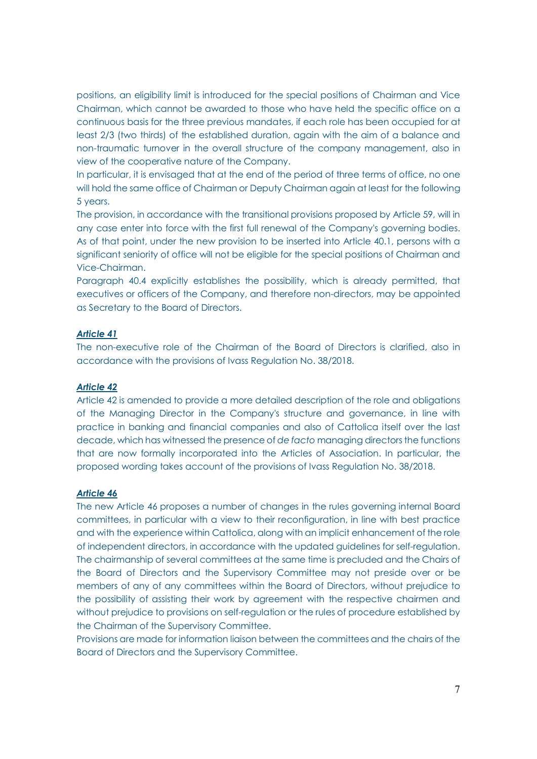positions, an eligibility limit is introduced for the special positions of Chairman and Vice Chairman, which cannot be awarded to those who have held the specific office on a continuous basis for the three previous mandates, if each role has been occupied for at least 2/3 (two thirds) of the established duration, again with the aim of a balance and non-traumatic turnover in the overall structure of the company management, also in view of the cooperative nature of the Company.

In particular, it is envisaged that at the end of the period of three terms of office, no one will hold the same office of Chairman or Deputy Chairman again at least for the following 5 years.

The provision, in accordance with the transitional provisions proposed by Article 59, will in any case enter into force with the first full renewal of the Company's governing bodies. As of that point, under the new provision to be inserted into Article 40.1, persons with a significant seniority of office will not be eligible for the special positions of Chairman and Vice-Chairman.

Paragraph 40.4 explicitly establishes the possibility, which is already permitted, that executives or officers of the Company, and therefore non-directors, may be appointed as Secretary to the Board of Directors.

## *Article 41*

The non-executive role of the Chairman of the Board of Directors is clarified, also in accordance with the provisions of Ivass Regulation No. 38/2018.

#### *Article 42*

Article 42 is amended to provide a more detailed description of the role and obligations of the Managing Director in the Company's structure and governance, in line with practice in banking and financial companies and also of Cattolica itself over the last decade, which has witnessed the presence of *de facto* managing directors the functions that are now formally incorporated into the Articles of Association. In particular, the proposed wording takes account of the provisions of Ivass Regulation No. 38/2018.

## *Article 46*

The new Article 46 proposes a number of changes in the rules governing internal Board committees, in particular with a view to their reconfiguration, in line with best practice and with the experience within Cattolica, along with an implicit enhancement of the role of independent directors, in accordance with the updated guidelines for self-regulation. The chairmanship of several committees at the same time is precluded and the Chairs of the Board of Directors and the Supervisory Committee may not preside over or be members of any of any committees within the Board of Directors, without prejudice to the possibility of assisting their work by agreement with the respective chairmen and without prejudice to provisions on self-regulation or the rules of procedure established by the Chairman of the Supervisory Committee.

Provisions are made for information liaison between the committees and the chairs of the Board of Directors and the Supervisory Committee.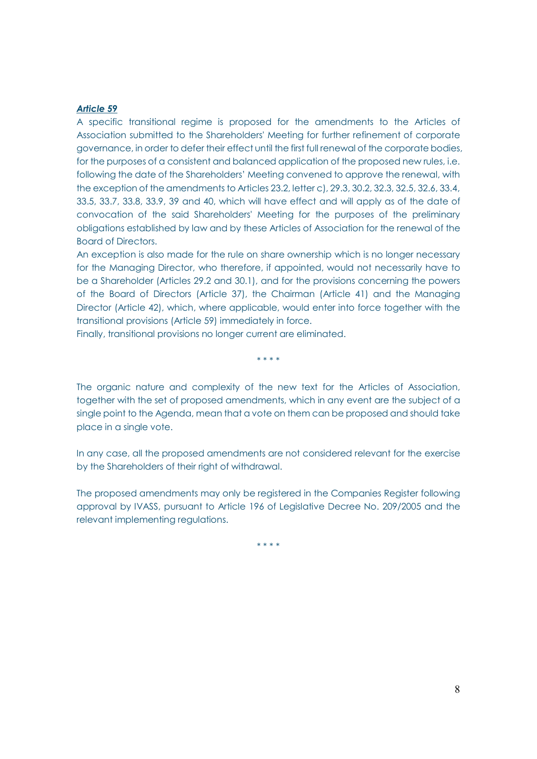#### *Article 59*

A specific transitional regime is proposed for the amendments to the Articles of Association submitted to the Shareholders' Meeting for further refinement of corporate governance, in order to defer their effect until the first full renewal of the corporate bodies, for the purposes of a consistent and balanced application of the proposed new rules, i.e. following the date of the Shareholders' Meeting convened to approve the renewal, with the exception of the amendments to Articles 23.2, letter c), 29.3, 30.2, 32.3, 32.5, 32.6, 33.4, 33.5, 33.7, 33.8, 33.9, 39 and 40, which will have effect and will apply as of the date of convocation of the said Shareholders' Meeting for the purposes of the preliminary obligations established by law and by these Articles of Association for the renewal of the Board of Directors.

An exception is also made for the rule on share ownership which is no longer necessary for the Managing Director, who therefore, if appointed, would not necessarily have to be a Shareholder (Articles 29.2 and 30.1), and for the provisions concerning the powers of the Board of Directors (Article 37), the Chairman (Article 41) and the Managing Director (Article 42), which, where applicable, would enter into force together with the transitional provisions (Article 59) immediately in force.

Finally, transitional provisions no longer current are eliminated.

\* \* \* \*

The organic nature and complexity of the new text for the Articles of Association, together with the set of proposed amendments, which in any event are the subject of a single point to the Agenda, mean that a vote on them can be proposed and should take place in a single vote.

In any case, all the proposed amendments are not considered relevant for the exercise by the Shareholders of their right of withdrawal.

The proposed amendments may only be registered in the Companies Register following approval by IVASS, pursuant to Article 196 of Legislative Decree No. 209/2005 and the relevant implementing regulations.

\* \* \* \*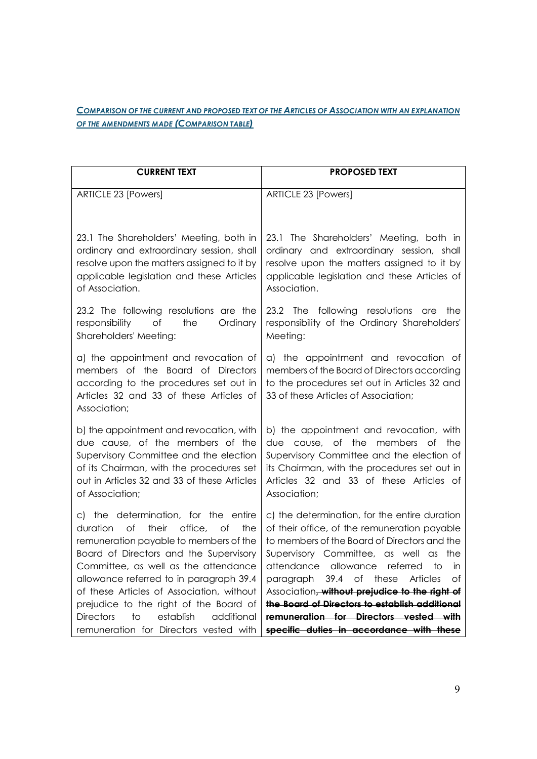## *COMPARISON OF THE CURRENT AND PROPOSED TEXT OF THE ARTICLES OF ASSOCIATION WITH AN EXPLANATION OF THE AMENDMENTS MADE (COMPARISON TABLE)*

| <b>CURRENT TEXT</b>                                                                                                                                                                                                                                                                                                                                   | <b>PROPOSED TEXT</b>                                                                                                                                                                                                                                                                                                                                                                                    |
|-------------------------------------------------------------------------------------------------------------------------------------------------------------------------------------------------------------------------------------------------------------------------------------------------------------------------------------------------------|---------------------------------------------------------------------------------------------------------------------------------------------------------------------------------------------------------------------------------------------------------------------------------------------------------------------------------------------------------------------------------------------------------|
| ARTICLE 23 [Powers]                                                                                                                                                                                                                                                                                                                                   | ARTICLE 23 [Powers]                                                                                                                                                                                                                                                                                                                                                                                     |
| 23.1 The Shareholders' Meeting, both in<br>ordinary and extraordinary session, shall<br>resolve upon the matters assigned to it by<br>applicable legislation and these Articles<br>of Association.                                                                                                                                                    | 23.1 The Shareholders' Meeting, both in<br>ordinary and extraordinary session, shall<br>resolve upon the matters assigned to it by<br>applicable legislation and these Articles of<br>Association.                                                                                                                                                                                                      |
| 23.2 The following resolutions are the<br>the<br>responsibility<br>Οf<br>Ordinary<br>Shareholders' Meeting:                                                                                                                                                                                                                                           | 23.2 The<br>following resolutions<br>are<br>the<br>responsibility of the Ordinary Shareholders'<br>Meeting:                                                                                                                                                                                                                                                                                             |
| a) the appointment and revocation of<br>members of the Board of Directors<br>according to the procedures set out in<br>Articles 32 and 33 of these Articles of<br>Association;                                                                                                                                                                        | a) the appointment and revocation of<br>members of the Board of Directors according<br>to the procedures set out in Articles 32 and<br>33 of these Articles of Association;                                                                                                                                                                                                                             |
| b) the appointment and revocation, with<br>due cause, of the members of the<br>Supervisory Committee and the election<br>of its Chairman, with the procedures set<br>out in Articles 32 and 33 of these Articles<br>of Association;                                                                                                                   | b) the appointment and revocation, with<br>due cause, of the<br>members<br>the<br>Оf<br>Supervisory Committee and the election of<br>its Chairman, with the procedures set out in<br>Articles 32 and 33 of these Articles of<br>Association;                                                                                                                                                            |
| c) the determination, for the entire<br>of<br>their<br>office,<br>duration<br>of<br>the<br>remuneration payable to members of the<br>Board of Directors and the Supervisory<br>Committee, as well as the attendance<br>allowance referred to in paragraph 39.4<br>of these Articles of Association, without<br>prejudice to the right of the Board of | c) the determination, for the entire duration<br>of their office, of the remuneration payable<br>to members of the Board of Directors and the<br>Supervisory Committee, as well as the<br>attendance allowance<br>referred<br>to<br>in<br>39.4<br>of<br>paragraph<br>these<br><b>Articles</b><br>оf<br>Association, without prejudice to the right of<br>the Board of Directors to establish additional |
| establish<br>additional<br><b>Directors</b><br>to<br>remuneration for Directors vested with                                                                                                                                                                                                                                                           | remuneration for Directors vested with<br>specific duties in accordance with these                                                                                                                                                                                                                                                                                                                      |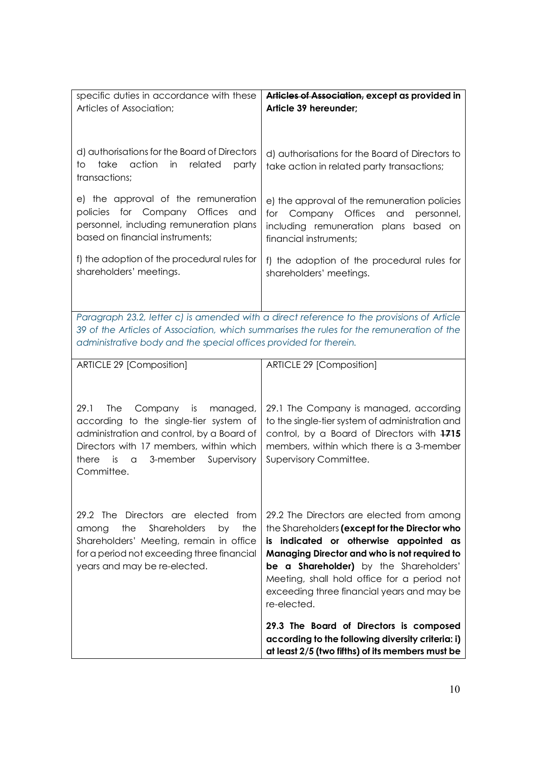| specific duties in accordance with these<br>Articles of Association;                                                                                                                                                                                        | Articles of Association, except as provided in<br>Article 39 hereunder;                                                                                                                                                                                                                                                                           |  |
|-------------------------------------------------------------------------------------------------------------------------------------------------------------------------------------------------------------------------------------------------------------|---------------------------------------------------------------------------------------------------------------------------------------------------------------------------------------------------------------------------------------------------------------------------------------------------------------------------------------------------|--|
| d) authorisations for the Board of Directors<br>action<br>take<br>in<br>related<br>to<br>party<br>transactions;                                                                                                                                             | d) authorisations for the Board of Directors to<br>take action in related party transactions;                                                                                                                                                                                                                                                     |  |
| e) the approval of the remuneration<br>for Company<br><b>Offices</b><br>policies<br>and<br>personnel, including remuneration plans<br>based on financial instruments;                                                                                       | e) the approval of the remuneration policies<br>for<br>Company Offices and personnel,<br>including remuneration plans based on<br>financial instruments;                                                                                                                                                                                          |  |
| f) the adoption of the procedural rules for<br>shareholders' meetings.                                                                                                                                                                                      | f) the adoption of the procedural rules for<br>shareholders' meetings.                                                                                                                                                                                                                                                                            |  |
| Paragraph 23.2, letter c) is amended with a direct reference to the provisions of Article<br>39 of the Articles of Association, which summarises the rules for the remuneration of the<br>administrative body and the special offices provided for therein. |                                                                                                                                                                                                                                                                                                                                                   |  |
| ARTICLE 29 [Composition]                                                                                                                                                                                                                                    | ARTICLE 29 [Composition]                                                                                                                                                                                                                                                                                                                          |  |
| 29.1<br>The<br>Company is<br>managed,<br>according to the single-tier system of<br>administration and control, by a Board of<br>Directors with 17 members, within which<br>is<br>3-member<br>Supervisory<br>there<br>a<br>Committee.                        | 29.1 The Company is managed, according<br>to the single-tier system of administration and<br>control, by a Board of Directors with 1715<br>members, within which there is a 3-member<br>Supervisory Committee.                                                                                                                                    |  |
| 29.2 The<br>Directors are elected<br>from<br>the<br><b>Shareholders</b><br>the<br>by<br>among<br>Shareholders' Meeting, remain in office<br>for a period not exceeding three financial<br>years and may be re-elected.                                      | 29.2 The Directors are elected from among<br>the Shareholders (except for the Director who<br>is indicated or otherwise appointed as<br>Managing Director and who is not required to<br><b>be a Shareholder)</b> by the Shareholders'<br>Meeting, shall hold office for a period not<br>exceeding three financial years and may be<br>re-elected. |  |
|                                                                                                                                                                                                                                                             | 29.3 The Board of Directors is composed<br>according to the following diversity criteria: i)<br>at least 2/5 (two fifths) of its members must be                                                                                                                                                                                                  |  |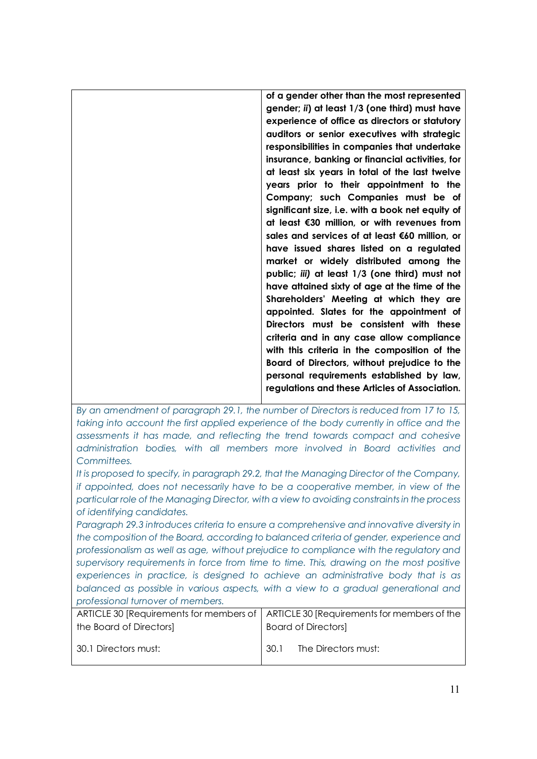**of a gender other than the most represented gender;** *ii***) at least 1/3 (one third) must have experience of office as directors or statutory auditors or senior executives with strategic responsibilities in companies that undertake insurance, banking or financial activities, for at least six years in total of the last twelve years prior to their appointment to the Company; such Companies must be of significant size, i.e. with a book net equity of at least €30 million, or with revenues from sales and services of at least €60 million, or have issued shares listed on a regulated market or widely distributed among the public;** *iii)* **at least 1/3 (one third) must not have attained sixty of age at the time of the Shareholders' Meeting at which they are appointed. Slates for the appointment of Directors must be consistent with these criteria and in any case allow compliance with this criteria in the composition of the Board of Directors, without prejudice to the personal requirements established by law, regulations and these Articles of Association.**

*By an amendment of paragraph 29.1, the number of Directors is reduced from 17 to 15, taking into account the first applied experience of the body currently in office and the assessments it has made, and reflecting the trend towards compact and cohesive administration bodies, with all members more involved in Board activities and Committees.*

*It is proposed to specify, in paragraph 29.2, that the Managing Director of the Company, if appointed, does not necessarily have to be a cooperative member, in view of the particular role of the Managing Director, with a view to avoiding constraints in the process of identifying candidates.*

*Paragraph 29.3 introduces criteria to ensure a comprehensive and innovative diversity in the composition of the Board, according to balanced criteria of gender, experience and professionalism as well as age, without prejudice to compliance with the regulatory and supervisory requirements in force from time to time. This, drawing on the most positive experiences in practice, is designed to achieve an administrative body that is as balanced as possible in various aspects, with a view to a gradual generational and professional turnover of members.*

|                         | ARTICLE 30 [Requirements for members of   ARTICLE 30 [Requirements for members of the |  |
|-------------------------|---------------------------------------------------------------------------------------|--|
| the Board of Directors] | <b>Board of Directors</b>                                                             |  |
| 30.1 Directors must:    | -301<br>The Directors must:                                                           |  |
|                         |                                                                                       |  |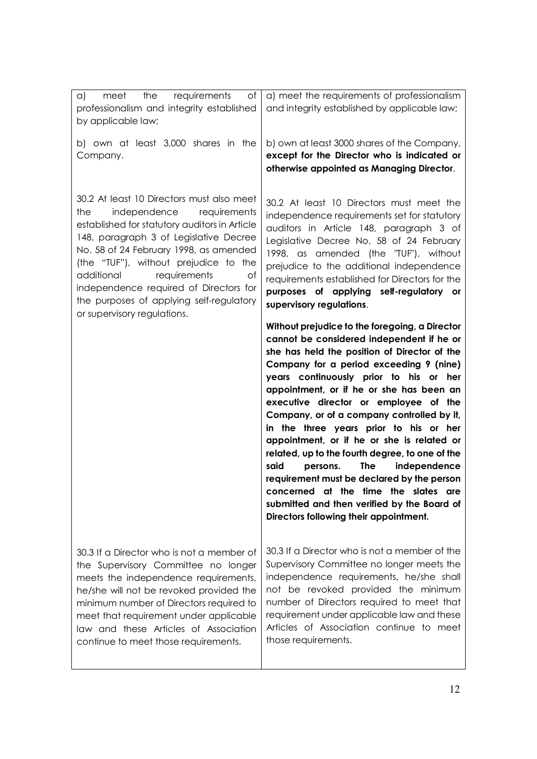| of<br>requirements<br>the<br>meet<br>a)<br>professionalism and integrity established<br>by applicable law;<br>b) own at least 3,000 shares in the<br>Company.                                                                                                                                                                                                                                                           | a) meet the requirements of professionalism<br>and integrity established by applicable law;<br>b) own at least 3000 shares of the Company,<br>except for the Director who is indicated or<br>otherwise appointed as Managing Director.                                                                                                                                                                                                                                                                                                                                                                                                                                                                                                          |
|-------------------------------------------------------------------------------------------------------------------------------------------------------------------------------------------------------------------------------------------------------------------------------------------------------------------------------------------------------------------------------------------------------------------------|-------------------------------------------------------------------------------------------------------------------------------------------------------------------------------------------------------------------------------------------------------------------------------------------------------------------------------------------------------------------------------------------------------------------------------------------------------------------------------------------------------------------------------------------------------------------------------------------------------------------------------------------------------------------------------------------------------------------------------------------------|
| 30.2 At least 10 Directors must also meet<br>independence<br>requirements<br>the<br>established for statutory auditors in Article<br>148, paragraph 3 of Legislative Decree<br>No. 58 of 24 February 1998, as amended<br>(the "TUF"), without prejudice to the<br>additional<br>requirements<br>of<br>independence required of Directors for<br>the purposes of applying self-regulatory<br>or supervisory regulations. | 30.2 At least 10 Directors must meet the<br>independence requirements set for statutory<br>auditors in Article 148, paragraph 3 of<br>Legislative Decree No. 58 of 24 February<br>1998, as amended (the 'TUF'), without<br>prejudice to the additional independence<br>requirements established for Directors for the<br>purposes of applying self-regulatory or<br>supervisory regulations.                                                                                                                                                                                                                                                                                                                                                    |
|                                                                                                                                                                                                                                                                                                                                                                                                                         | Without prejudice to the foregoing, a Director<br>cannot be considered independent if he or<br>she has held the position of Director of the<br>Company for a period exceeding 9 (nine)<br>years continuously prior to his or her<br>appointment, or if he or she has been an<br>executive director or employee of the<br>Company, or of a company controlled by it,<br>in the three years prior to his or her<br>appointment, or if he or she is related or<br>related, up to the fourth degree, to one of the<br>said<br><b>The</b><br>independence<br>persons.<br>requirement must be declared by the person<br>concerned at the time the slates are<br>submitted and then verified by the Board of<br>Directors following their appointment. |
| 30.3 If a Director who is not a member of<br>the Supervisory Committee no longer<br>meets the independence requirements,<br>he/she will not be revoked provided the<br>minimum number of Directors required to<br>meet that requirement under applicable<br>law and these Articles of Association<br>continue to meet those requirements.                                                                               | 30.3 If a Director who is not a member of the<br>Supervisory Committee no longer meets the<br>independence requirements, he/she shall<br>not be revoked provided the minimum<br>number of Directors required to meet that<br>requirement under applicable law and these<br>Articles of Association continue to meet<br>those requirements.                                                                                                                                                                                                                                                                                                                                                                                                      |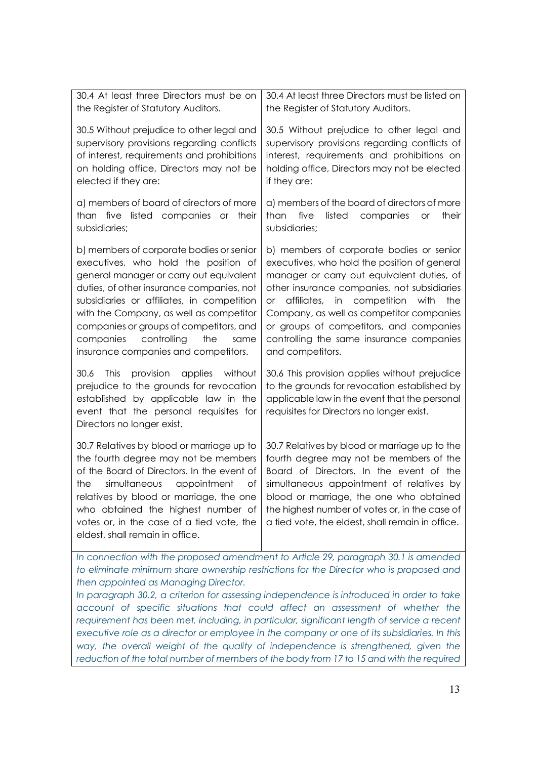| 30.4 At least three Directors must be on<br>the Register of Statutory Auditors.                                                                                                                                                                                                                                                                                                                 | 30.4 At least three Directors must be listed on<br>the Register of Statutory Auditors.                                                                                                                                                                                                                                                                                                         |  |
|-------------------------------------------------------------------------------------------------------------------------------------------------------------------------------------------------------------------------------------------------------------------------------------------------------------------------------------------------------------------------------------------------|------------------------------------------------------------------------------------------------------------------------------------------------------------------------------------------------------------------------------------------------------------------------------------------------------------------------------------------------------------------------------------------------|--|
| 30.5 Without prejudice to other legal and<br>supervisory provisions regarding conflicts<br>of interest, requirements and prohibitions<br>on holding office, Directors may not be<br>elected if they are:                                                                                                                                                                                        | 30.5 Without prejudice to other legal and<br>supervisory provisions regarding conflicts of<br>interest, requirements and prohibitions on<br>holding office, Directors may not be elected<br>if they are:                                                                                                                                                                                       |  |
| a) members of board of directors of more<br>than five listed companies or<br>their<br>subsidiaries;                                                                                                                                                                                                                                                                                             | a) members of the board of directors of more<br>five<br>listed<br>companies<br>their<br>than<br><b>or</b><br>subsidiaries;                                                                                                                                                                                                                                                                     |  |
| b) members of corporate bodies or senior<br>executives, who hold the position of<br>general manager or carry out equivalent<br>duties, of other insurance companies, not<br>subsidiaries or affiliates, in competition<br>with the Company, as well as competitor<br>companies or groups of competitors, and<br>controlling<br>the<br>companies<br>same<br>insurance companies and competitors. | b) members of corporate bodies or senior<br>executives, who hold the position of general<br>manager or carry out equivalent duties, of<br>other insurance companies, not subsidiaries<br>affiliates, in competition with<br>the<br>or _<br>Company, as well as competitor companies<br>or groups of competitors, and companies<br>controlling the same insurance companies<br>and competitors. |  |
| provision<br>applies<br>without<br>30.6<br><b>This</b><br>prejudice to the grounds for revocation<br>established by applicable law in the<br>event that the personal requisites for<br>Directors no longer exist.                                                                                                                                                                               | 30.6 This provision applies without prejudice<br>to the grounds for revocation established by<br>applicable law in the event that the personal<br>requisites for Directors no longer exist.                                                                                                                                                                                                    |  |
| 30.7 Relatives by blood or marriage up to<br>the fourth degree may not be members<br>of the Board of Directors. In the event of<br>simultaneous appointment<br>the<br>Οf<br>relatives by blood or marriage, the one<br>who obtained the highest number of<br>votes or, in the case of a tied vote, the<br>eldest, shall remain in office.                                                       | 30.7 Relatives by blood or marriage up to the<br>fourth degree may not be members of the<br>Board of Directors. In the event of the<br>simultaneous appointment of relatives by<br>blood or marriage, the one who obtained<br>the highest number of votes or, in the case of<br>a tied vote, the eldest, shall remain in office.                                                               |  |
| In connection with the proposed amendment to Article 29, paragraph 30.1 is amended<br>to eliminate minimum share ownership restrictions for the Director who is proposed and<br>then appointed as Managing Director.                                                                                                                                                                            |                                                                                                                                                                                                                                                                                                                                                                                                |  |

*In paragraph 30.2, a criterion for assessing independence is introduced in order to take account of specific situations that could affect an assessment of whether the requirement has been met, including, in particular, significant length of service a recent executive role as a director or employee in the company or one of its subsidiaries. In this*  way, the overall weight of the quality of independence is strengthened, given the *reduction of the total number of members of the body from 17 to 15 and with the required*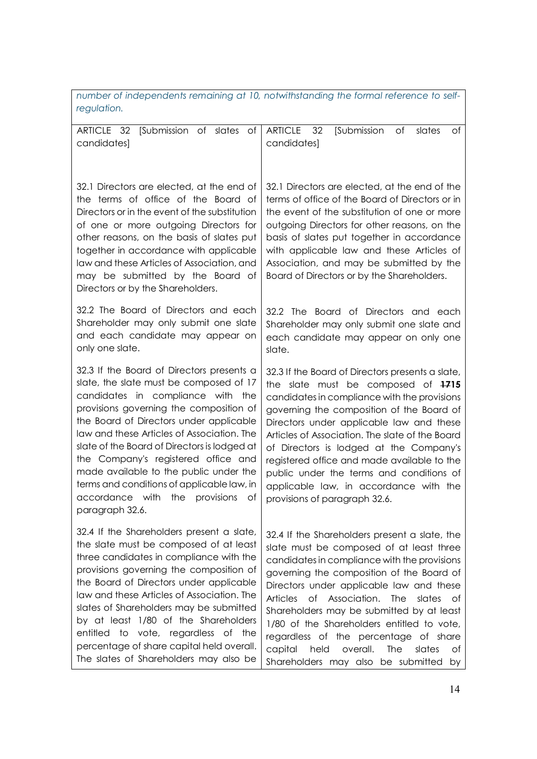| number of independents remaining at 10, notwithstanding the formal reference to self- |  |  |  |
|---------------------------------------------------------------------------------------|--|--|--|
| regulation.                                                                           |  |  |  |

| [Submission of slates of<br>ARTICLE 32<br>candidates]                                                                                                                                                                                                                                                                                                                                                                                                                                                      | <b>ARTICLE</b><br>- 32<br>Submission<br>of<br>Οf<br>slates<br>candidates]                                                                                                                                                                                                                                                                                                                                                                                                                                                             |
|------------------------------------------------------------------------------------------------------------------------------------------------------------------------------------------------------------------------------------------------------------------------------------------------------------------------------------------------------------------------------------------------------------------------------------------------------------------------------------------------------------|---------------------------------------------------------------------------------------------------------------------------------------------------------------------------------------------------------------------------------------------------------------------------------------------------------------------------------------------------------------------------------------------------------------------------------------------------------------------------------------------------------------------------------------|
|                                                                                                                                                                                                                                                                                                                                                                                                                                                                                                            |                                                                                                                                                                                                                                                                                                                                                                                                                                                                                                                                       |
| 32.1 Directors are elected, at the end of<br>the terms of office of the Board of<br>Directors or in the event of the substitution<br>of one or more outgoing Directors for<br>other reasons, on the basis of slates put<br>together in accordance with applicable<br>law and these Articles of Association, and<br>may be submitted by the Board of<br>Directors or by the Shareholders.                                                                                                                   | 32.1 Directors are elected, at the end of the<br>terms of office of the Board of Directors or in<br>the event of the substitution of one or more<br>outgoing Directors for other reasons, on the<br>basis of slates put together in accordance<br>with applicable law and these Articles of<br>Association, and may be submitted by the<br>Board of Directors or by the Shareholders.                                                                                                                                                 |
| 32.2 The Board of Directors and each<br>Shareholder may only submit one slate<br>and each candidate may appear on<br>only one slate.                                                                                                                                                                                                                                                                                                                                                                       | 32.2 The Board of Directors and each<br>Shareholder may only submit one slate and<br>each candidate may appear on only one<br>slate.                                                                                                                                                                                                                                                                                                                                                                                                  |
| 32.3 If the Board of Directors presents a<br>slate, the slate must be composed of 17<br>candidates in compliance with the<br>provisions governing the composition of<br>the Board of Directors under applicable<br>law and these Articles of Association. The<br>slate of the Board of Directors is lodged at<br>the Company's registered office and<br>made available to the public under the<br>terms and conditions of applicable law, in<br>accordance with the<br>provisions<br>Οf<br>paragraph 32.6. | 32.3 If the Board of Directors presents a slate,<br>the slate must be composed of 1715<br>candidates in compliance with the provisions<br>governing the composition of the Board of<br>Directors under applicable law and these<br>Articles of Association. The slate of the Board<br>of Directors is lodged at the Company's<br>registered office and made available to the<br>public under the terms and conditions of<br>applicable law, in accordance with the<br>provisions of paragraph 32.6.                                   |
| 32.4 If the Shareholders present a slate,<br>the slate must be composed of at least<br>three candidates in compliance with the<br>provisions governing the composition of<br>the Board of Directors under applicable<br>law and these Articles of Association. The<br>slates of Shareholders may be submitted<br>by at least 1/80 of the Shareholders<br>entitled to vote, regardless of the<br>percentage of share capital held overall.<br>The slates of Shareholders may also be                        | 32.4 If the Shareholders present a slate, the<br>slate must be composed of at least three<br>candidates in compliance with the provisions<br>governing the composition of the Board of<br>Directors under applicable law and these<br><b>Articles</b><br>of Association.<br>The<br>slates<br>0t<br>Shareholders may be submitted by at least<br>1/80 of the Shareholders entitled to vote,<br>regardless of the percentage of share<br>capital<br>held<br>overall.<br>The<br>slates<br>Οf<br>Shareholders may also be submitted<br>by |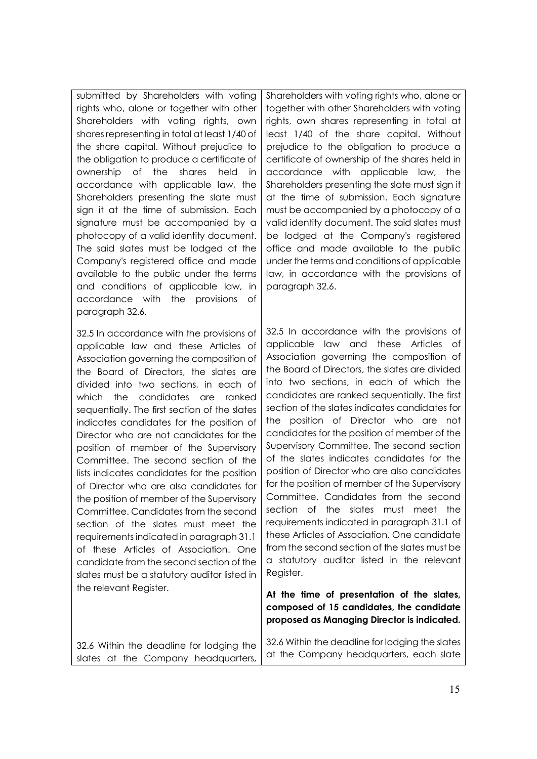submitted by Shareholders with voting rights who, alone or together with other Shareholders with voting rights, own shares representing in total at least 1/40 of the share capital. Without prejudice to the obligation to produce a certificate of ownership of the shares held in accordance with applicable law, the Shareholders presenting the slate must sign it at the time of submission. Each signature must be accompanied by a photocopy of a valid identity document. The said slates must be lodged at the Company's registered office and made available to the public under the terms and conditions of applicable law, in accordance with the provisions of paragraph 32.6.

32.5 In accordance with the provisions of applicable law and these Articles of Association governing the composition of the Board of Directors, the slates are divided into two sections, in each of which the candidates are ranked sequentially. The first section of the slates indicates candidates for the position of Director who are not candidates for the position of member of the Supervisory Committee. The second section of the lists indicates candidates for the position of Director who are also candidates for the position of member of the Supervisory Committee. Candidates from the second section of the slates must meet the requirements indicated in paragraph 31.1 of these Articles of Association. One candidate from the second section of the slates must be a statutory auditor listed in the relevant Register.

32.6 Within the deadline for lodging the slates at the Company headquarters, Shareholders with voting rights who, alone or together with other Shareholders with voting rights, own shares representing in total at least 1/40 of the share capital. Without prejudice to the obligation to produce a certificate of ownership of the shares held in accordance with applicable law, the Shareholders presenting the slate must sign it at the time of submission. Each signature must be accompanied by a photocopy of a valid identity document. The said slates must be lodged at the Company's registered office and made available to the public under the terms and conditions of applicable law, in accordance with the provisions of paragraph 32.6.

32.5 In accordance with the provisions of applicable law and these Articles of Association governing the composition of the Board of Directors, the slates are divided into two sections, in each of which the candidates are ranked sequentially. The first section of the slates indicates candidates for the position of Director who are not candidates for the position of member of the Supervisory Committee. The second section of the slates indicates candidates for the position of Director who are also candidates for the position of member of the Supervisory Committee. Candidates from the second section of the slates must meet the requirements indicated in paragraph 31.1 of these Articles of Association. One candidate from the second section of the slates must be a statutory auditor listed in the relevant Register.

**At the time of presentation of the slates, composed of 15 candidates, the candidate proposed as Managing Director is indicated.**

32.6 Within the deadline for lodging the slates at the Company headquarters, each slate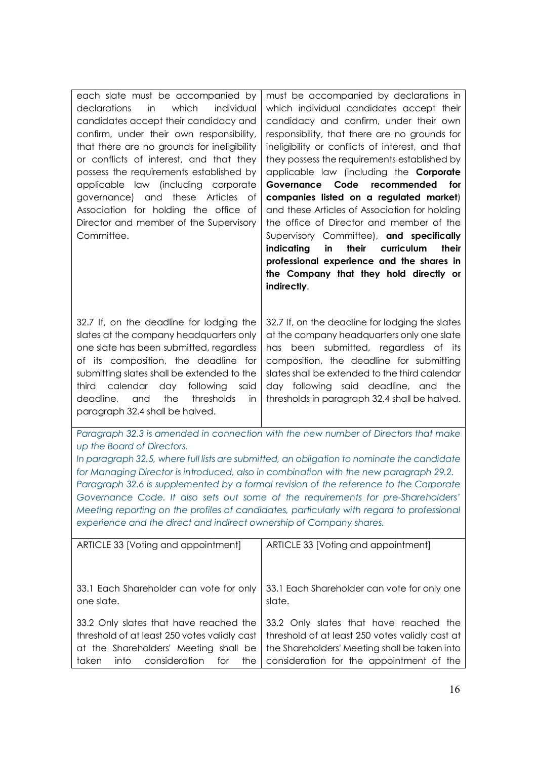| each slate must be accompanied by           | must be accompanied by declarations in           |
|---------------------------------------------|--------------------------------------------------|
| in<br>which<br>individual<br>declarations   | which individual candidates accept their         |
| candidates accept their candidacy and       | candidacy and confirm, under their own           |
| confirm, under their own responsibility,    | responsibility, that there are no grounds for    |
| that there are no grounds for ineligibility | ineligibility or conflicts of interest, and that |
| or conflicts of interest, and that they     | they possess the requirements established by     |
| possess the requirements established by     | applicable law (including the <b>Corporate</b>   |
| applicable law (including corporate         | Governance Code recommended<br>for               |
| governance) and these Articles of           | companies listed on a regulated market)          |
| Association for holding the office of       | and these Articles of Association for holding    |
| Director and member of the Supervisory      | the office of Director and member of the         |
| Committee.                                  | Supervisory Committee), and specifically         |
|                                             | their<br>curriculum<br>their<br>indicating<br>in |
|                                             | professional experience and the shares in        |
|                                             | the Company that they hold directly or           |
|                                             |                                                  |
|                                             | indirectly.                                      |

32.7 If, on the deadline for lodging the slates at the company headquarters only one slate has been submitted, regardless of its composition, the deadline for submitting slates shall be extended to the third calendar day following said deadline, and the thresholds in paragraph 32.4 shall be halved.

32.7 If, on the deadline for lodging the slates at the company headquarters only one slate has been submitted, regardless of its composition, the deadline for submitting slates shall be extended to the third calendar day following said deadline, and the thresholds in paragraph 32.4 shall be halved.

*Paragraph 32.3 is amended in connection with the new number of Directors that make up the Board of Directors.*

In paragraph 32.5, where full lists are submitted, an obligation to nominate the candidate *for Managing Director is introduced, also in combination with the new paragraph 29.2. Paragraph 32.6 is supplemented by a formal revision of the reference to the Corporate Governance Code. It also sets out some of the requirements for pre-Shareholders' Meeting reporting on the profiles of candidates, particularly with regard to professional experience and the direct and indirect ownership of Company shares.*

| ARTICLE 33 [Voting and appointment]                                                                                                                                             | ARTICLE 33 [Voting and appointment]                                                                                                                                                    |
|---------------------------------------------------------------------------------------------------------------------------------------------------------------------------------|----------------------------------------------------------------------------------------------------------------------------------------------------------------------------------------|
|                                                                                                                                                                                 |                                                                                                                                                                                        |
| 33.1 Each Shareholder can vote for only<br>one slate.                                                                                                                           | 33.1 Each Shareholder can vote for only one<br>slate.                                                                                                                                  |
| 33.2 Only slates that have reached the<br>threshold of at least 250 votes validly cast<br>at the Shareholders' Meeting shall be<br>consideration<br>taken<br>into<br>for<br>the | 33.2 Only slates that have reached the<br>threshold of at least 250 votes validly cast at<br>the Shareholders' Meeting shall be taken into<br>consideration for the appointment of the |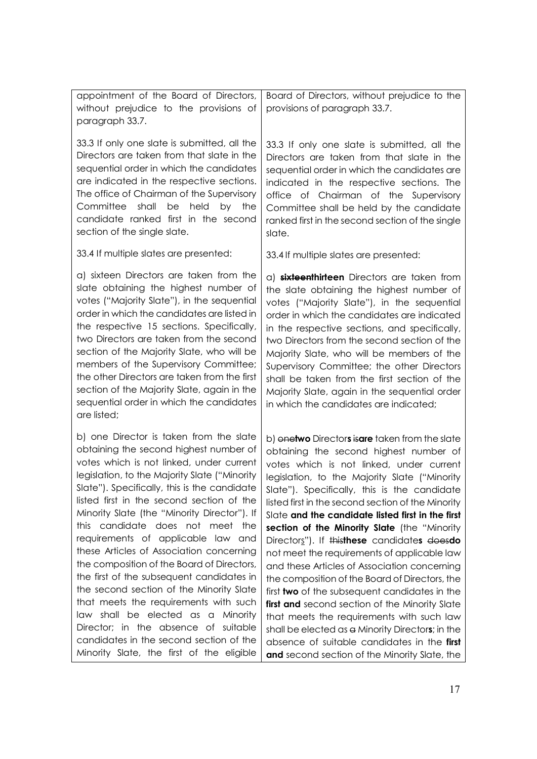| appointment of the Board of Directors,<br>without prejudice to the provisions of<br>paragraph 33.7.                                                                                                                                                                                                                                                                                                                                                                                                                                                                                                                                                                                                                                                                                                     | Board of Directors, without prejudice to the<br>provisions of paragraph 33.7.                                                                                                                                                                                                                                                                                                                                                                                                                                                                                                                                                                                                                                                                                                                                                                                                                        |
|---------------------------------------------------------------------------------------------------------------------------------------------------------------------------------------------------------------------------------------------------------------------------------------------------------------------------------------------------------------------------------------------------------------------------------------------------------------------------------------------------------------------------------------------------------------------------------------------------------------------------------------------------------------------------------------------------------------------------------------------------------------------------------------------------------|------------------------------------------------------------------------------------------------------------------------------------------------------------------------------------------------------------------------------------------------------------------------------------------------------------------------------------------------------------------------------------------------------------------------------------------------------------------------------------------------------------------------------------------------------------------------------------------------------------------------------------------------------------------------------------------------------------------------------------------------------------------------------------------------------------------------------------------------------------------------------------------------------|
| 33.3 If only one slate is submitted, all the<br>Directors are taken from that slate in the<br>sequential order in which the candidates<br>are indicated in the respective sections.<br>The office of Chairman of the Supervisory<br>Committee<br>shall<br>held by<br>be<br>the<br>candidate ranked first in the second<br>section of the single slate.                                                                                                                                                                                                                                                                                                                                                                                                                                                  | 33.3 If only one slate is submitted, all the<br>Directors are taken from that slate in the<br>sequential order in which the candidates are<br>indicated in the respective sections. The<br>office of Chairman of the Supervisory<br>Committee shall be held by the candidate<br>ranked first in the second section of the single<br>slate.                                                                                                                                                                                                                                                                                                                                                                                                                                                                                                                                                           |
| 33.4 If multiple slates are presented:                                                                                                                                                                                                                                                                                                                                                                                                                                                                                                                                                                                                                                                                                                                                                                  | 33.4 If multiple slates are presented:                                                                                                                                                                                                                                                                                                                                                                                                                                                                                                                                                                                                                                                                                                                                                                                                                                                               |
| a) sixteen Directors are taken from the<br>slate obtaining the highest number of<br>votes ("Majority Slate"), in the sequential<br>order in which the candidates are listed in<br>the respective 15 sections. Specifically,<br>two Directors are taken from the second<br>section of the Majority Slate, who will be<br>members of the Supervisory Committee;<br>the other Directors are taken from the first<br>section of the Majority Slate, again in the<br>sequential order in which the candidates<br>are listed;                                                                                                                                                                                                                                                                                 | a) sixteenthirteen Directors are taken from<br>the slate obtaining the highest number of<br>votes ("Majority Slate"), in the sequential<br>order in which the candidates are indicated<br>in the respective sections, and specifically,<br>two Directors from the second section of the<br>Majority Slate, who will be members of the<br>Supervisory Committee; the other Directors<br>shall be taken from the first section of the<br>Majority Slate, again in the sequential order<br>in which the candidates are indicated;                                                                                                                                                                                                                                                                                                                                                                       |
| b) one Director is taken from the slate<br>obtaining the second highest number of<br>votes which is not linked, under current<br>legislation, to the Majority Slate ("Minority<br>Slate"). Specifically, this is the candidate<br>listed first in the second section of the<br>Minority Slate (the "Minority Director"). If<br>this candidate does not meet the<br>requirements of applicable law and<br>these Articles of Association concerning<br>the composition of the Board of Directors,<br>the first of the subsequent candidates in<br>the second section of the Minority Slate<br>that meets the requirements with such<br>law shall be elected as a Minority<br>Director; in the absence of suitable<br>candidates in the second section of the<br>Minority Slate, the first of the eligible | b) onetwo Directors isare taken from the slate<br>obtaining the second highest number of<br>votes which is not linked, under current<br>legislation, to the Majority Slate ("Minority<br>Slate"). Specifically, this is the candidate<br>listed first in the second section of the Minority<br>Slate and the candidate listed first in the first<br>section of the Minority Slate (the "Minority<br>Directors"). If thisthese candidates doesdo<br>not meet the requirements of applicable law<br>and these Articles of Association concerning<br>the composition of the Board of Directors, the<br>first two of the subsequent candidates in the<br>first and second section of the Minority Slate<br>that meets the requirements with such law<br>shall be elected as a Minority Directors; in the<br>absence of suitable candidates in the first<br>and second section of the Minority Slate, the |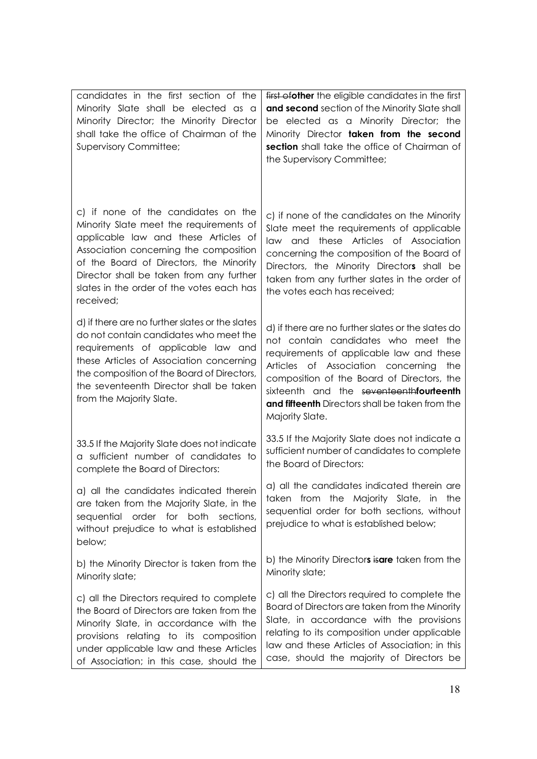| candidates in the first section of the<br>Minority Slate shall be elected as a<br>Minority Director; the Minority Director<br>shall take the office of Chairman of the<br><b>Supervisory Committee;</b>                                                                                                           | first of other the eligible candidates in the first<br>and second section of the Minority Slate shall<br>be elected as a Minority Director; the<br>Minority Director taken from the second<br>section shall take the office of Chairman of<br>the Supervisory Committee;                                                                          |
|-------------------------------------------------------------------------------------------------------------------------------------------------------------------------------------------------------------------------------------------------------------------------------------------------------------------|---------------------------------------------------------------------------------------------------------------------------------------------------------------------------------------------------------------------------------------------------------------------------------------------------------------------------------------------------|
| c) if none of the candidates on the<br>Minority Slate meet the requirements of<br>applicable law and these Articles of<br>Association concerning the composition<br>of the Board of Directors, the Minority<br>Director shall be taken from any further<br>slates in the order of the votes each has<br>received; | c) if none of the candidates on the Minority<br>Slate meet the requirements of applicable<br>law and these Articles of Association<br>concerning the composition of the Board of<br>Directors, the Minority Directors shall be<br>taken from any further slates in the order of<br>the votes each has received;                                   |
| d) if there are no further slates or the slates<br>do not contain candidates who meet the<br>requirements of applicable law and<br>these Articles of Association concerning<br>the composition of the Board of Directors,<br>the seventeenth Director shall be taken<br>from the Majority Slate.                  | d) if there are no further slates or the slates do<br>not contain candidates who meet the<br>requirements of applicable law and these<br>Articles of Association concerning<br>the<br>composition of the Board of Directors, the<br>sixteenth and the seventeenthfourteenth<br>and fifteenth Directors shall be taken from the<br>Majority Slate. |
| 33.5 If the Majority Slate does not indicate<br>a sufficient number of candidates to<br>complete the Board of Directors:                                                                                                                                                                                          | 33.5 If the Majority Slate does not indicate a<br>sufficient number of candidates to complete<br>the Board of Directors:                                                                                                                                                                                                                          |
| a) all the candidates indicated therein<br>are taken from the Majority Slate, in the<br>sequential order for both<br>sections,<br>without prejudice to what is established<br>below;                                                                                                                              | a) all the candidates indicated therein are<br>taken from the Majority Slate, in the<br>sequential order for both sections, without<br>prejudice to what is established below;                                                                                                                                                                    |
| b) the Minority Director is taken from the<br>Minority slate;                                                                                                                                                                                                                                                     | b) the Minority Directors isare taken from the<br>Minority slate;                                                                                                                                                                                                                                                                                 |
| c) all the Directors required to complete<br>the Board of Directors are taken from the<br>Minority Slate, in accordance with the<br>provisions relating to its composition<br>under applicable law and these Articles<br>of Association; in this case, should the                                                 | c) all the Directors required to complete the<br>Board of Directors are taken from the Minority<br>Slate, in accordance with the provisions<br>relating to its composition under applicable<br>law and these Articles of Association; in this<br>case, should the majority of Directors be                                                        |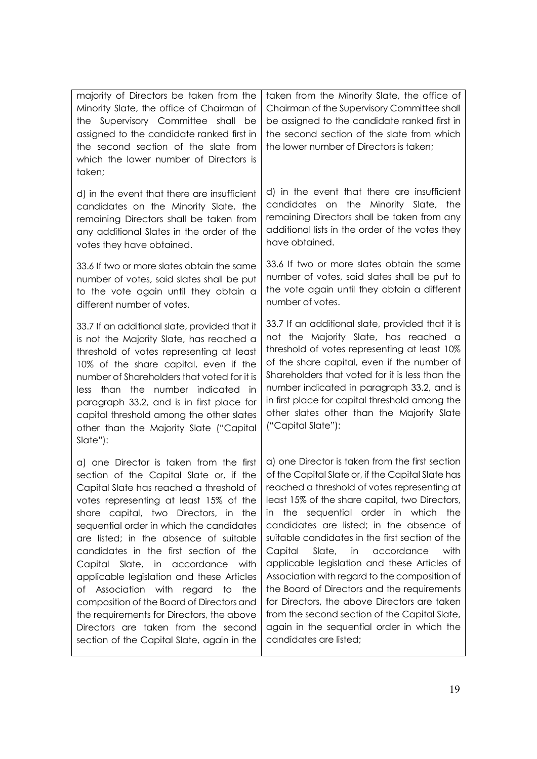| majority of Directors be taken from the<br>Minority Slate, the office of Chairman of<br>the Supervisory Committee shall be<br>assigned to the candidate ranked first in<br>the second section of the slate from<br>which the lower number of Directors is<br>taken;                                                                                                                                                                                                                                                                                                                                                                                                   | taken from the Minority Slate, the office of<br>Chairman of the Supervisory Committee shall<br>be assigned to the candidate ranked first in<br>the second section of the slate from which<br>the lower number of Directors is taken;                                                                                                                                                                                                                                                                                                                                                                                                                                                                                    |
|-----------------------------------------------------------------------------------------------------------------------------------------------------------------------------------------------------------------------------------------------------------------------------------------------------------------------------------------------------------------------------------------------------------------------------------------------------------------------------------------------------------------------------------------------------------------------------------------------------------------------------------------------------------------------|-------------------------------------------------------------------------------------------------------------------------------------------------------------------------------------------------------------------------------------------------------------------------------------------------------------------------------------------------------------------------------------------------------------------------------------------------------------------------------------------------------------------------------------------------------------------------------------------------------------------------------------------------------------------------------------------------------------------------|
| d) in the event that there are insufficient<br>candidates on the Minority Slate, the<br>remaining Directors shall be taken from<br>any additional Slates in the order of the<br>votes they have obtained.                                                                                                                                                                                                                                                                                                                                                                                                                                                             | d) in the event that there are insufficient<br>candidates on the Minority Slate, the<br>remaining Directors shall be taken from any<br>additional lists in the order of the votes they<br>have obtained.                                                                                                                                                                                                                                                                                                                                                                                                                                                                                                                |
| 33.6 If two or more slates obtain the same<br>number of votes, said slates shall be put<br>to the vote again until they obtain a<br>different number of votes.                                                                                                                                                                                                                                                                                                                                                                                                                                                                                                        | 33.6 If two or more slates obtain the same<br>number of votes, said slates shall be put to<br>the vote again until they obtain a different<br>number of votes.                                                                                                                                                                                                                                                                                                                                                                                                                                                                                                                                                          |
| 33.7 If an additional slate, provided that it<br>is not the Majority Slate, has reached a<br>threshold of votes representing at least<br>10% of the share capital, even if the<br>number of Shareholders that voted for it is<br>less than<br>the number indicated in<br>paragraph 33.2, and is in first place for<br>capital threshold among the other slates<br>other than the Majority Slate ("Capital<br>Slate"):                                                                                                                                                                                                                                                 | 33.7 If an additional slate, provided that it is<br>not the Majority Slate, has reached a<br>threshold of votes representing at least 10%<br>of the share capital, even if the number of<br>Shareholders that voted for it is less than the<br>number indicated in paragraph 33.2, and is<br>in first place for capital threshold among the<br>other slates other than the Majority Slate<br>("Capital Slate"):                                                                                                                                                                                                                                                                                                         |
| a) one Director is taken from the first<br>section of the Capital Slate or, if the<br>Capital Slate has reached a threshold of<br>votes representing at least 15% of the<br>share capital, two Directors, in the<br>sequential order in which the candidates<br>are listed; in the absence of suitable<br>candidates in the first section of the<br>Slate, in accordance with<br>Capital<br>applicable legislation and these Articles<br>Association with<br>Оf<br>regard<br>to<br>the<br>composition of the Board of Directors and<br>the requirements for Directors, the above<br>Directors are taken from the second<br>section of the Capital Slate, again in the | a) one Director is taken from the first section<br>of the Capital Slate or, if the Capital Slate has<br>reached a threshold of votes representing at<br>least 15% of the share capital, two Directors,<br>the sequential order in which the<br>ın<br>candidates are listed; in the absence of<br>suitable candidates in the first section of the<br>Slate, in<br>accordance<br>Capital<br>with<br>applicable legislation and these Articles of<br>Association with regard to the composition of<br>the Board of Directors and the requirements<br>for Directors, the above Directors are taken<br>from the second section of the Capital Slate,<br>again in the sequential order in which the<br>candidates are listed; |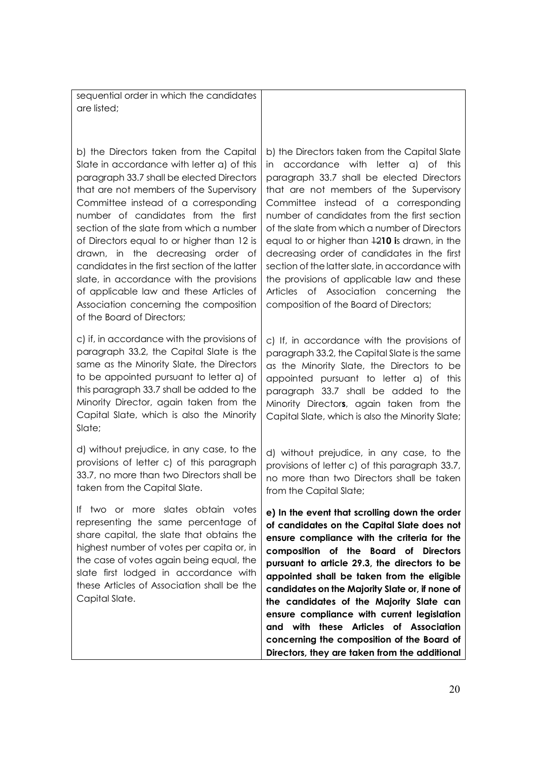sequential order in which the candidates are listed;

b) the Directors taken from the Capital Slate in accordance with letter a) of this paragraph 33.7 shall be elected Directors that are not members of the Supervisory Committee instead of a corresponding number of candidates from the first section of the slate from which a number of Directors equal to or higher than 12 is drawn, in the decreasing order of candidates in the first section of the latter slate, in accordance with the provisions of applicable law and these Articles of Association concerning the composition of the Board of Directors;

c) if, in accordance with the provisions of paragraph 33.2, the Capital Slate is the same as the Minority Slate, the Directors to be appointed pursuant to letter a) of this paragraph 33.7 shall be added to the Minority Director, again taken from the Capital Slate, which is also the Minority Slate:

d) without prejudice, in any case, to the provisions of letter c) of this paragraph 33.7, no more than two Directors shall be taken from the Capital Slate.

If two or more slates obtain votes representing the same percentage of share capital, the slate that obtains the highest number of votes per capita or, in the case of votes again being equal, the slate first lodged in accordance with these Articles of Association shall be the Capital Slate.

b) the Directors taken from the Capital Slate in accordance with letter a) of this paragraph 33.7 shall be elected Directors that are not members of the Supervisory Committee instead of a corresponding number of candidates from the first section of the slate from which a number of Directors equal to or higher than 12**10 i**s drawn, in the decreasing order of candidates in the first section of the latter slate, in accordance with the provisions of applicable law and these Articles of Association concerning the composition of the Board of Directors;

c) If, in accordance with the provisions of paragraph 33.2, the Capital Slate is the same as the Minority Slate, the Directors to be appointed pursuant to letter a) of this paragraph 33.7 shall be added to the Minority Director**s**, again taken from the Capital Slate, which is also the Minority Slate;

d) without prejudice, in any case, to the provisions of letter c) of this paragraph 33.7, no more than two Directors shall be taken from the Capital Slate;

**e) In the event that scrolling down the order of candidates on the Capital Slate does not ensure compliance with the criteria for the composition of the Board of Directors pursuant to article 29.3, the directors to be appointed shall be taken from the eligible candidates on the Majority Slate or, if none of the candidates of the Majority Slate can ensure compliance with current legislation and with these Articles of Association concerning the composition of the Board of Directors, they are taken from the additional**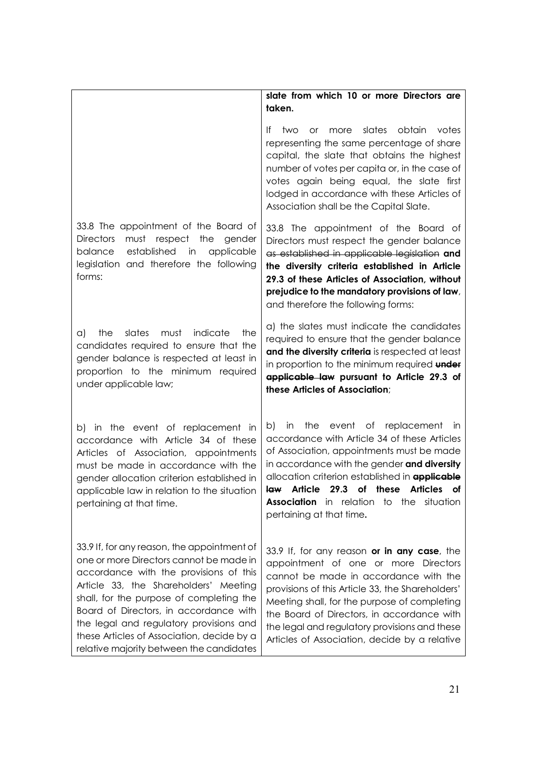|                                                                                                                                                                                                                                                                                                                                                                                                      | slate from which 10 or more Directors are<br>taken.                                                                                                                                                                                                                                                                                                                              |
|------------------------------------------------------------------------------------------------------------------------------------------------------------------------------------------------------------------------------------------------------------------------------------------------------------------------------------------------------------------------------------------------------|----------------------------------------------------------------------------------------------------------------------------------------------------------------------------------------------------------------------------------------------------------------------------------------------------------------------------------------------------------------------------------|
|                                                                                                                                                                                                                                                                                                                                                                                                      | slates obtain<br>two<br>more<br>votes<br>It.<br>or<br>representing the same percentage of share<br>capital, the slate that obtains the highest<br>number of votes per capita or, in the case of<br>votes again being equal, the slate first<br>lodged in accordance with these Articles of<br>Association shall be the Capital Slate.                                            |
| 33.8 The appointment of the Board of<br>must respect the<br><b>Directors</b><br>gender<br>established<br>balance<br>applicable<br>in<br>legislation and therefore the following<br>forms:                                                                                                                                                                                                            | 33.8 The appointment of the Board of<br>Directors must respect the gender balance<br>as established in applicable legislation and<br>the diversity criteria established in Article<br>29.3 of these Articles of Association, without<br>prejudice to the mandatory provisions of law,<br>and therefore the following forms:                                                      |
| indicate<br>slates<br>must<br>the<br>the<br>a)<br>candidates required to ensure that the<br>gender balance is respected at least in<br>proportion to the minimum required<br>under applicable law;                                                                                                                                                                                                   | a) the slates must indicate the candidates<br>required to ensure that the gender balance<br>and the diversity criteria is respected at least<br>in proportion to the minimum required under<br>applicable law pursuant to Article 29.3 of<br>these Articles of Association;                                                                                                      |
| b) in the event of replacement in<br>accordance with Article 34 of these<br>Articles of Association, appointments<br>must be made in accordance with the<br>gender allocation criterion established in<br>applicable law in relation to the situation<br>pertaining at that time.                                                                                                                    | in the event of replacement in<br>b)<br>accordance with Article 34 of these Articles<br>of Association, appointments must be made<br>in accordance with the gender and diversity<br>allocation criterion established in <b>applicable</b><br>law Article 29.3 of these Articles of<br><b>Association</b> in relation to the situation<br>pertaining at that time.                |
| 33.9 If, for any reason, the appointment of<br>one or more Directors cannot be made in<br>accordance with the provisions of this<br>Article 33, the Shareholders' Meeting<br>shall, for the purpose of completing the<br>Board of Directors, in accordance with<br>the legal and regulatory provisions and<br>these Articles of Association, decide by a<br>relative majority between the candidates | 33.9 If, for any reason or in any case, the<br>appointment of one or more Directors<br>cannot be made in accordance with the<br>provisions of this Article 33, the Shareholders'<br>Meeting shall, for the purpose of completing<br>the Board of Directors, in accordance with<br>the legal and regulatory provisions and these<br>Articles of Association, decide by a relative |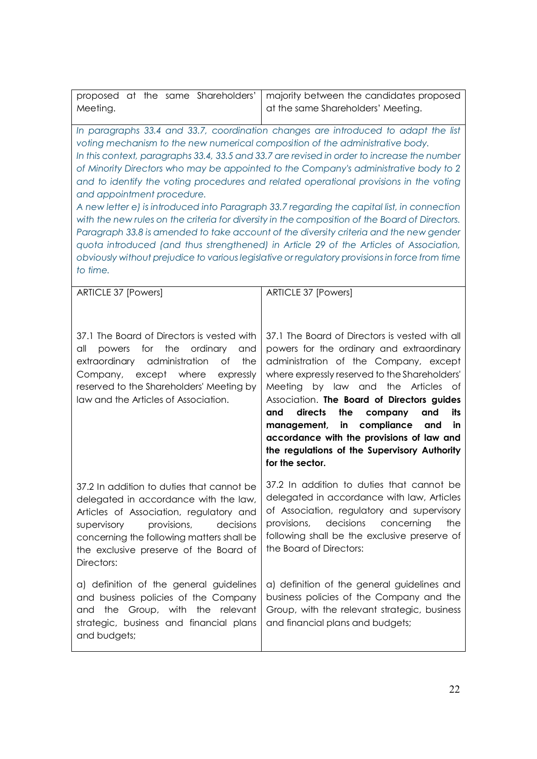| proposed at the same Shareholders'<br>Meeting.                                                                                                                                                                                                                                | majority between the candidates proposed<br>at the same Shareholders' Meeting.                                                                                                                                                                                                                                                                                                                                                                                                                                                                                                                                                                                                                                                                                                                                                                             |
|-------------------------------------------------------------------------------------------------------------------------------------------------------------------------------------------------------------------------------------------------------------------------------|------------------------------------------------------------------------------------------------------------------------------------------------------------------------------------------------------------------------------------------------------------------------------------------------------------------------------------------------------------------------------------------------------------------------------------------------------------------------------------------------------------------------------------------------------------------------------------------------------------------------------------------------------------------------------------------------------------------------------------------------------------------------------------------------------------------------------------------------------------|
| voting mechanism to the new numerical composition of the administrative body.<br>and appointment procedure.<br>to time.                                                                                                                                                       | In paragraphs 33.4 and 33.7, coordination changes are introduced to adapt the list<br>In this context, paragraphs 33.4, 33.5 and 33.7 are revised in order to increase the number<br>of Minority Directors who may be appointed to the Company's administrative body to 2<br>and to identify the voting procedures and related operational provisions in the voting<br>A new letter e) is introduced into Paragraph 33.7 regarding the capital list, in connection<br>with the new rules on the criteria for diversity in the composition of the Board of Directors.<br>Paragraph 33.8 is amended to take account of the diversity criteria and the new gender<br>quota introduced (and thus strengthened) in Article 29 of the Articles of Association,<br>obviously without prejudice to various legislative or regulatory provisions in force from time |
| ARTICLE 37 [Powers]                                                                                                                                                                                                                                                           | <b>ARTICLE 37 [Powers]</b>                                                                                                                                                                                                                                                                                                                                                                                                                                                                                                                                                                                                                                                                                                                                                                                                                                 |
| 37.1 The Board of Directors is vested with<br>the<br>ordinary<br>all<br>for<br>powers<br>and<br>extraordinary administration<br>the<br>Οf<br>except where<br>Company,<br>expressly<br>reserved to the Shareholders' Meeting by<br>law and the Articles of Association.        | 37.1 The Board of Directors is vested with all<br>powers for the ordinary and extraordinary<br>administration of the Company, except<br>where expressly reserved to the Shareholders'<br>Meeting by law and the Articles of<br>Association. The Board of Directors guides<br>directs<br>the<br>company<br>and<br>and<br>its<br>management, in compliance<br>and<br><b>in</b><br>accordance with the provisions of law and<br>the regulations of the Supervisory Authority<br>for the sector.                                                                                                                                                                                                                                                                                                                                                               |
| 37.2 In addition to duties that cannot be<br>delegated in accordance with the law,<br>Articles of Association, regulatory and<br>provisions,<br>decisions<br>supervisory<br>concerning the following matters shall be<br>the exclusive preserve of the Board of<br>Directors: | 37.2 In addition to duties that cannot be<br>delegated in accordance with law, Articles<br>of Association, regulatory and supervisory<br>provisions,<br>decisions<br>concerning<br>the<br>following shall be the exclusive preserve of<br>the Board of Directors:                                                                                                                                                                                                                                                                                                                                                                                                                                                                                                                                                                                          |
| a) definition of the general guidelines<br>and business policies of the Company<br>and the Group, with the relevant<br>strategic, business and financial plans<br>and budgets;                                                                                                | a) definition of the general guidelines and<br>business policies of the Company and the<br>Group, with the relevant strategic, business<br>and financial plans and budgets;                                                                                                                                                                                                                                                                                                                                                                                                                                                                                                                                                                                                                                                                                |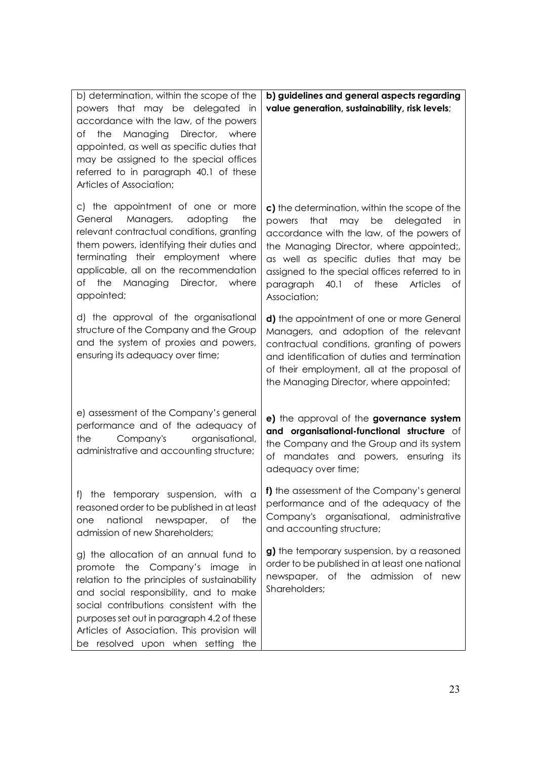| b) determination, within the scope of the<br>powers that may be delegated in<br>accordance with the law, of the powers<br>the Managing Director, where<br>of<br>appointed, as well as specific duties that<br>may be assigned to the special offices<br>referred to in paragraph 40.1 of these<br>Articles of Association;                                     | b) guidelines and general aspects regarding<br>value generation, sustainability, risk levels;                                                                                                                                                                                                                                                      |
|----------------------------------------------------------------------------------------------------------------------------------------------------------------------------------------------------------------------------------------------------------------------------------------------------------------------------------------------------------------|----------------------------------------------------------------------------------------------------------------------------------------------------------------------------------------------------------------------------------------------------------------------------------------------------------------------------------------------------|
| c) the appointment of one or more<br>Managers,<br>General<br>adopting<br>the<br>relevant contractual conditions, granting<br>them powers, identifying their duties and<br>terminating their employment where<br>applicable, all on the recommendation<br>Director,<br>the Managing<br>where<br>Оf<br>appointed;                                                | c) the determination, within the scope of the<br>that may be delegated<br>powers<br>in<br>accordance with the law, of the powers of<br>the Managing Director, where appointed;,<br>as well as specific duties that may be<br>assigned to the special offices referred to in<br>paragraph 40.1 of<br>these<br><b>Articles</b><br>Оf<br>Association; |
| d) the approval of the organisational<br>structure of the Company and the Group<br>and the system of proxies and powers,<br>ensuring its adequacy over time;                                                                                                                                                                                                   | d) the appointment of one or more General<br>Managers, and adoption of the relevant<br>contractual conditions, granting of powers<br>and identification of duties and termination<br>of their employment, all at the proposal of<br>the Managing Director, where appointed;                                                                        |
| e) assessment of the Company's general<br>performance and of the adequacy of<br>organisational,<br>Company's<br>the<br>administrative and accounting structure;                                                                                                                                                                                                | e) the approval of the governance system<br>and organisational-functional structure of<br>the Company and the Group and its system<br>mandates and powers, ensuring<br>оf<br>its<br>adequacy over time;                                                                                                                                            |
| the temporary suspension, with a<br>$\ddagger$<br>reasoned order to be published in at least<br>national<br>newspaper,<br>оf<br>the<br>one<br>admission of new Shareholders;                                                                                                                                                                                   | f) the assessment of the Company's general<br>performance and of the adequacy of the<br>Company's organisational, administrative<br>and accounting structure;                                                                                                                                                                                      |
| g) the allocation of an annual fund to<br>promote the Company's image<br><i>in</i><br>relation to the principles of sustainability<br>and social responsibility, and to make<br>social contributions consistent with the<br>purposes set out in paragraph 4.2 of these<br>Articles of Association. This provision will<br>be resolved upon when setting<br>the | g) the temporary suspension, by a reasoned<br>order to be published in at least one national<br>newspaper, of the admission of new<br>Shareholders;                                                                                                                                                                                                |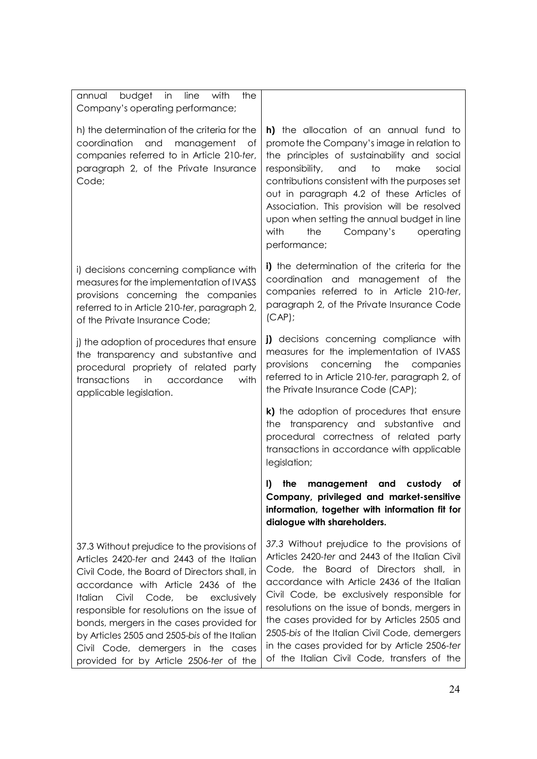| annual budget in<br>line with<br>the<br>Company's operating performance;                                                                                                                                                                                                                                                                                                                                                                                      |                                                                                                                                                                                                                                                                                                                                                                                                                                                                                        |
|---------------------------------------------------------------------------------------------------------------------------------------------------------------------------------------------------------------------------------------------------------------------------------------------------------------------------------------------------------------------------------------------------------------------------------------------------------------|----------------------------------------------------------------------------------------------------------------------------------------------------------------------------------------------------------------------------------------------------------------------------------------------------------------------------------------------------------------------------------------------------------------------------------------------------------------------------------------|
| h) the determination of the criteria for the<br>coordination<br>and<br>management<br>of<br>companies referred to in Article 210-ter,<br>paragraph 2, of the Private Insurance<br>Code;                                                                                                                                                                                                                                                                        | <b>h)</b> the allocation of an annual fund to<br>promote the Company's image in relation to<br>the principles of sustainability and social<br>to<br>responsibility,<br>and<br>make<br>social<br>contributions consistent with the purposes set<br>out in paragraph 4.2 of these Articles of<br>Association. This provision will be resolved<br>upon when setting the annual budget in line<br>with<br>the<br>Company's<br>operating<br>performance;                                    |
| i) decisions concerning compliance with<br>measures for the implementation of IVASS<br>provisions concerning the companies<br>referred to in Article 210-ter, paragraph 2,<br>of the Private Insurance Code;                                                                                                                                                                                                                                                  | i) the determination of the criteria for the<br>coordination and management of the<br>companies referred to in Article 210-ter,<br>paragraph 2, of the Private Insurance Code<br>$(CAP)$ ;                                                                                                                                                                                                                                                                                             |
| j) the adoption of procedures that ensure<br>the transparency and substantive and<br>procedural propriety of related party<br>transactions<br>accordance<br>with<br>in<br>applicable legislation.                                                                                                                                                                                                                                                             | <b>j)</b> decisions concerning compliance with<br>measures for the implementation of IVASS<br>the companies<br>provisions<br>concerning<br>referred to in Article 210-ter, paragraph 2, of<br>the Private Insurance Code (CAP);                                                                                                                                                                                                                                                        |
|                                                                                                                                                                                                                                                                                                                                                                                                                                                               | k) the adoption of procedures that ensure<br>the transparency and substantive<br>and<br>procedural correctness of related party<br>transactions in accordance with applicable<br>legislation;                                                                                                                                                                                                                                                                                          |
|                                                                                                                                                                                                                                                                                                                                                                                                                                                               | I)<br>the<br>management<br>and<br>custody<br>οf<br>Company, privileged and market-sensitive<br>information, together with information fit for<br>dialogue with shareholders.                                                                                                                                                                                                                                                                                                           |
| 37.3 Without prejudice to the provisions of<br>Articles 2420-ter and 2443 of the Italian<br>Civil Code, the Board of Directors shall, in<br>accordance with Article 2436 of the<br>Civil<br>Code,<br>be<br>exclusively<br>Italian<br>responsible for resolutions on the issue of<br>bonds, mergers in the cases provided for<br>by Articles 2505 and 2505-bis of the Italian<br>Civil Code, demergers in the cases<br>provided for by Article 2506-ter of the | 37.3 Without prejudice to the provisions of<br>Articles 2420-ter and 2443 of the Italian Civil<br>Code, the Board of Directors shall, in<br>accordance with Article 2436 of the Italian<br>Civil Code, be exclusively responsible for<br>resolutions on the issue of bonds, mergers in<br>the cases provided for by Articles 2505 and<br>2505-bis of the Italian Civil Code, demergers<br>in the cases provided for by Article 2506-ter<br>of the Italian Civil Code, transfers of the |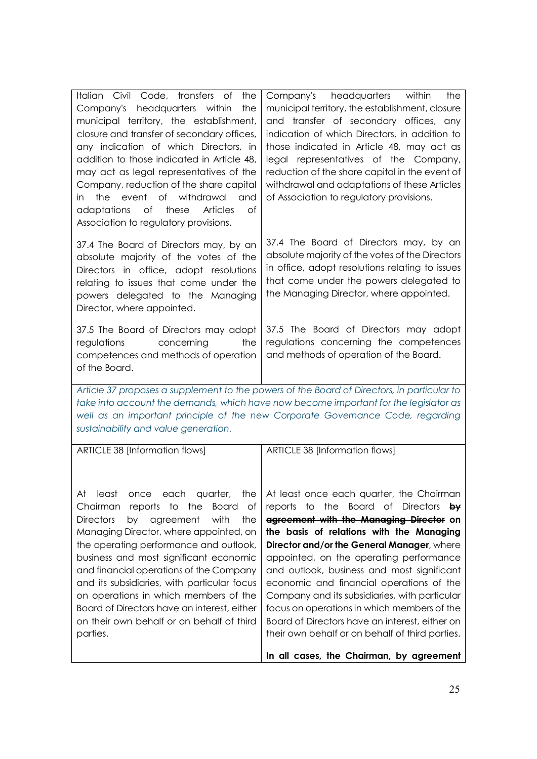| 37.4 The Board of Directors may, by an<br>absolute majority of the votes of the<br>Directors in office, adopt resolutions<br>relating to issues that come under the<br>the Managing Director, where appointed.<br>powers delegated to the Managing<br>Director, where appointed.<br>37.5 The Board of Directors may adopt<br>regulations<br>concerning<br>the<br>and methods of operation of the Board.<br>competences and methods of operation<br>of the Board.<br>Article 37 proposes a supplement to the powers of the Board of Directors, in particular to<br>take into account the demands, which have now become important for the legislator as<br>well as an important principle of the new Corporate Governance Code, regarding<br>sustainability and value generation.<br>ARTICLE 38 [Information flows]<br>ARTICLE 38 [Information flows]<br>the   At least once each quarter, the Chairman<br>At<br>each<br>quarter,<br>least<br>once<br>Chairman reports to the<br>Board of<br><b>Directors</b><br>with<br>agreement<br>the<br>by<br>Managing Director, where appointed, on<br>the operating performance and outlook,<br>business and most significant economic<br>and financial operations of the Company<br>and its subsidiaries, with particular focus<br>on operations in which members of the<br>Board of Directors have an interest, either<br>focus on operations in which members of the<br>on their own behalf or on behalf of third<br>parties.<br>their own behalf or on behalf of third parties. | Italian Civil Code, transfers of<br>the<br>Company's headquarters within<br>the<br>municipal territory, the establishment,<br>closure and transfer of secondary offices,<br>any indication of which Directors, in<br>addition to those indicated in Article 48,<br>may act as legal representatives of the<br>Company, reduction of the share capital<br>the<br>event of withdrawal<br>and<br>in<br>of<br>of<br>adaptations<br>these<br><b>Articles</b><br>Association to regulatory provisions. | Company's headquarters<br>within<br>the<br>municipal territory, the establishment, closure<br>and transfer of secondary offices, any<br>indication of which Directors, in addition to<br>those indicated in Article 48, may act as<br>legal representatives of the Company,<br>reduction of the share capital in the event of<br>withdrawal and adaptations of these Articles<br>of Association to regulatory provisions.                                     |
|---------------------------------------------------------------------------------------------------------------------------------------------------------------------------------------------------------------------------------------------------------------------------------------------------------------------------------------------------------------------------------------------------------------------------------------------------------------------------------------------------------------------------------------------------------------------------------------------------------------------------------------------------------------------------------------------------------------------------------------------------------------------------------------------------------------------------------------------------------------------------------------------------------------------------------------------------------------------------------------------------------------------------------------------------------------------------------------------------------------------------------------------------------------------------------------------------------------------------------------------------------------------------------------------------------------------------------------------------------------------------------------------------------------------------------------------------------------------------------------------------------------------------|--------------------------------------------------------------------------------------------------------------------------------------------------------------------------------------------------------------------------------------------------------------------------------------------------------------------------------------------------------------------------------------------------------------------------------------------------------------------------------------------------|---------------------------------------------------------------------------------------------------------------------------------------------------------------------------------------------------------------------------------------------------------------------------------------------------------------------------------------------------------------------------------------------------------------------------------------------------------------|
|                                                                                                                                                                                                                                                                                                                                                                                                                                                                                                                                                                                                                                                                                                                                                                                                                                                                                                                                                                                                                                                                                                                                                                                                                                                                                                                                                                                                                                                                                                                           |                                                                                                                                                                                                                                                                                                                                                                                                                                                                                                  | 37.4 The Board of Directors may, by an<br>absolute majority of the votes of the Directors<br>in office, adopt resolutions relating to issues<br>that come under the powers delegated to                                                                                                                                                                                                                                                                       |
|                                                                                                                                                                                                                                                                                                                                                                                                                                                                                                                                                                                                                                                                                                                                                                                                                                                                                                                                                                                                                                                                                                                                                                                                                                                                                                                                                                                                                                                                                                                           |                                                                                                                                                                                                                                                                                                                                                                                                                                                                                                  | 37.5 The Board of Directors may adopt<br>regulations concerning the competences                                                                                                                                                                                                                                                                                                                                                                               |
|                                                                                                                                                                                                                                                                                                                                                                                                                                                                                                                                                                                                                                                                                                                                                                                                                                                                                                                                                                                                                                                                                                                                                                                                                                                                                                                                                                                                                                                                                                                           |                                                                                                                                                                                                                                                                                                                                                                                                                                                                                                  |                                                                                                                                                                                                                                                                                                                                                                                                                                                               |
|                                                                                                                                                                                                                                                                                                                                                                                                                                                                                                                                                                                                                                                                                                                                                                                                                                                                                                                                                                                                                                                                                                                                                                                                                                                                                                                                                                                                                                                                                                                           |                                                                                                                                                                                                                                                                                                                                                                                                                                                                                                  |                                                                                                                                                                                                                                                                                                                                                                                                                                                               |
|                                                                                                                                                                                                                                                                                                                                                                                                                                                                                                                                                                                                                                                                                                                                                                                                                                                                                                                                                                                                                                                                                                                                                                                                                                                                                                                                                                                                                                                                                                                           |                                                                                                                                                                                                                                                                                                                                                                                                                                                                                                  | reports to the Board of Directors by<br>agreement with the Managing Director on<br>the basis of relations with the Managing<br>Director and/or the General Manager, where<br>appointed, on the operating performance<br>and outlook, business and most significant<br>economic and financial operations of the<br>Company and its subsidiaries, with particular<br>Board of Directors have an interest, either on<br>In all cases, the Chairman, by agreement |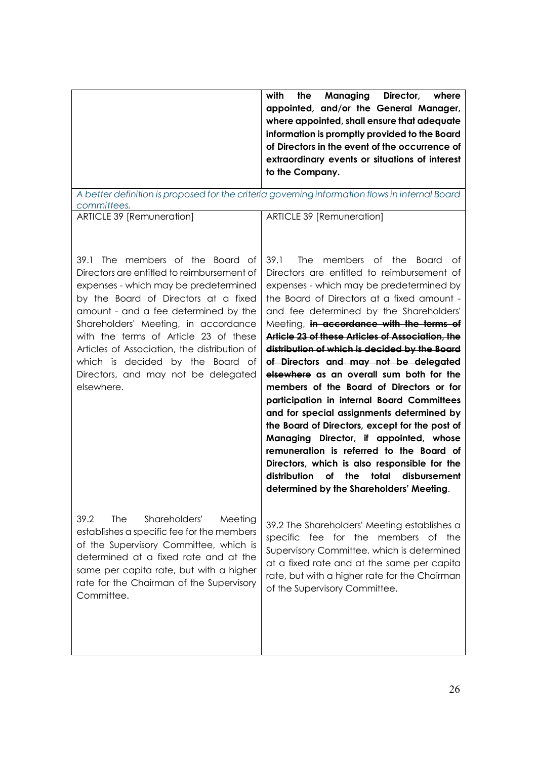| with<br>the<br>Managing<br>Director,<br>where  |
|------------------------------------------------|
| appointed, and/or the General Manager,         |
| where appointed, shall ensure that adequate    |
| information is promptly provided to the Board  |
| of Directors in the event of the occurrence of |
| extraordinary events or situations of interest |
| to the Company.                                |
|                                                |

*A better definition is proposed for the criteria governing information flows in internal Board committees.*

ARTICLE 39 [Remuneration]

ARTICLE 39 [Remuneration]

39.1 The members of the Board of Directors are entitled to reimbursement of expenses - which may be predetermined by the Board of Directors at a fixed amount - and a fee determined by the Shareholders' Meeting, in accordance with the terms of Article 23 of these Articles of Association, the distribution of which is decided by the Board of Directors, and may not be delegated elsewhere.

Directors are entitled to reimbursement of expenses - which may be predetermined by the Board of Directors at a fixed amount and fee determined by the Shareholders' Meeting, **in accordance with the terms of Article 23 of these Articles of Association, the distribution of which is decided by the Board of Directors and may not be delegated elsewhere as an overall sum both for the members of the Board of Directors or for participation in internal Board Committees and for special assignments determined by the Board of Directors, except for the post of Managing Director, if appointed, whose remuneration is referred to the Board of Directors, which is also responsible for the distribution of the total disbursement determined by the Shareholders' Meeting**.

39.1 The members of the Board of

39.2 The Shareholders' Meeting establishes a specific fee for the members of the Supervisory Committee, which is determined at a fixed rate and at the same per capita rate, but with a higher rate for the Chairman of the Supervisory Committee.

39.2 The Shareholders' Meeting establishes a specific fee for the members of the Supervisory Committee, which is determined at a fixed rate and at the same per capita rate, but with a higher rate for the Chairman of the Supervisory Committee.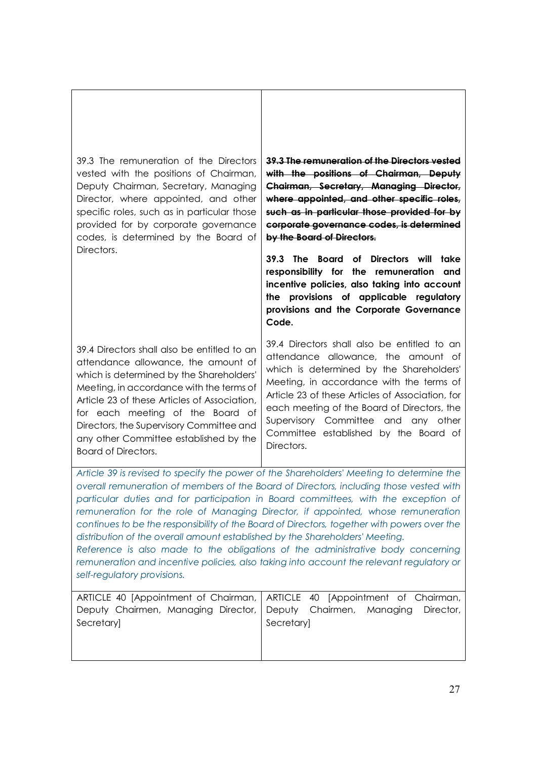39.3 The remuneration of the Directors vested with the positions of Chairman, Deputy Chairman, Secretary, Managing Director, where appointed, and other specific roles, such as in particular those provided for by corporate governance codes, is determined by the Board of Directors.

39.4 Directors shall also be entitled to an attendance allowance, the amount of which is determined by the Shareholders' Meeting, in accordance with the terms of Article 23 of these Articles of Association, for each meeting of the Board of Directors, the Supervisory Committee and any other Committee established by the Board of Directors.

**39.3 The remuneration of the Directors vested with the positions of Chairman, Deputy Chairman, Secretary, Managing Director, where appointed, and other specific roles, such as in particular those provided for by corporate governance codes, is determined by the Board of Directors.**

**39.3 The Board of Directors will take responsibility for the remuneration and incentive policies, also taking into account the provisions of applicable regulatory provisions and the Corporate Governance Code.**

39.4 Directors shall also be entitled to an attendance allowance, the amount of which is determined by the Shareholders' Meeting, in accordance with the terms of Article 23 of these Articles of Association, for each meeting of the Board of Directors, the Supervisory Committee and any other Committee established by the Board of Directors.

*Article 39 is revised to specify the power of the Shareholders' Meeting to determine the overall remuneration of members of the Board of Directors, including those vested with particular duties and for participation in Board committees, with the exception of remuneration for the role of Managing Director, if appointed, whose remuneration continues to be the responsibility of the Board of Directors, together with powers over the distribution of the overall amount established by the Shareholders' Meeting.*

*Reference is also made to the obligations of the administrative body concerning remuneration and incentive policies, also taking into account the relevant regulatory or self-regulatory provisions.*

|            | ARTICLE 40 [Appointment of Chairman,   ARTICLE 40 [Appointment of Chairman, |
|------------|-----------------------------------------------------------------------------|
|            | Deputy Chairmen, Managing Director, Deputy Chairmen, Managing Director,     |
| Secretary] | Secretary                                                                   |
|            |                                                                             |
|            |                                                                             |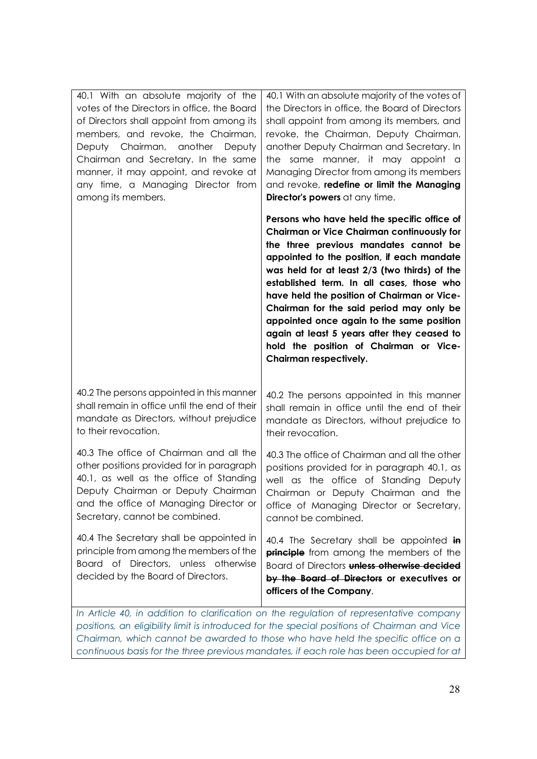| 40.1 With an absolute majority of the<br>votes of the Directors in office, the Board<br>of Directors shall appoint from among its<br>members, and revoke, the Chairman,<br>Deputy Chairman, another Deputy<br>Chairman and Secretary. In the same<br>manner, it may appoint, and revoke at<br>any time, a Managing Director from<br>among its members. | 40.1 With an absolute majority of the votes of<br>the Directors in office, the Board of Directors<br>shall appoint from among its members, and<br>revoke, the Chairman, Deputy Chairman,<br>another Deputy Chairman and Secretary. In<br>same manner, it may appoint a<br>the<br>Managing Director from among its members<br>and revoke, redefine or limit the Managing<br>Director's powers at any time.                                                                                                                                         |
|--------------------------------------------------------------------------------------------------------------------------------------------------------------------------------------------------------------------------------------------------------------------------------------------------------------------------------------------------------|---------------------------------------------------------------------------------------------------------------------------------------------------------------------------------------------------------------------------------------------------------------------------------------------------------------------------------------------------------------------------------------------------------------------------------------------------------------------------------------------------------------------------------------------------|
|                                                                                                                                                                                                                                                                                                                                                        | Persons who have held the specific office of<br><b>Chairman or Vice Chairman continuously for</b><br>the three previous mandates cannot be<br>appointed to the position, if each mandate<br>was held for at least 2/3 (two thirds) of the<br>established term. In all cases, those who<br>have held the position of Chairman or Vice-<br>Chairman for the said period may only be<br>appointed once again to the same position<br>again at least 5 years after they ceased to<br>hold the position of Chairman or Vice-<br>Chairman respectively. |
| 40.2 The persons appointed in this manner<br>shall remain in office until the end of their<br>mandate as Directors, without prejudice<br>to their revocation.                                                                                                                                                                                          | 40.2 The persons appointed in this manner<br>shall remain in office until the end of their<br>mandate as Directors, without prejudice to<br>their revocation.                                                                                                                                                                                                                                                                                                                                                                                     |
| 40.3 The office of Chairman and all the<br>other positions provided for in paragraph<br>40.1, as well as the office of Standing<br>Deputy Chairman or Deputy Chairman<br>and the office of Managing Director or<br>Secretary, cannot be combined.                                                                                                      | 40.3 The office of Chairman and all the other<br>positions provided for in paragraph 40.1, as<br>well as the office of Standing Deputy<br>Chairman or Deputy Chairman and the<br>office of Managing Director or Secretary,<br>cannot be combined.                                                                                                                                                                                                                                                                                                 |
| 40.4 The Secretary shall be appointed in<br>principle from among the members of the<br>Board of Directors, unless otherwise<br>decided by the Board of Directors.                                                                                                                                                                                      | 40.4 The Secretary shall be appointed in<br><b>principle</b> from among the members of the<br>Board of Directors unless otherwise decided<br>by the Board of Directors or executives or<br>officers of the Company.<br>In Article 10 in addition to clarification on the requlation of representative company                                                                                                                                                                                                                                     |

*In Article 40, in addition to clarification on the regulation of representative company positions, an eligibility limit is introduced for the special positions of Chairman and Vice Chairman, which cannot be awarded to those who have held the specific office on a continuous basis for the three previous mandates, if each role has been occupied for at*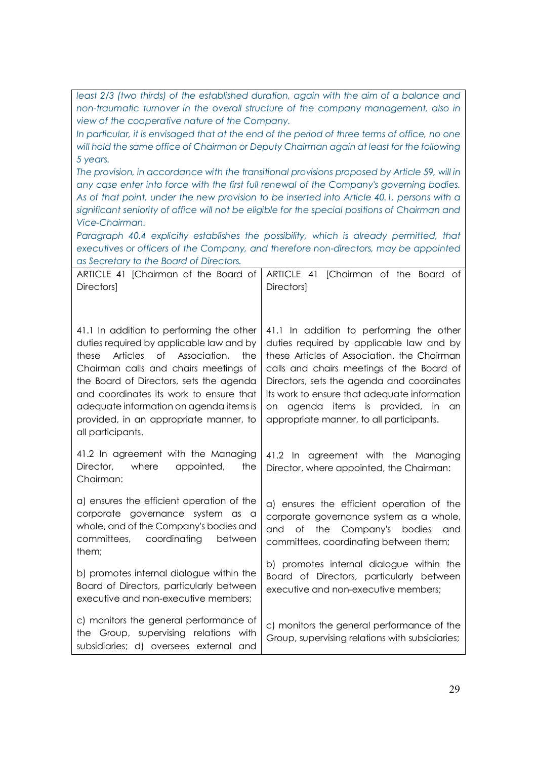least 2/3 (two thirds) of the established duration, again with the aim of a balance and *non-traumatic turnover in the overall structure of the company management, also in view of the cooperative nature of the Company. In particular, it is envisaged that at the end of the period of three terms of office, no one*  will hold the same office of Chairman or Deputy Chairman again at least for the following *5 years. The provision, in accordance with the transitional provisions proposed by Article 59, will in any case enter into force with the first full renewal of the Company's governing bodies. As of that point, under the new provision to be inserted into Article 40.1, persons with a significant seniority of office will not be eligible for the special positions of Chairman and Vice-Chairman. Paragraph 40.4 explicitly establishes the possibility, which is already permitted, that executives or officers of the Company, and therefore non-directors, may be appointed as Secretary to the Board of Directors.* ARTICLE 41 [Chairman of the Board of Directors] 41.1 In addition to performing the other duties required by applicable law and by these Articles of Association, the Chairman calls and chairs meetings of the Board of Directors, sets the agenda and coordinates its work to ensure that adequate information on agenda items is provided, in an appropriate manner, to all participants. 41.2 In agreement with the Managing Director, where appointed, the Chairman: a) ensures the efficient operation of the corporate governance system as a whole, and of the Company's bodies and committees, coordinating between them; b) promotes internal dialogue within the Board of Directors, particularly between executive and non-executive members; c) monitors the general performance of the Group, supervising relations with subsidiaries; d) oversees external and ARTICLE 41 [Chairman of the Board of **Directors1** 41.1 In addition to performing the other duties required by applicable law and by these Articles of Association, the Chairman calls and chairs meetings of the Board of Directors, sets the agenda and coordinates its work to ensure that adequate information on agenda items is provided, in an appropriate manner, to all participants. 41.2 In agreement with the Managing Director, where appointed, the Chairman: a) ensures the efficient operation of the corporate governance system as a whole, and of the Company's bodies and committees, coordinating between them; b) promotes internal dialogue within the Board of Directors, particularly between executive and non-executive members; c) monitors the general performance of the Group, supervising relations with subsidiaries;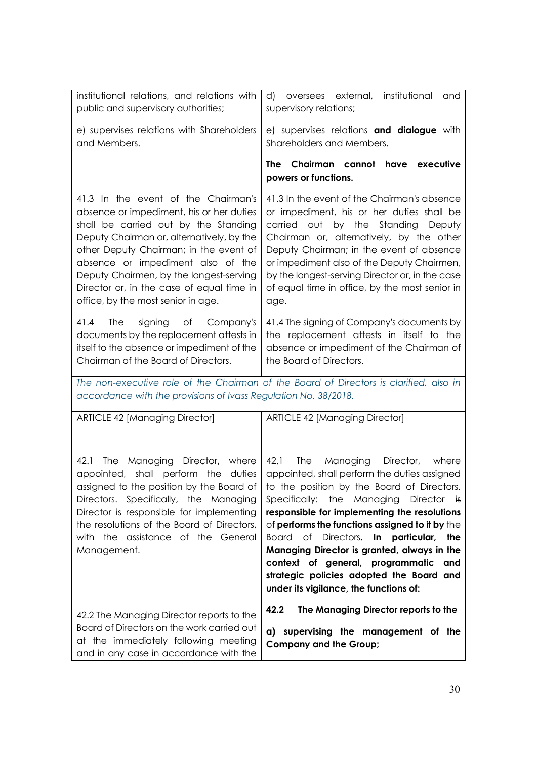| institutional relations, and relations with<br>public and supervisory authorities;                                                                                                                                                                                                                                                                                                | d) oversees external, institutional<br>and<br>supervisory relations;                                                                                                                                                                                                                                                                                                                                                                                                                                                                                                |  |
|-----------------------------------------------------------------------------------------------------------------------------------------------------------------------------------------------------------------------------------------------------------------------------------------------------------------------------------------------------------------------------------|---------------------------------------------------------------------------------------------------------------------------------------------------------------------------------------------------------------------------------------------------------------------------------------------------------------------------------------------------------------------------------------------------------------------------------------------------------------------------------------------------------------------------------------------------------------------|--|
| e) supervises relations with Shareholders<br>and Members.                                                                                                                                                                                                                                                                                                                         | e) supervises relations and dialogue with<br>Shareholders and Members.                                                                                                                                                                                                                                                                                                                                                                                                                                                                                              |  |
|                                                                                                                                                                                                                                                                                                                                                                                   | The Chairman cannot have executive<br>powers or functions.                                                                                                                                                                                                                                                                                                                                                                                                                                                                                                          |  |
| 41.3 In the event of the Chairman's<br>absence or impediment, his or her duties<br>shall be carried out by the Standing<br>Deputy Chairman or, alternatively, by the<br>other Deputy Chairman; in the event of<br>absence or impediment also of the<br>Deputy Chairmen, by the longest-serving<br>Director or, in the case of equal time in<br>office, by the most senior in age. | 41.3 In the event of the Chairman's absence<br>or impediment, his or her duties shall be<br>carried out by the Standing Deputy<br>Chairman or, alternatively, by the other<br>Deputy Chairman; in the event of absence<br>or impediment also of the Deputy Chairmen,<br>by the longest-serving Director or, in the case<br>of equal time in office, by the most senior in<br>age.                                                                                                                                                                                   |  |
| 41.4<br>The<br>signing<br>of<br>Company's<br>documents by the replacement attests in<br>itself to the absence or impediment of the<br>Chairman of the Board of Directors.                                                                                                                                                                                                         | 41.4 The signing of Company's documents by<br>the replacement attests in itself to the<br>absence or impediment of the Chairman of<br>the Board of Directors.                                                                                                                                                                                                                                                                                                                                                                                                       |  |
| The non-executive role of the Chairman of the Board of Directors is clarified, also in<br>accordance with the provisions of Ivass Regulation No. 38/2018.                                                                                                                                                                                                                         |                                                                                                                                                                                                                                                                                                                                                                                                                                                                                                                                                                     |  |
| <b>ARTICLE 42 [Managing Director]</b>                                                                                                                                                                                                                                                                                                                                             | <b>ARTICLE 42 [Managing Director]</b>                                                                                                                                                                                                                                                                                                                                                                                                                                                                                                                               |  |
| The Managing Director, where<br>42.1<br>appointed, shall perform the duties<br>Directors. Specifically, the Managing<br>Director is responsible for implementing<br>the resolutions of the Board of Directors,<br>with the assistance of the General<br>Management.                                                                                                               | 42.1 The<br>Managing Director,<br>where<br>appointed, shall perform the duties assigned<br>assigned to the position by the Board of $\vert$ to the position by the Board of Directors.<br>Specifically: the Managing Director is<br>responsible for implementing the resolutions<br>$\Theta$ performs the functions assigned to it by the<br>Board of Directors. In particular, the<br>Managing Director is granted, always in the<br>context of general, programmatic<br>and<br>strategic policies adopted the Board and<br>under its vigilance, the functions of: |  |
| 42.2 The Managing Director reports to the<br>Board of Directors on the work carried out<br>at the immediately following meeting<br>and in any case in accordance with the                                                                                                                                                                                                         | 42.2 The Managing Director reports to the<br>a) supervising the management of the<br><b>Company and the Group;</b>                                                                                                                                                                                                                                                                                                                                                                                                                                                  |  |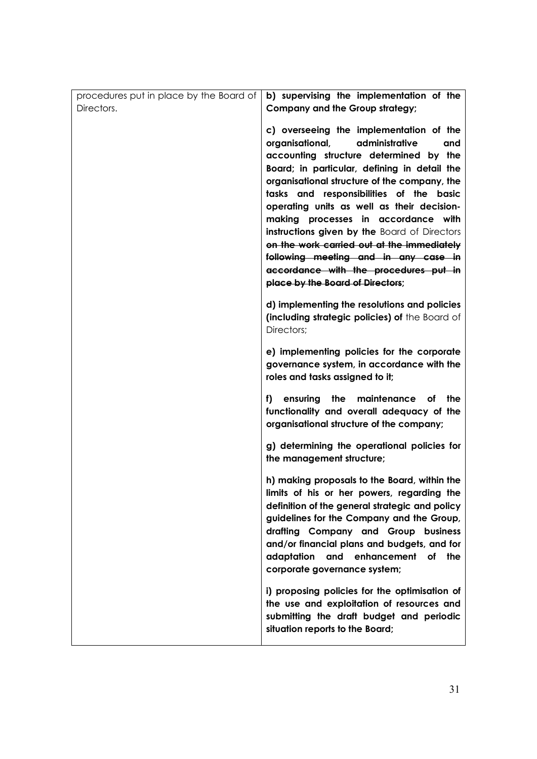| procedures put in place by the Board of | b) supervising the implementation of the                     |
|-----------------------------------------|--------------------------------------------------------------|
| Directors.                              | Company and the Group strategy;                              |
|                                         | c) overseeing the implementation of the                      |
|                                         | administrative<br>organisational,<br>and                     |
|                                         | accounting structure determined by the                       |
|                                         | Board; in particular, defining in detail the                 |
|                                         | organisational structure of the company, the                 |
|                                         | tasks and responsibilities of the basic                      |
|                                         | operating units as well as their decision-                   |
|                                         | making processes in accordance with                          |
|                                         | instructions given by the Board of Directors                 |
|                                         | on the work carried out at the immediately                   |
|                                         | following meeting and in any case in                         |
|                                         | accordance with the procedures put in                        |
|                                         | place by the Board of Directors;                             |
|                                         |                                                              |
|                                         | d) implementing the resolutions and policies                 |
|                                         | (including strategic policies) of the Board of<br>Directors; |
|                                         |                                                              |
|                                         | e) implementing policies for the corporate                   |
|                                         | governance system, in accordance with the                    |
|                                         | roles and tasks assigned to it;                              |
|                                         | the<br>ensuring<br>maintenance<br>f)<br>of<br>the            |
|                                         | functionality and overall adequacy of the                    |
|                                         | organisational structure of the company;                     |
|                                         |                                                              |
|                                         | g) determining the operational policies for                  |
|                                         | the management structure;                                    |
|                                         | h) making proposals to the Board, within the                 |
|                                         | limits of his or her powers, regarding the                   |
|                                         | definition of the general strategic and policy               |
|                                         | guidelines for the Company and the Group,                    |
|                                         | drafting Company and Group business                          |
|                                         | and/or financial plans and budgets, and for                  |
|                                         | adaptation<br>and<br>enhancement<br>of the                   |
|                                         | corporate governance system;                                 |
|                                         | i) proposing policies for the optimisation of                |
|                                         | the use and exploitation of resources and                    |
|                                         | submitting the draft budget and periodic                     |
|                                         | situation reports to the Board;                              |
|                                         |                                                              |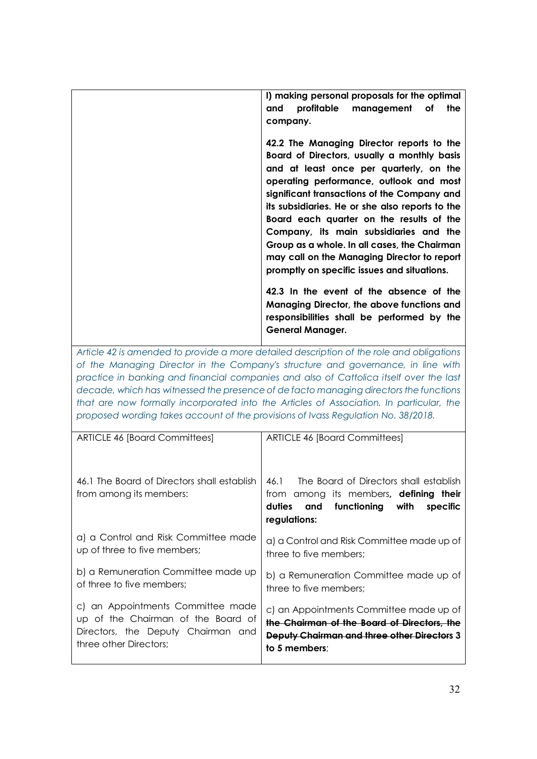| I) making personal proposals for the optimal<br>profitable management of<br>the<br>and<br>company.                                                                                                                                                                                                                                                                                                                                                                                                                   |
|----------------------------------------------------------------------------------------------------------------------------------------------------------------------------------------------------------------------------------------------------------------------------------------------------------------------------------------------------------------------------------------------------------------------------------------------------------------------------------------------------------------------|
| 42.2 The Managing Director reports to the<br>Board of Directors, usually a monthly basis<br>and at least once per quarterly, on the<br>operating performance, outlook and most<br>significant transactions of the Company and<br>its subsidiaries. He or she also reports to the<br>Board each quarter on the results of the<br>Company, its main subsidiaries and the<br>Group as a whole. In all cases, the Chairman<br>may call on the Managing Director to report<br>promptly on specific issues and situations. |
| 42.3 In the event of the absence of the<br>Managing Director, the above functions and<br>responsibilities shall be performed by the<br><b>General Manager.</b>                                                                                                                                                                                                                                                                                                                                                       |

*Article 42 is amended to provide a more detailed description of the role and obligations of the Managing Director in the Company's structure and governance, in line with practice in banking and financial companies and also of Cattolica itself over the last decade, which has witnessed the presence of de facto managing directors the functions that are now formally incorporated into the Articles of Association. In particular, the proposed wording takes account of the provisions of Ivass Regulation No. 38/2018.*

| <b>ARTICLE 46 [Board Committees]</b>                                   | <b>ARTICLE 46 [Board Committees]</b>                                                                                                                          |  |  |  |  |  |
|------------------------------------------------------------------------|---------------------------------------------------------------------------------------------------------------------------------------------------------------|--|--|--|--|--|
| 46.1 The Board of Directors shall establish<br>from among its members: | The Board of Directors shall establish<br>46.1<br>from among its members, <b>defining their</b><br>and functioning with<br>duties<br>specific<br>regulations: |  |  |  |  |  |
| a) a Control and Risk Committee made                                   | a) a Control and Risk Committee made up of                                                                                                                    |  |  |  |  |  |
| up of three to five members;                                           | three to five members:                                                                                                                                        |  |  |  |  |  |
| b) a Remuneration Committee made up                                    | b) a Remuneration Committee made up of                                                                                                                        |  |  |  |  |  |
| of three to five members:                                              | three to five members;                                                                                                                                        |  |  |  |  |  |
| c) an Appointments Committee made                                      | c) an Appointments Committee made up of                                                                                                                       |  |  |  |  |  |
| up of the Chairman of the Board of                                     | the Chairman of the Board of Directors, the                                                                                                                   |  |  |  |  |  |
| Directors, the Deputy Chairman and                                     | Deputy Chairman and three other Directors 3                                                                                                                   |  |  |  |  |  |
| three other Directors:                                                 | to 5 members;                                                                                                                                                 |  |  |  |  |  |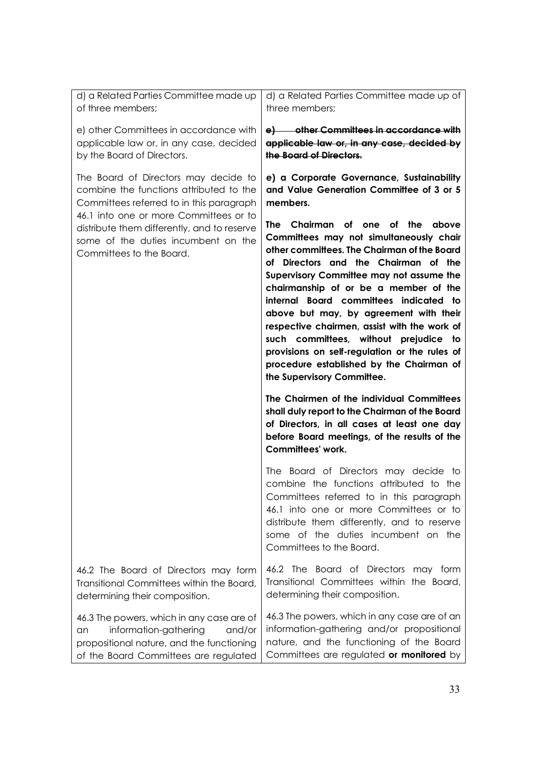| d) a Related Parties Committee made up<br>of three members;                                                                                                                                                                                                                             | d) a Related Parties Committee made up of<br>three members;                                                                                                                                                                                                                                                                                                                                                                                                                                                                                                                                                                                    |  |  |  |  |
|-----------------------------------------------------------------------------------------------------------------------------------------------------------------------------------------------------------------------------------------------------------------------------------------|------------------------------------------------------------------------------------------------------------------------------------------------------------------------------------------------------------------------------------------------------------------------------------------------------------------------------------------------------------------------------------------------------------------------------------------------------------------------------------------------------------------------------------------------------------------------------------------------------------------------------------------------|--|--|--|--|
| e) other Committees in accordance with<br>applicable law or, in any case, decided<br>by the Board of Directors.                                                                                                                                                                         | e) other Committees in accordance with<br>applicable law or, in any case, decided by<br>the Board of Directors.                                                                                                                                                                                                                                                                                                                                                                                                                                                                                                                                |  |  |  |  |
| The Board of Directors may decide to<br>combine the functions attributed to the<br>Committees referred to in this paragraph<br>46.1 into one or more Committees or to<br>distribute them differently, and to reserve<br>some of the duties incumbent on the<br>Committees to the Board. | e) a Corporate Governance, Sustainability<br>and Value Generation Committee of 3 or 5<br>members.<br>Chairman of one of the<br>The i<br>above<br>Committees may not simultaneously chair<br>other committees. The Chairman of the Board<br>of Directors and the Chairman of the<br>Supervisory Committee may not assume the<br>chairmanship of or be a member of the<br>internal Board committees indicated to<br>above but may, by agreement with their<br>respective chairmen, assist with the work of<br>such committees, without prejudice to<br>provisions on self-regulation or the rules of<br>procedure established by the Chairman of |  |  |  |  |
|                                                                                                                                                                                                                                                                                         | the Supervisory Committee.                                                                                                                                                                                                                                                                                                                                                                                                                                                                                                                                                                                                                     |  |  |  |  |
|                                                                                                                                                                                                                                                                                         | The Chairmen of the individual Committees<br>shall duly report to the Chairman of the Board<br>of Directors, in all cases at least one day<br>before Board meetings, of the results of the<br>Committees' work.                                                                                                                                                                                                                                                                                                                                                                                                                                |  |  |  |  |
|                                                                                                                                                                                                                                                                                         | The Board of Directors may decide to<br>combine the functions attributed to the<br>Committees referred to in this paragraph<br>46.1 into one or more Committees or to<br>distribute them differently, and to reserve<br>some of the duties incumbent on the<br>Committees to the Board.                                                                                                                                                                                                                                                                                                                                                        |  |  |  |  |
| 46.2 The Board of Directors may form<br>Transitional Committees within the Board,<br>determining their composition.                                                                                                                                                                     | 46.2 The Board of Directors may form<br>Transitional Committees within the Board,<br>determining their composition.                                                                                                                                                                                                                                                                                                                                                                                                                                                                                                                            |  |  |  |  |
| 46.3 The powers, which in any case are of<br>information-gathering<br>and/or<br>an<br>propositional nature, and the functioning<br>of the Board Committees are regulated                                                                                                                | 46.3 The powers, which in any case are of an<br>information-gathering and/or propositional<br>nature, and the functioning of the Board<br>Committees are regulated or monitored by                                                                                                                                                                                                                                                                                                                                                                                                                                                             |  |  |  |  |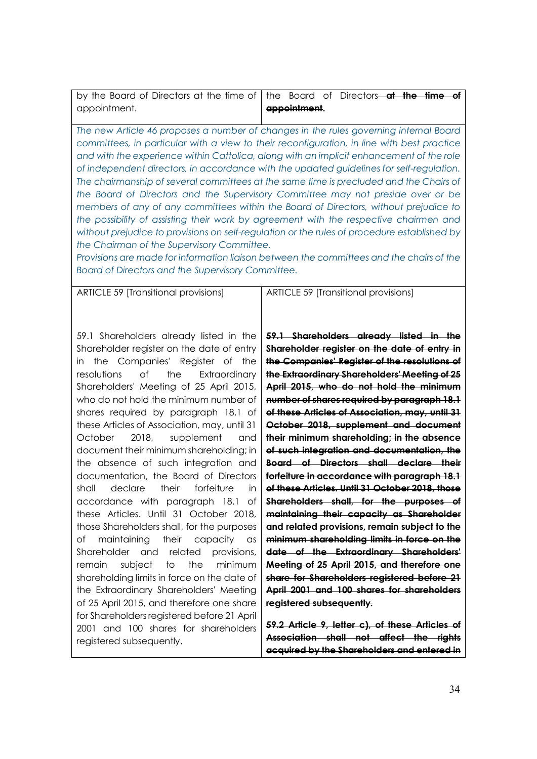| by the Board of Directors at the time of $\vert$ the Board of Directors—at the time of |              |  |  |  |
|----------------------------------------------------------------------------------------|--------------|--|--|--|
| appointment.                                                                           | appointment. |  |  |  |

*The new Article 46 proposes a number of changes in the rules governing internal Board committees, in particular with a view to their reconfiguration, in line with best practice and with the experience within Cattolica, along with an implicit enhancement of the role of independent directors, in accordance with the updated guidelines for self-regulation.* The chairmanship of several committees at the same time is precluded and the Chairs of *the Board of Directors and the Supervisory Committee may not preside over or be members of any of any committees within the Board of Directors, without prejudice to the possibility of assisting their work by agreement with the respective chairmen and without prejudice to provisions on self-regulation or the rules of procedure established by the Chairman of the Supervisory Committee.*

*Provisions are made for information liaison between the committees and the chairs of the Board of Directors and the Supervisory Committee.*

ARTICLE 59 [Transitional provisions]

ARTICLE 59 [Transitional provisions]

59.1 Shareholders already listed in the Shareholder register on the date of entry in the Companies' Register of the resolutions of the Extraordinary Shareholders' Meeting of 25 April 2015, who do not hold the minimum number of shares required by paragraph 18.1 of these Articles of Association, may, until 31 October 2018, supplement and document their minimum shareholding; in the absence of such integration and documentation, the Board of Directors shall declare their forfeiture in accordance with paragraph 18.1 of these Articles. Until 31 October 2018, those Shareholders shall, for the purposes of maintaining their capacity as Shareholder and related provisions, remain subject to the minimum shareholding limits in force on the date of the Extraordinary Shareholders' Meeting of 25 April 2015, and therefore one share for Shareholders registered before 21 April 2001 and 100 shares for shareholders registered subsequently.

**59.1 Shareholders already listed in the Shareholder register on the date of entry in the Companies' Register of the resolutions of the Extraordinary Shareholders' Meeting of 25 April 2015, who do not hold the minimum number of shares required by paragraph 18.1 of these Articles of Association, may, until 31 October 2018, supplement and document their minimum shareholding; in the absence of such integration and documentation, the Board of Directors shall declare their forfeiture in accordance with paragraph 18.1 of these Articles. Until 31 October 2018, those Shareholders shall, for the purposes of maintaining their capacity as Shareholder and related provisions, remain subject to the minimum shareholding limits in force on the date of the Extraordinary Shareholders' Meeting of 25 April 2015, and therefore one share for Shareholders registered before 21 April 2001 and 100 shares for shareholders registered subsequently.**

**59.2 Article 9, letter c), of these Articles of Association shall not affect the rights acquired by the Shareholders and entered in**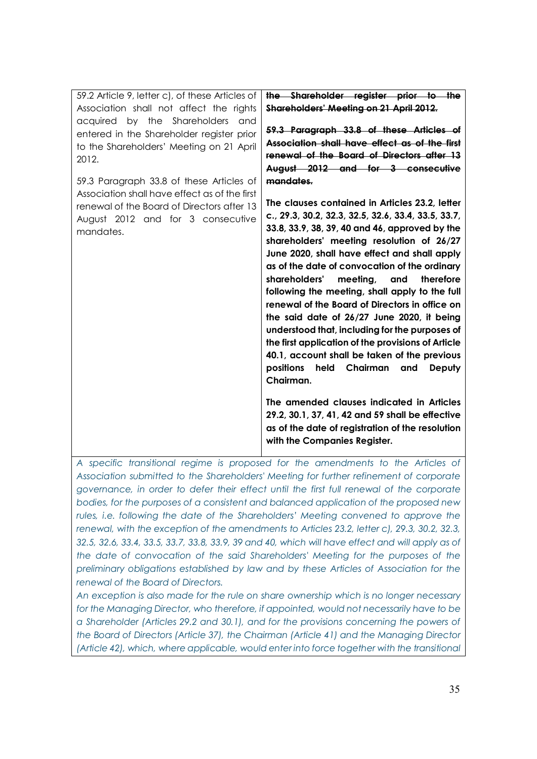| 59.2 Article 9, letter c), of these Articles of<br>Association shall not affect the rights<br>acquired by the Shareholders<br>and | the Shareholder register prior to the<br>Shareholders' Meeting on 21 April 2012.                                                                                                                                                                                                                                                                                                                                                                                                                                                                                                                                                                                                                                             |
|-----------------------------------------------------------------------------------------------------------------------------------|------------------------------------------------------------------------------------------------------------------------------------------------------------------------------------------------------------------------------------------------------------------------------------------------------------------------------------------------------------------------------------------------------------------------------------------------------------------------------------------------------------------------------------------------------------------------------------------------------------------------------------------------------------------------------------------------------------------------------|
| entered in the Shareholder register prior<br>to the Shareholders' Meeting on 21 April<br>2012.                                    | 59.3 Paragraph 33.8 of these Articles of<br>Association shall have effect as of the first<br>renewal of the Board of Directors after 13<br>August 2012 and for 3 consecutive                                                                                                                                                                                                                                                                                                                                                                                                                                                                                                                                                 |
| 59.3 Paragraph 33.8 of these Articles of<br>Association shall have effect as of the first                                         | mandates.                                                                                                                                                                                                                                                                                                                                                                                                                                                                                                                                                                                                                                                                                                                    |
| renewal of the Board of Directors after 13<br>August 2012 and for 3 consecutive<br>mandates.                                      | The clauses contained in Articles 23.2, letter<br>c., 29.3, 30.2, 32.3, 32.5, 32.6, 33.4, 33.5, 33.7,<br>33.8, 33.9, 38, 39, 40 and 46, approved by the<br>shareholders' meeting resolution of 26/27<br>June 2020, shall have effect and shall apply<br>as of the date of convocation of the ordinary<br>shareholders'<br>therefore<br>meetina.<br>and<br>following the meeting, shall apply to the full<br>renewal of the Board of Directors in office on<br>the said date of 26/27 June 2020, it being<br>understood that, including for the purposes of<br>the first application of the provisions of Article<br>40.1, account shall be taken of the previous<br>positions<br>held Chairman<br>and<br>Deputy<br>Chairman. |
|                                                                                                                                   | The amended clauses indicated in Articles<br>29.2, 30.1, 37, 41, 42 and 59 shall be effective<br>as of the date of registration of the resolution<br>with the Companies Register.                                                                                                                                                                                                                                                                                                                                                                                                                                                                                                                                            |

*A specific transitional regime is proposed for the amendments to the Articles of Association submitted to the Shareholders' Meeting for further refinement of corporate governance, in order to defer their effect until the first full renewal of the corporate bodies, for the purposes of a consistent and balanced application of the proposed new rules, i.e. following the date of the Shareholders' Meeting convened to approve the renewal, with the exception of the amendments to Articles 23.2, letter c), 29.3, 30.2, 32.3, 32.5, 32.6, 33.4, 33.5, 33.7, 33.8, 33.9, 39 and 40, which will have effect and will apply as of the date of convocation of the said Shareholders' Meeting for the purposes of the preliminary obligations established by law and by these Articles of Association for the renewal of the Board of Directors.*

*An exception is also made for the rule on share ownership which is no longer necessary for the Managing Director, who therefore, if appointed, would not necessarily have to be a Shareholder (Articles 29.2 and 30.1), and for the provisions concerning the powers of the Board of Directors (Article 37), the Chairman (Article 41) and the Managing Director (Article 42), which, where applicable, would enter into force together with the transitional*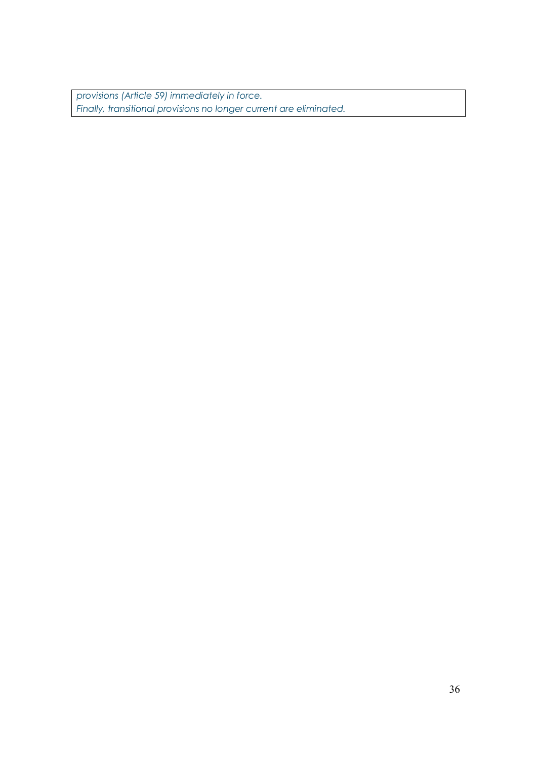*provisions (Article 59) immediately in force. Finally, transitional provisions no longer current are eliminated.*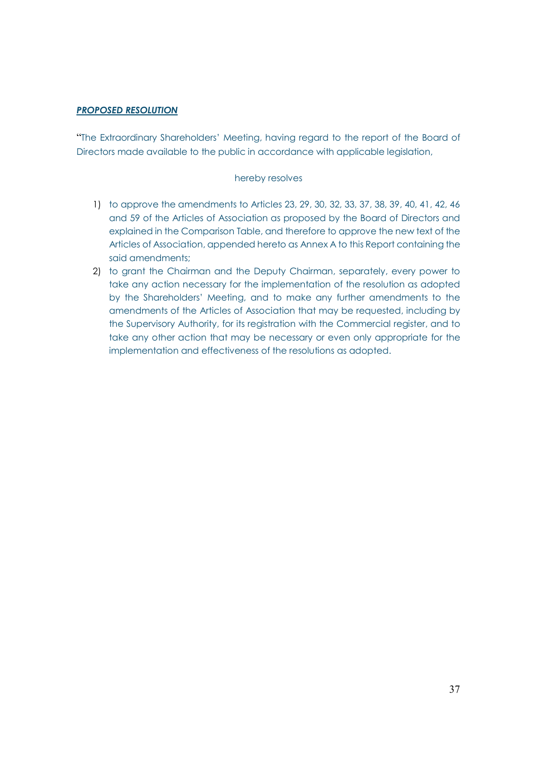# *PROPOSED RESOLUTION*

"The Extraordinary Shareholders' Meeting, having regard to the report of the Board of Directors made available to the public in accordance with applicable legislation,

#### hereby resolves

- 1) to approve the amendments to Articles 23, 29, 30, 32, 33, 37, 38, 39, 40, 41, 42, 46 and 59 of the Articles of Association as proposed by the Board of Directors and explained in the Comparison Table, and therefore to approve the new text of the Articles of Association, appended hereto as Annex A to this Report containing the said amendments;
- 2) to grant the Chairman and the Deputy Chairman, separately, every power to take any action necessary for the implementation of the resolution as adopted by the Shareholders' Meeting, and to make any further amendments to the amendments of the Articles of Association that may be requested, including by the Supervisory Authority, for its registration with the Commercial register, and to take any other action that may be necessary or even only appropriate for the implementation and effectiveness of the resolutions as adopted.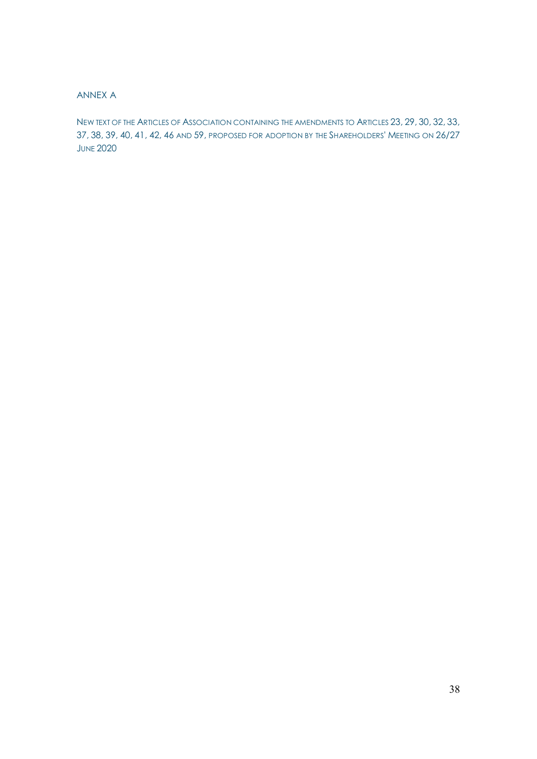# ANNEX A

NEW TEXT OF THE ARTICLES OF ASSOCIATION CONTAINING THE AMENDMENTS TO ARTICLES 23, 29, 30, 32, 33, 37, 38, 39, 40, 41, 42, 46 AND 59, PROPOSED FOR ADOPTION BY THE SHAREHOLDERS' MEETING ON 26/27 **JUNE 2020**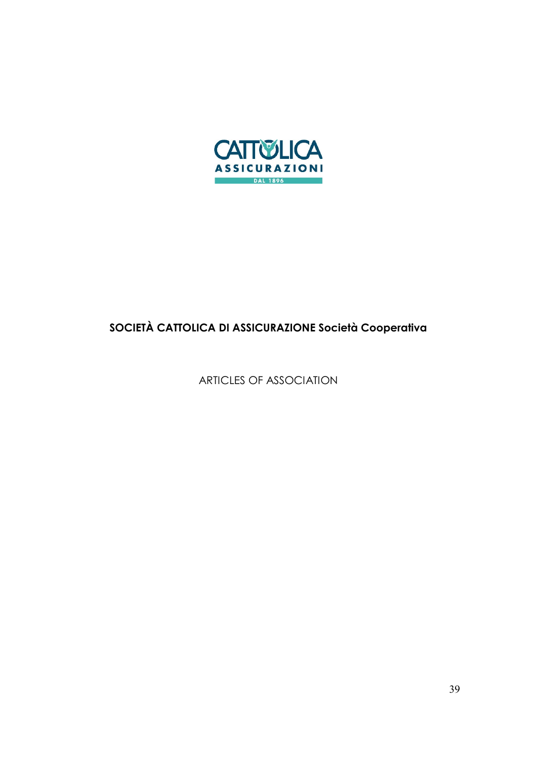

# **SOCIETÀ CATTOLICA DI ASSICURAZIONE Società Cooperativa**

ARTICLES OF ASSOCIATION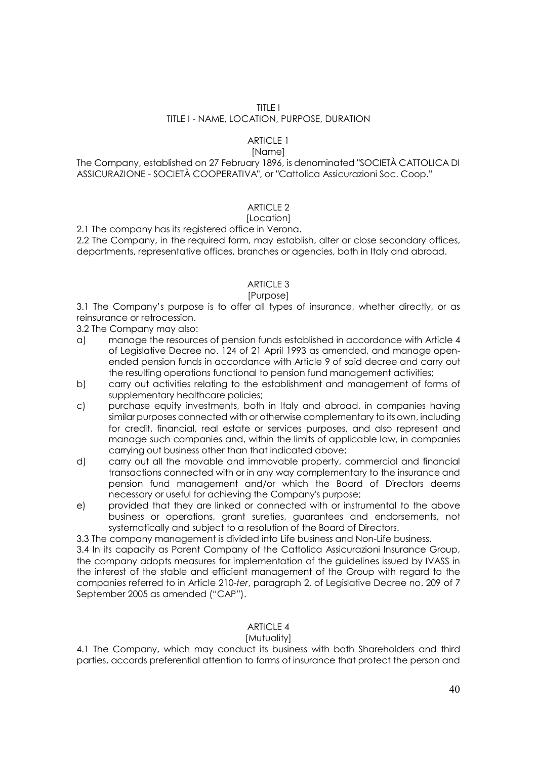#### TITLE I

#### TITLE I - NAME, LOCATION, PURPOSE, DURATION

# ARTICLE 1

# [Name]

The Company, established on 27 February 1896, is denominated "SOCIETÀ CATTOLICA DI ASSICURAZIONE - SOCIETÀ COOPERATIVA", or "Cattolica Assicurazioni Soc. Coop."

# ARTICLE 2

#### [Location]

2.1 The company has its registered office in Verona.

2.2 The Company, in the required form, may establish, alter or close secondary offices, departments, representative offices, branches or agencies, both in Italy and abroad.

## ARTICLE 3

#### [Purpose]

3.1 The Company's purpose is to offer all types of insurance, whether directly, or as reinsurance or retrocession.

3.2 The Company may also:

- a) manage the resources of pension funds established in accordance with Article 4 of Legislative Decree no. 124 of 21 April 1993 as amended, and manage openended pension funds in accordance with Article 9 of said decree and carry out the resulting operations functional to pension fund management activities;
- b) carry out activities relating to the establishment and management of forms of supplementary healthcare policies;
- c) purchase equity investments, both in Italy and abroad, in companies having similar purposes connected with or otherwise complementary to its own, including for credit, financial, real estate or services purposes, and also represent and manage such companies and, within the limits of applicable law, in companies carrying out business other than that indicated above;
- d) carry out all the movable and immovable property, commercial and financial transactions connected with or in any way complementary to the insurance and pension fund management and/or which the Board of Directors deems necessary or useful for achieving the Company's purpose;
- e) provided that they are linked or connected with or instrumental to the above business or operations, grant sureties, guarantees and endorsements, not systematically and subject to a resolution of the Board of Directors.

3.3 The company management is divided into Life business and Non-Life business.

3.4 In its capacity as Parent Company of the Cattolica Assicurazioni Insurance Group, the company adopts measures for implementation of the guidelines issued by IVASS in the interest of the stable and efficient management of the Group with regard to the companies referred to in Article 210-*ter*, paragraph 2, of Legislative Decree no. 209 of 7 September 2005 as amended ("CAP").

## ARTICLE 4

## [Mutuality]

4.1 The Company, which may conduct its business with both Shareholders and third parties, accords preferential attention to forms of insurance that protect the person and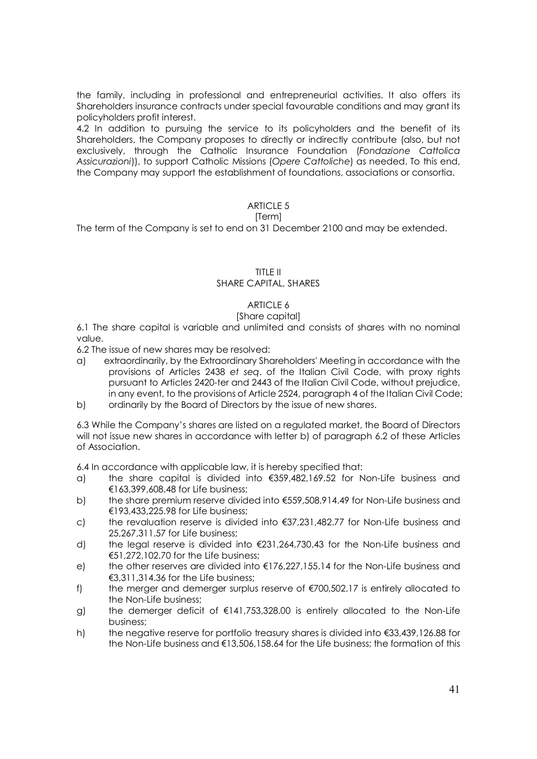the family, including in professional and entrepreneurial activities. It also offers its Shareholders insurance contracts under special favourable conditions and may grant its policyholders profit interest.

4.2 In addition to pursuing the service to its policyholders and the benefit of its Shareholders, the Company proposes to directly or indirectly contribute (also, but not exclusively, through the Catholic Insurance Foundation (*Fondazione Cattolica Assicurazioni*)), to support Catholic Missions (*Opere Cattoliche*) as needed. To this end, the Company may support the establishment of foundations, associations or consortia.

# ARTICLE 5

## [Term]

The term of the Company is set to end on 31 December 2100 and may be extended.

# TITLE II

## SHARE CAPITAL, SHARES

# ARTICLE 6

# [Share capital]

6.1 The share capital is variable and unlimited and consists of shares with no nominal value.

6.2 The issue of new shares may be resolved:

- a) extraordinarily, by the Extraordinary Shareholders' Meeting in accordance with the provisions of Articles 2438 *et seq*. of the Italian Civil Code, with proxy rights pursuant to Articles 2420-ter and 2443 of the Italian Civil Code, without prejudice, in any event, to the provisions of Article 2524, paragraph 4 of the Italian Civil Code;
- b) ordinarily by the Board of Directors by the issue of new shares.

6.3 While the Company's shares are listed on a regulated market, the Board of Directors will not issue new shares in accordance with letter b) of paragraph 6.2 of these Articles of Association.

6.4 In accordance with applicable law, it is hereby specified that:

- a) the share capital is divided into €359,482,169.52 for Non-Life business and €163,399,608.48 for Life business;
- b) the share premium reserve divided into €559,508,914.49 for Non-Life business and €193,433,225.98 for Life business;
- c) the revaluation reserve is divided into €37,231,482.77 for Non-Life business and 25,267,311.57 for Life business;
- d) the legal reserve is divided into €231,264,730.43 for the Non-Life business and €51,272,102.70 for the Life business;
- e) the other reserves are divided into  $E176,227,155.14$  for the Non-Life business and €3,311,314.36 for the Life business;
- f) the merger and demerger surplus reserve of  $\epsilon$ 700,502.17 is entirely allocated to the Non-Life business;
- g) the demerger deficit of  $\epsilon$ 141,753,328.00 is entirely allocated to the Non-Life business;
- h) the negative reserve for portfolio treasury shares is divided into €33,439,126.88 for the Non-Life business and €13,506,158.64 for the Life business; the formation of this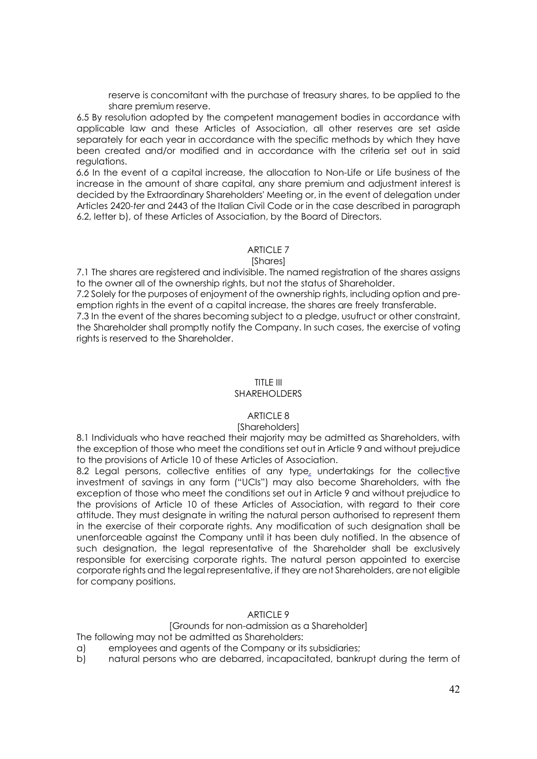reserve is concomitant with the purchase of treasury shares, to be applied to the share premium reserve.

6.5 By resolution adopted by the competent management bodies in accordance with applicable law and these Articles of Association, all other reserves are set aside separately for each year in accordance with the specific methods by which they have been created and/or modified and in accordance with the criteria set out in said regulations.

*6.6* In the event of a capital increase, the allocation to Non-Life or Life business of the increase in the amount of share capital, any share premium and adjustment interest is decided by the Extraordinary Shareholders' Meeting or, in the event of delegation under Articles 2420-*ter* and 2443 of the Italian Civil Code or in the case described in paragraph 6.2, letter b), of these Articles of Association, by the Board of Directors.

#### ARTICLE 7

#### [Shares]

7.1 The shares are registered and indivisible. The named registration of the shares assigns to the owner all of the ownership rights, but not the status of Shareholder.

7.2 Solely for the purposes of enjoyment of the ownership rights, including option and preemption rights in the event of a capital increase, the shares are freely transferable.

7.3 In the event of the shares becoming subject to a pledge, usufruct or other constraint, the Shareholder shall promptly notify the Company. In such cases, the exercise of voting rights is reserved to the Shareholder.

# TITLE III

# SHARFHOLDERS

## $ARTICIF 8$

#### [Shareholders]

8.1 Individuals who have reached their majority may be admitted as Shareholders, with the exception of those who meet the conditions set out in Article 9 and without prejudice to the provisions of Article 10 of these Articles of Association.

8.2 Legal persons, collective entities of any type, undertakings for the collective investment of savings in any form ("UCIs") may also become Shareholders, with the exception of those who meet the conditions set out in Article 9 and without prejudice to the provisions of Article 10 of these Articles of Association, with regard to their core attitude. They must designate in writing the natural person authorised to represent them in the exercise of their corporate rights. Any modification of such designation shall be unenforceable against the Company until it has been duly notified. In the absence of such designation, the legal representative of the Shareholder shall be exclusively responsible for exercising corporate rights. The natural person appointed to exercise corporate rights and the legal representative, if they are not Shareholders, are not eligible for company positions.

## ARTICLE 9

# [Grounds for non-admission as a Shareholder]

The following may not be admitted as Shareholders:

- a) employees and agents of the Company or its subsidiaries;
- b) natural persons who are debarred, incapacitated, bankrupt during the term of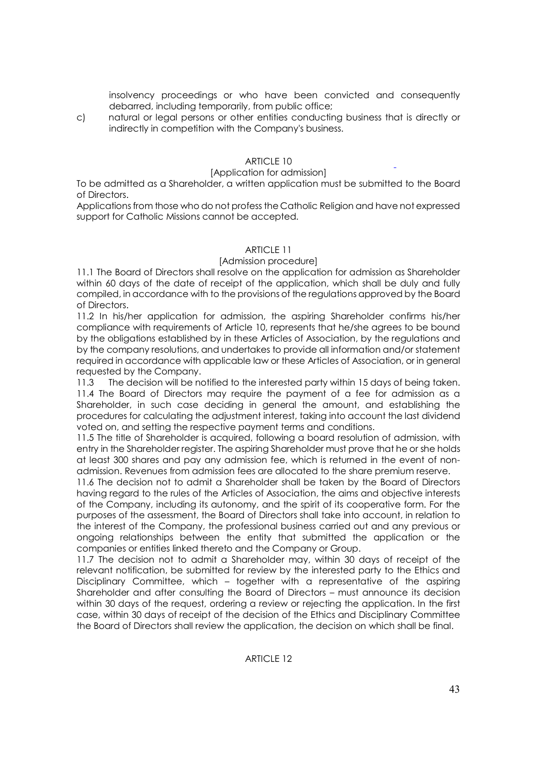insolvency proceedings or who have been convicted and consequently debarred, including temporarily, from public office;

c) natural or legal persons or other entities conducting business that is directly or indirectly in competition with the Company's business.

# ARTICLE 10

## [Application for admission]

To be admitted as a Shareholder, a written application must be submitted to the Board of Directors.

Applications from those who do not profess the Catholic Religion and have not expressed support for Catholic Missions cannot be accepted.

## ARTICLE 11

#### [Admission procedure]

11.1 The Board of Directors shall resolve on the application for admission as Shareholder within 60 days of the date of receipt of the application, which shall be duly and fully compiled, in accordance with to the provisions of the regulations approved by the Board of Directors.

11.2 In his/her application for admission, the aspiring Shareholder confirms his/her compliance with requirements of Article 10, represents that he/she agrees to be bound by the obligations established by in these Articles of Association, by the regulations and by the company resolutions, and undertakes to provide all information and/or statement required in accordance with applicable law or these Articles of Association, or in general requested by the Company.

11.3 The decision will be notified to the interested party within 15 days of being taken. 11.4 The Board of Directors may require the payment of a fee for admission as a Shareholder, in such case deciding in general the amount, and establishing the procedures for calculating the adjustment interest, taking into account the last dividend voted on, and setting the respective payment terms and conditions.

11.5 The title of Shareholder is acquired, following a board resolution of admission, with entry in the Shareholder register. The aspiring Shareholder must prove that he or she holds at least 300 shares and pay any admission fee, which is returned in the event of nonadmission. Revenues from admission fees are allocated to the share premium reserve.

11.6 The decision not to admit a Shareholder shall be taken by the Board of Directors having regard to the rules of the Articles of Association, the aims and objective interests of the Company, including its autonomy, and the spirit of its cooperative form. For the purposes of the assessment, the Board of Directors shall take into account, in relation to the interest of the Company, the professional business carried out and any previous or ongoing relationships between the entity that submitted the application or the companies or entities linked thereto and the Company or Group.

11.7 The decision not to admit a Shareholder may, within 30 days of receipt of the relevant notification, be submitted for review by the interested party to the Ethics and Disciplinary Committee, which – together with a representative of the aspiring Shareholder and after consulting the Board of Directors – must announce its decision within 30 days of the request, ordering a review or rejecting the application. In the first case, within 30 days of receipt of the decision of the Ethics and Disciplinary Committee the Board of Directors shall review the application, the decision on which shall be final.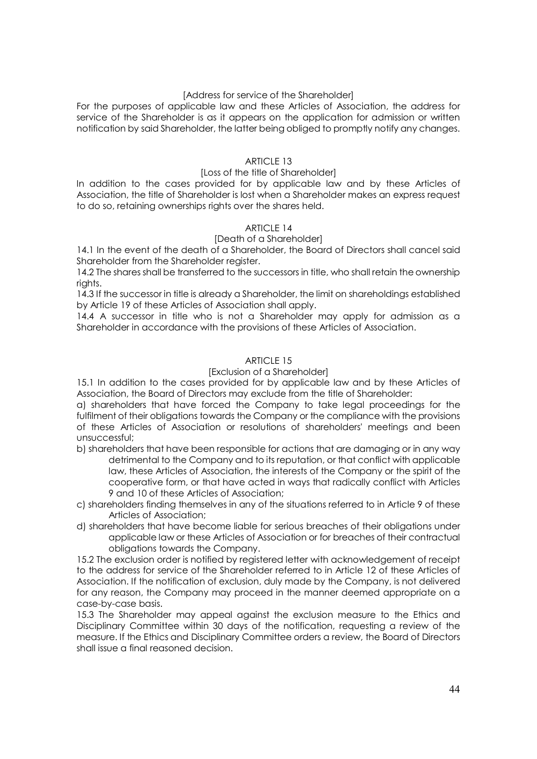## [Address for service of the Shareholder]

For the purposes of applicable law and these Articles of Association, the address for service of the Shareholder is as it appears on the application for admission or written notification by said Shareholder, the latter being obliged to promptly notify any changes.

## ARTICLE 13

## [Loss of the title of Shareholder]

In addition to the cases provided for by applicable law and by these Articles of Association, the title of Shareholder is lost when a Shareholder makes an express request to do so, retaining ownerships rights over the shares held.

# ARTICLE 14

# [Death of a Shareholder]

14.1 In the event of the death of a Shareholder, the Board of Directors shall cancel said Shareholder from the Shareholder register.

14.2 The shares shall be transferred to the successors in title, who shall retain the ownership rights.

14.3 If the successor in title is already a Shareholder, the limit on shareholdings established by Article 19 of these Articles of Association shall apply.

14.4 A successor in title who is not a Shareholder may apply for admission as a Shareholder in accordance with the provisions of these Articles of Association.

# ARTICLE 15

#### [Exclusion of a Shareholder]

15.1 In addition to the cases provided for by applicable law and by these Articles of Association, the Board of Directors may exclude from the title of Shareholder:

a) shareholders that have forced the Company to take legal proceedings for the fulfilment of their obligations towards the Company or the compliance with the provisions of these Articles of Association or resolutions of shareholders' meetings and been unsuccessful;

- b) shareholders that have been responsible for actions that are damaging or in any way detrimental to the Company and to its reputation, or that conflict with applicable law, these Articles of Association, the interests of the Company or the spirit of the cooperative form, or that have acted in ways that radically conflict with Articles 9 and 10 of these Articles of Association;
- c) shareholders finding themselves in any of the situations referred to in Article 9 of these Articles of Association;
- d) shareholders that have become liable for serious breaches of their obligations under applicable law or these Articles of Association or for breaches of their contractual obligations towards the Company.

15.2 The exclusion order is notified by registered letter with acknowledgement of receipt to the address for service of the Shareholder referred to in Article 12 of these Articles of Association. If the notification of exclusion, duly made by the Company, is not delivered for any reason, the Company may proceed in the manner deemed appropriate on a case-by-case basis.

15.3 The Shareholder may appeal against the exclusion measure to the Ethics and Disciplinary Committee within 30 days of the notification, requesting a review of the measure. If the Ethics and Disciplinary Committee orders a review, the Board of Directors shall issue a final reasoned decision.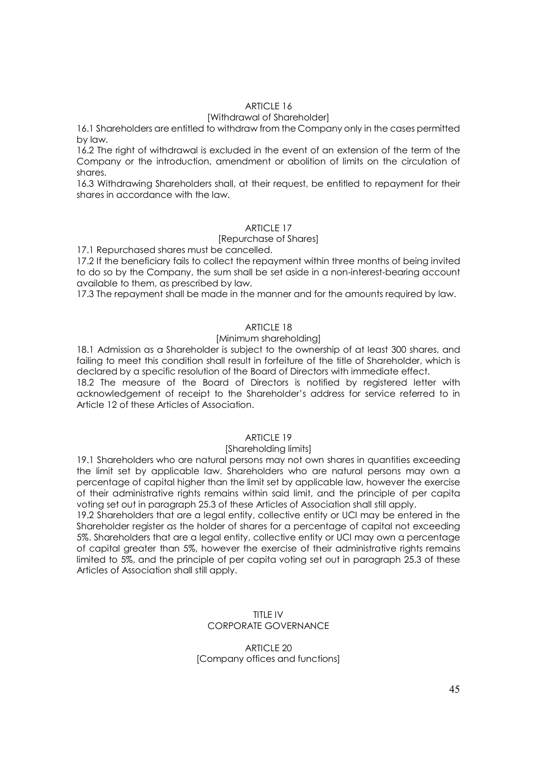# ARTICLE 16

## [Withdrawal of Shareholder]

16.1 Shareholders are entitled to withdraw from the Company only in the cases permitted by law.

16.2 The right of withdrawal is excluded in the event of an extension of the term of the Company or the introduction, amendment or abolition of limits on the circulation of shares.

16.3 Withdrawing Shareholders shall, at their request, be entitled to repayment for their shares in accordance with the law.

#### ARTICLE 17

#### [Repurchase of Shares]

17.1 Repurchased shares must be cancelled.

17.2 If the beneficiary fails to collect the repayment within three months of being invited to do so by the Company, the sum shall be set aside in a non-interest-bearing account available to them, as prescribed by law.

17.3 The repayment shall be made in the manner and for the amounts required by law.

## ARTICLE 18

#### [Minimum shareholding]

18.1 Admission as a Shareholder is subject to the ownership of at least 300 shares, and failing to meet this condition shall result in forfeiture of the title of Shareholder, which is declared by a specific resolution of the Board of Directors with immediate effect.

18.2 The measure of the Board of Directors is notified by registered letter with acknowledgement of receipt to the Shareholder's address for service referred to in Article 12 of these Articles of Association.

## ARTICLE 19

#### [Shareholding limits]

19.1 Shareholders who are natural persons may not own shares in quantities exceeding the limit set by applicable law. Shareholders who are natural persons may own a percentage of capital higher than the limit set by applicable law, however the exercise of their administrative rights remains within said limit, and the principle of per capita voting set out in paragraph 25.3 of these Articles of Association shall still apply.

19.2 Shareholders that are a legal entity, collective entity or UCI may be entered in the Shareholder register as the holder of shares for a percentage of capital not exceeding 5%. Shareholders that are a legal entity, collective entity or UCI may own a percentage of capital greater than 5%, however the exercise of their administrative rights remains limited to 5%, and the principle of per capita voting set out in paragraph 25.3 of these Articles of Association shall still apply.

## TITLE IV CORPORATE GOVERNANCE

#### ARTICLE 20 [Company offices and functions]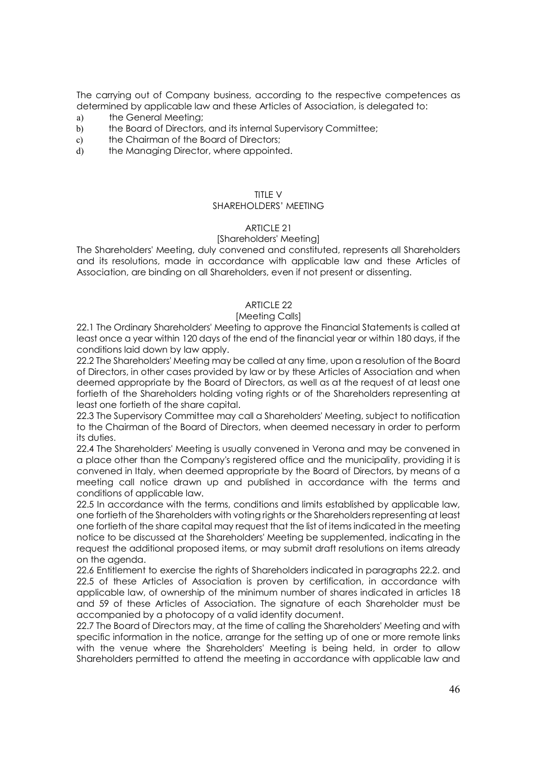The carrying out of Company business, according to the respective competences as determined by applicable law and these Articles of Association, is delegated to:

- a) the General Meeting;
- b) the Board of Directors, and its internal Supervisory Committee;
- c) the Chairman of the Board of Directors;
- d) the Managing Director, where appointed.

#### TITLE  $V$

## SHARFHOLDERS' MEETING

#### ARTICLE 21

#### [Shareholders' Meeting]

The Shareholders' Meeting, duly convened and constituted, represents all Shareholders and its resolutions, made in accordance with applicable law and these Articles of Association, are binding on all Shareholders, even if not present or dissenting.

## ARTICLE 22

#### [Meeting Calls]

22.1 The Ordinary Shareholders' Meeting to approve the Financial Statements is called at least once a year within 120 days of the end of the financial year or within 180 days, if the conditions laid down by law apply.

22.2 The Shareholders' Meeting may be called at any time, upon a resolution of the Board of Directors, in other cases provided by law or by these Articles of Association and when deemed appropriate by the Board of Directors, as well as at the request of at least one fortieth of the Shareholders holding voting rights or of the Shareholders representing at least one fortieth of the share capital.

22.3 The Supervisory Committee may call a Shareholders' Meeting, subject to notification to the Chairman of the Board of Directors, when deemed necessary in order to perform its duties.

22.4 The Shareholders' Meeting is usually convened in Verona and may be convened in a place other than the Company's registered office and the municipality, providing it is convened in Italy, when deemed appropriate by the Board of Directors, by means of a meeting call notice drawn up and published in accordance with the terms and conditions of applicable law.

22.5 In accordance with the terms, conditions and limits established by applicable law, one fortieth of the Shareholders with voting rights or the Shareholders representing at least one fortieth of the share capital may request that the list of items indicated in the meeting notice to be discussed at the Shareholders' Meeting be supplemented, indicating in the request the additional proposed items, or may submit draft resolutions on items already on the agenda.

22.6 Entitlement to exercise the rights of Shareholders indicated in paragraphs 22.2. and 22.5 of these Articles of Association is proven by certification, in accordance with applicable law, of ownership of the minimum number of shares indicated in articles 18 and 59 of these Articles of Association. The signature of each Shareholder must be accompanied by a photocopy of a valid identity document.

22.7 The Board of Directors may, at the time of calling the Shareholders' Meeting and with specific information in the notice, arrange for the setting up of one or more remote links with the venue where the Shareholders' Meeting is being held, in order to allow Shareholders permitted to attend the meeting in accordance with applicable law and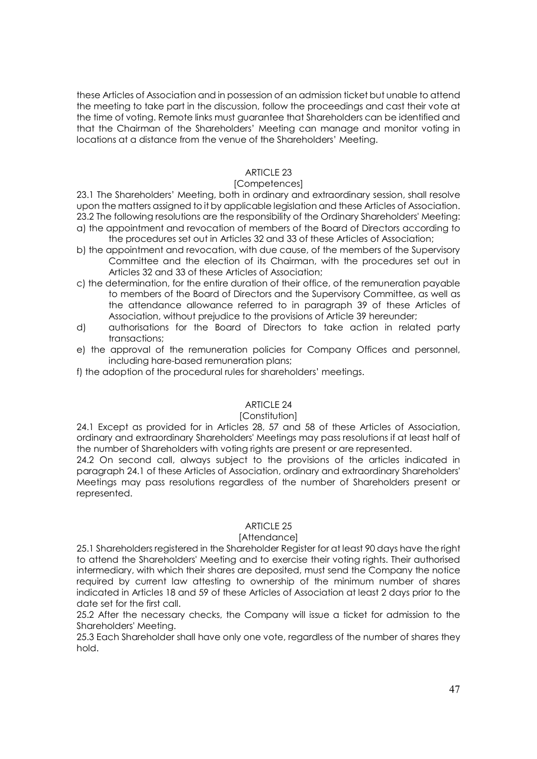these Articles of Association and in possession of an admission ticket but unable to attend the meeting to take part in the discussion, follow the proceedings and cast their vote at the time of voting. Remote links must guarantee that Shareholders can be identified and that the Chairman of the Shareholders' Meeting can manage and monitor voting in locations at a distance from the venue of the Shareholders' Meeting.

# ARTICLE 23

## [Competences]

23.1 The Shareholders' Meeting, both in ordinary and extraordinary session, shall resolve upon the matters assigned to it by applicable legislation and these Articles of Association. 23.2 The following resolutions are the responsibility of the Ordinary Shareholders' Meeting: a) the appointment and revocation of members of the Board of Directors according to the procedures set out in Articles 32 and 33 of these Articles of Association;

- b) the appointment and revocation, with due cause, of the members of the Supervisory Committee and the election of its Chairman, with the procedures set out in Articles 32 and 33 of these Articles of Association;
- c) the determination, for the entire duration of their office, of the remuneration payable to members of the Board of Directors and the Supervisory Committee, as well as the attendance allowance referred to in paragraph 39 of these Articles of Association, without prejudice to the provisions of Article 39 hereunder;
- d) authorisations for the Board of Directors to take action in related party transactions;
- e) the approval of the remuneration policies for Company Offices and personnel, including hare-based remuneration plans;
- f) the adoption of the procedural rules for shareholders' meetings.

## ARTICLE 24

## [Constitution]

24.1 Except as provided for in Articles 28, 57 and 58 of these Articles of Association, ordinary and extraordinary Shareholders' Meetings may pass resolutions if at least half of the number of Shareholders with voting rights are present or are represented.

24.2 On second call, always subject to the provisions of the articles indicated in paragraph 24.1 of these Articles of Association, ordinary and extraordinary Shareholders' Meetings may pass resolutions regardless of the number of Shareholders present or represented.

## ARTICLE 25

## [Attendance]

25.1 Shareholders registered in the Shareholder Register for at least 90 days have the right to attend the Shareholders' Meeting and to exercise their voting rights. Their authorised intermediary, with which their shares are deposited, must send the Company the notice required by current law attesting to ownership of the minimum number of shares indicated in Articles 18 and 59 of these Articles of Association at least 2 days prior to the date set for the first call.

25.2 After the necessary checks, the Company will issue a ticket for admission to the Shareholders' Meeting.

25.3 Each Shareholder shall have only one vote, regardless of the number of shares they hold.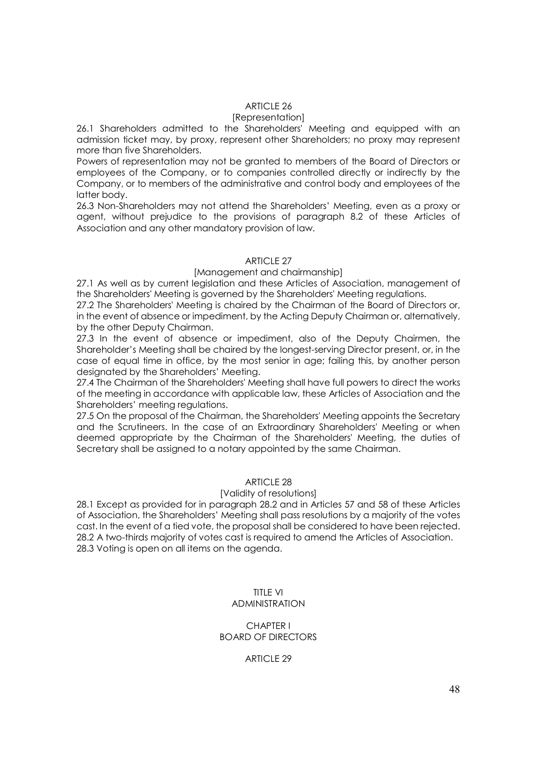# ARTICLE 26

#### [Representation]

26.1 Shareholders admitted to the Shareholders' Meeting and equipped with an admission ticket may, by proxy, represent other Shareholders; no proxy may represent more than five Shareholders.

Powers of representation may not be granted to members of the Board of Directors or employees of the Company, or to companies controlled directly or indirectly by the Company, or to members of the administrative and control body and employees of the latter body.

26.3 Non-Shareholders may not attend the Shareholders' Meeting, even as a proxy or agent, without prejudice to the provisions of paragraph 8.2 of these Articles of Association and any other mandatory provision of law.

## ARTICLE 27

## [Management and chairmanship]

27.1 As well as by current legislation and these Articles of Association, management of the Shareholders' Meeting is governed by the Shareholders' Meeting regulations.

27.2 The Shareholders' Meeting is chaired by the Chairman of the Board of Directors or, in the event of absence or impediment, by the Acting Deputy Chairman or, alternatively, by the other Deputy Chairman.

27.3 In the event of absence or impediment, also of the Deputy Chairmen, the Shareholder's Meeting shall be chaired by the longest-serving Director present, or, in the case of equal time in office, by the most senior in age; failing this, by another person designated by the Shareholders' Meeting.

27.4 The Chairman of the Shareholders' Meeting shall have full powers to direct the works of the meeting in accordance with applicable law, these Articles of Association and the Shareholders' meeting regulations.

27.5 On the proposal of the Chairman, the Shareholders' Meeting appoints the Secretary and the Scrutineers. In the case of an Extraordinary Shareholders' Meeting or when deemed appropriate by the Chairman of the Shareholders' Meeting, the duties of Secretary shall be assigned to a notary appointed by the same Chairman.

# ARTICLE 28

#### [Validity of resolutions]

28.1 Except as provided for in paragraph 28.2 and in Articles 57 and 58 of these Articles of Association, the Shareholders' Meeting shall pass resolutions by a majority of the votes cast. In the event of a tied vote, the proposal shall be considered to have been rejected. 28.2 A two-thirds majority of votes cast is required to amend the Articles of Association. 28.3 Voting is open on all items on the agenda.

#### TITLE VI ADMINISTRATION

#### CHAPTER I BOARD OF DIRECTORS

## ARTICLE 29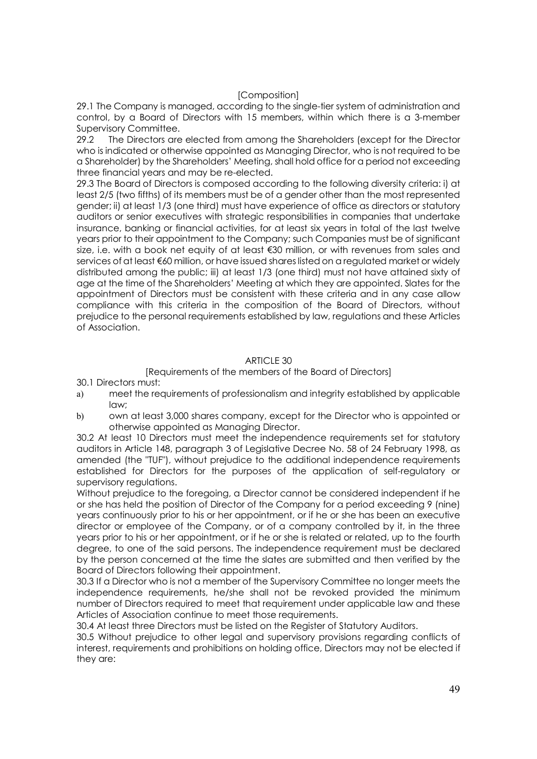# [Composition]

29.1 The Company is managed, according to the single-tier system of administration and control, by a Board of Directors with 15 members, within which there is a 3-member Supervisory Committee.

29.2 The Directors are elected from among the Shareholders (except for the Director who is indicated or otherwise appointed as Managing Director, who is not required to be a Shareholder) by the Shareholders' Meeting, shall hold office for a period not exceeding three financial years and may be re-elected.

29.3 The Board of Directors is composed according to the following diversity criteria: i) at least 2/5 (two fifths) of its members must be of a gender other than the most represented gender; ii) at least 1/3 (one third) must have experience of office as directors or statutory auditors or senior executives with strategic responsibilities in companies that undertake insurance, banking or financial activities, for at least six years in total of the last twelve years prior to their appointment to the Company; such Companies must be of significant size, i.e. with a book net equity of at least €30 million, or with revenues from sales and services of at least €60 million, or have issued shares listed on a regulated market or widely distributed among the public; iii) at least 1/3 (one third) must not have attained sixty of age at the time of the Shareholders' Meeting at which they are appointed. Slates for the appointment of Directors must be consistent with these criteria and in any case allow compliance with this criteria in the composition of the Board of Directors, without prejudice to the personal requirements established by law, regulations and these Articles of Association.

# ARTICLE 30

## [Requirements of the members of the Board of Directors]

30.1 Directors must:

- a) meet the requirements of professionalism and integrity established by applicable law;
- b) own at least 3,000 shares company, except for the Director who is appointed or otherwise appointed as Managing Director.

30.2 At least 10 Directors must meet the independence requirements set for statutory auditors in Article 148, paragraph 3 of Legislative Decree No. 58 of 24 February 1998, as amended (the "TUF"), without prejudice to the additional independence requirements established for Directors for the purposes of the application of self-regulatory or supervisory regulations.

Without prejudice to the foregoing, a Director cannot be considered independent if he or she has held the position of Director of the Company for a period exceeding 9 (nine) years continuously prior to his or her appointment, or if he or she has been an executive director or employee of the Company, or of a company controlled by it, in the three years prior to his or her appointment, or if he or she is related or related, up to the fourth degree, to one of the said persons. The independence requirement must be declared by the person concerned at the time the slates are submitted and then verified by the Board of Directors following their appointment.

30.3 If a Director who is not a member of the Supervisory Committee no longer meets the independence requirements, he/she shall not be revoked provided the minimum number of Directors required to meet that requirement under applicable law and these Articles of Association continue to meet those requirements.

30.4 At least three Directors must be listed on the Register of Statutory Auditors.

30.5 Without prejudice to other legal and supervisory provisions regarding conflicts of interest, requirements and prohibitions on holding office, Directors may not be elected if they are: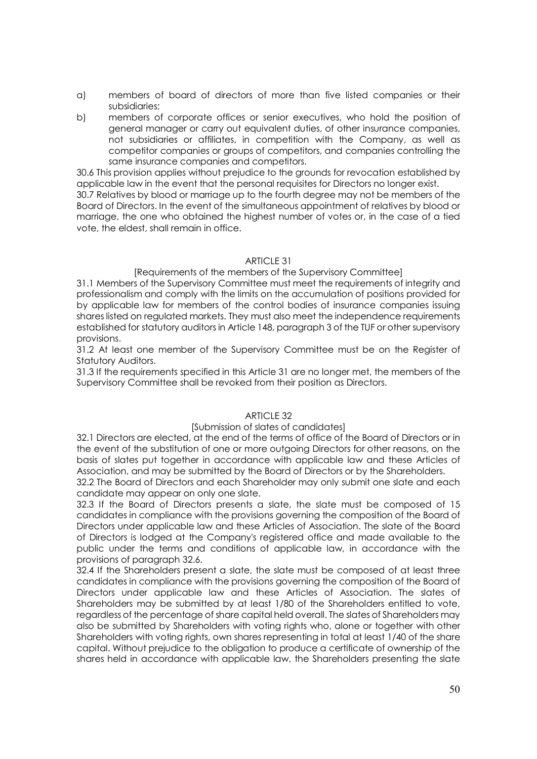- a) members of board of directors of more than five listed companies or their subsidiaries;
- b) members of corporate offices or senior executives, who hold the position of general manager or carry out equivalent duties, of other insurance companies, not subsidiaries or affiliates, in competition with the Company, as well as competitor companies or groups of competitors, and companies controlling the same insurance companies and competitors.

30.6 This provision applies without prejudice to the grounds for revocation established by applicable law in the event that the personal requisites for Directors no longer exist.

30.7 Relatives by blood or marriage up to the fourth degree may not be members of the Board of Directors. In the event of the simultaneous appointment of relatives by blood or marriage, the one who obtained the highest number of votes or, in the case of a tied vote, the eldest, shall remain in office.

# ARTICLE 31

## [Requirements of the members of the Supervisory Committee]

31.1 Members of the Supervisory Committee must meet the requirements of integrity and professionalism and comply with the limits on the accumulation of positions provided for by applicable law for members of the control bodies of insurance companies issuing shares listed on regulated markets. They must also meet the independence requirements established for statutory auditors in Article 148, paragraph 3 of the TUF or other supervisory provisions.

31.2 At least one member of the Supervisory Committee must be on the Register of Statutory Auditors.

31.3 If the requirements specified in this Article 31 are no longer met, the members of the Supervisory Committee shall be revoked from their position as Directors.

## $ARTICIF 32$

## [Submission of slates of candidates]

32.1 Directors are elected, at the end of the terms of office of the Board of Directors or in the event of the substitution of one or more outgoing Directors for other reasons, on the basis of slates put together in accordance with applicable law and these Articles of Association, and may be submitted by the Board of Directors or by the Shareholders.

32.2 The Board of Directors and each Shareholder may only submit one slate and each candidate may appear on only one slate.

32.3 If the Board of Directors presents a slate, the slate must be composed of 15 candidates in compliance with the provisions governing the composition of the Board of Directors under applicable law and these Articles of Association. The slate of the Board of Directors is lodged at the Company's registered office and made available to the public under the terms and conditions of applicable law, in accordance with the provisions of paragraph 32.6.

32.4 If the Shareholders present a slate, the slate must be composed of at least three candidates in compliance with the provisions governing the composition of the Board of Directors under applicable law and these Articles of Association. The slates of Shareholders may be submitted by at least 1/80 of the Shareholders entitled to vote, regardless of the percentage of share capital held overall. The slates of Shareholders may also be submitted by Shareholders with voting rights who, alone or together with other Shareholders with voting rights, own shares representing in total at least 1/40 of the share capital. Without prejudice to the obligation to produce a certificate of ownership of the shares held in accordance with applicable law, the Shareholders presenting the slate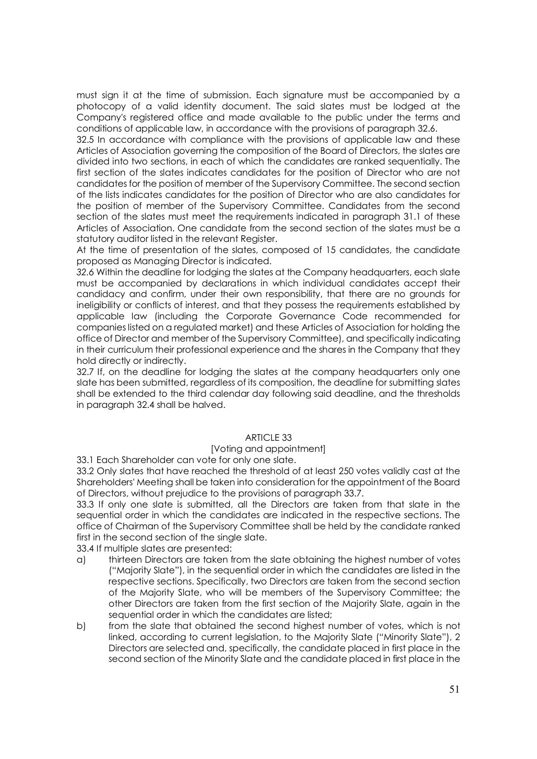must sign it at the time of submission. Each signature must be accompanied by a photocopy of a valid identity document. The said slates must be lodged at the Company's registered office and made available to the public under the terms and conditions of applicable law, in accordance with the provisions of paragraph 32.6.

32.5 In accordance with compliance with the provisions of applicable law and these Articles of Association governing the composition of the Board of Directors, the slates are divided into two sections, in each of which the candidates are ranked sequentially. The first section of the slates indicates candidates for the position of Director who are not candidates for the position of member of the Supervisory Committee. The second section of the lists indicates candidates for the position of Director who are also candidates for the position of member of the Supervisory Committee. Candidates from the second section of the slates must meet the requirements indicated in paragraph 31.1 of these Articles of Association. One candidate from the second section of the slates must be a statutory auditor listed in the relevant Register.

At the time of presentation of the slates, composed of 15 candidates, the candidate proposed as Managing Director is indicated.

*32.6* Within the deadline for lodging the slates at the Company headquarters, each slate must be accompanied by declarations in which individual candidates accept their candidacy and confirm, under their own responsibility, that there are no grounds for ineligibility or conflicts of interest, and that they possess the requirements established by applicable law (including the Corporate Governance Code recommended for companies listed on a regulated market) and these Articles of Association for holding the office of Director and member of the Supervisory Committee), and specifically indicating in their curriculum their professional experience and the shares in the Company that they hold directly or indirectly.

32.7 If, on the deadline for lodging the slates at the company headquarters only one slate has been submitted, regardless of its composition, the deadline for submitting slates shall be extended to the third calendar day following said deadline, and the thresholds in paragraph 32.4 shall be halved.

## ARTICLE 33

#### [Voting and appointment]

33.1 Each Shareholder can vote for only one slate.

33.2 Only slates that have reached the threshold of at least 250 votes validly cast at the Shareholders' Meeting shall be taken into consideration for the appointment of the Board of Directors, without prejudice to the provisions of paragraph 33.7.

33.3 If only one slate is submitted, all the Directors are taken from that slate in the sequential order in which the candidates are indicated in the respective sections. The office of Chairman of the Supervisory Committee shall be held by the candidate ranked first in the second section of the single slate.

33.4 If multiple slates are presented:

- a) thirteen Directors are taken from the slate obtaining the highest number of votes ("Majority Slate"), in the sequential order in which the candidates are listed in the respective sections. Specifically, two Directors are taken from the second section of the Majority Slate, who will be members of the Supervisory Committee; the other Directors are taken from the first section of the Majority Slate, again in the sequential order in which the candidates are listed;
- b) from the slate that obtained the second highest number of votes, which is not linked, according to current legislation, to the Majority Slate ("Minority Slate"), 2 Directors are selected and, specifically, the candidate placed in first place in the second section of the Minority Slate and the candidate placed in first place in the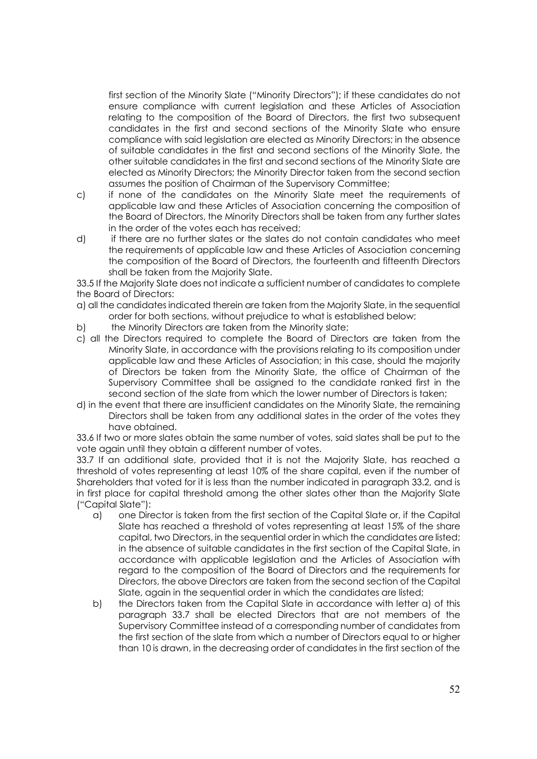first section of the Minority Slate ("Minority Directors"); if these candidates do not ensure compliance with current legislation and these Articles of Association relating to the composition of the Board of Directors, the first two subsequent candidates in the first and second sections of the Minority Slate who ensure compliance with said legislation are elected as Minority Directors; in the absence of suitable candidates in the first and second sections of the Minority Slate, the other suitable candidates in the first and second sections of the Minority Slate are elected as Minority Directors; the Minority Director taken from the second section assumes the position of Chairman of the Supervisory Committee;

- c) if none of the candidates on the Minority Slate meet the requirements of applicable law and these Articles of Association concerning the composition of the Board of Directors, the Minority Directors shall be taken from any further slates in the order of the votes each has received;
- d) if there are no further slates or the slates do not contain candidates who meet the requirements of applicable law and these Articles of Association concerning the composition of the Board of Directors, the fourteenth and fifteenth Directors shall be taken from the Majority Slate.

33.5 If the Majority Slate does not indicate a sufficient number of candidates to complete the Board of Directors:

- a) all the candidates indicated therein are taken from the Majority Slate, in the sequential order for both sections, without prejudice to what is established below;
- b) the Minority Directors are taken from the Minority slate;
- c) all the Directors required to complete the Board of Directors are taken from the Minority Slate, in accordance with the provisions relating to its composition under applicable law and these Articles of Association; in this case, should the majority of Directors be taken from the Minority Slate, the office of Chairman of the Supervisory Committee shall be assigned to the candidate ranked first in the second section of the slate from which the lower number of Directors is taken;
- d) in the event that there are insufficient candidates on the Minority Slate, the remaining Directors shall be taken from any additional slates in the order of the votes they have obtained.

33.6 If two or more slates obtain the same number of votes, said slates shall be put to the vote again until they obtain a different number of votes.

33.7 If an additional slate, provided that it is not the Majority Slate, has reached a threshold of votes representing at least 10% of the share capital, even if the number of Shareholders that voted for it is less than the number indicated in paragraph 33.2, and is in first place for capital threshold among the other slates other than the Majority Slate ("Capital Slate"):

- a) one Director is taken from the first section of the Capital Slate or, if the Capital Slate has reached a threshold of votes representing at least 15% of the share capital, two Directors, in the sequential order in which the candidates are listed; in the absence of suitable candidates in the first section of the Capital Slate, in accordance with applicable legislation and the Articles of Association with regard to the composition of the Board of Directors and the requirements for Directors, the above Directors are taken from the second section of the Capital Slate, again in the sequential order in which the candidates are listed;
- b) the Directors taken from the Capital Slate in accordance with letter a) of this paragraph 33.7 shall be elected Directors that are not members of the Supervisory Committee instead of a corresponding number of candidates from the first section of the slate from which a number of Directors equal to or higher than 10 is drawn, in the decreasing order of candidates in the first section of the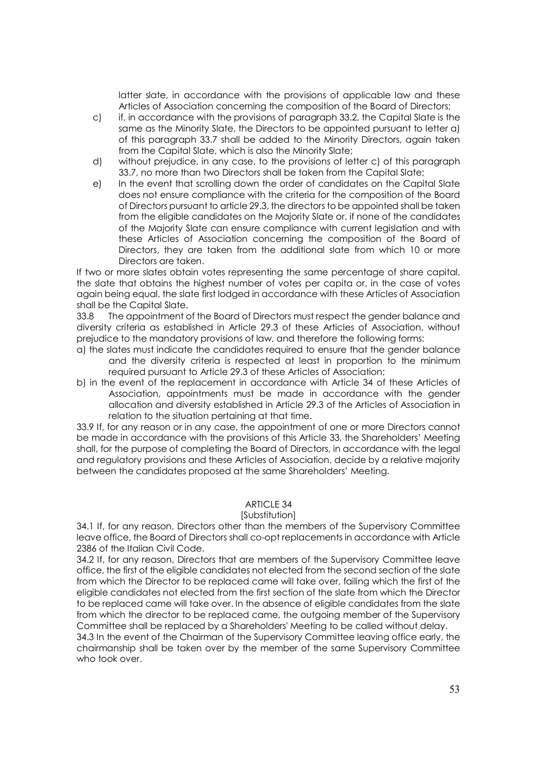latter slate, in accordance with the provisions of applicable law and these Articles of Association concerning the composition of the Board of Directors;

- c) if, in accordance with the provisions of paragraph 33.2, the Capital Slate is the same as the Minority Slate, the Directors to be appointed pursuant to letter a) of this paragraph 33.7 shall be added to the Minority Directors, again taken from the Capital Slate, which is also the Minority Slate;
- d) without prejudice, in any case, to the provisions of letter c) of this paragraph 33.7, no more than two Directors shall be taken from the Capital Slate;
- e) In the event that scrolling down the order of candidates on the Capital Slate does not ensure compliance with the criteria for the composition of the Board of Directors pursuant to article 29.3, the directors to be appointed shall be taken from the eligible candidates on the Majority Slate or, if none of the candidates of the Majority Slate can ensure compliance with current legislation and with these Articles of Association concerning the composition of the Board of Directors, they are taken from the additional slate from which 10 or more Directors are taken.

If two or more slates obtain votes representing the same percentage of share capital, the slate that obtains the highest number of votes per capita or, in the case of votes again being equal, the slate first lodged in accordance with these Articles of Association shall be the Capital Slate.

33.8 The appointment of the Board of Directors must respect the gender balance and diversity criteria as established in Article 29.3 of these Articles of Association, without prejudice to the mandatory provisions of law, and therefore the following forms:

- a) the slates must indicate the candidates required to ensure that the gender balance and the diversity criteria is respected at least in proportion to the minimum required pursuant to Article 29.3 of these Articles of Association;
- b) in the event of the replacement in accordance with Article 34 of these Articles of Association, appointments must be made in accordance with the gender allocation and diversity established in Article 29.3 of the Articles of Association in relation to the situation pertaining at that time.

33.9 If, for any reason or in any case, the appointment of one or more Directors cannot be made in accordance with the provisions of this Article 33, the Shareholders' Meeting shall, for the purpose of completing the Board of Directors, in accordance with the legal and regulatory provisions and these Articles of Association, decide by a relative majority between the candidates proposed at the same Shareholders' Meeting.

## ARTICLE 34

## [Substitution]

34.1 If, for any reason, Directors other than the members of the Supervisory Committee leave office, the Board of Directors shall co-opt replacements in accordance with Article 2386 of the Italian Civil Code.

34.2 If, for any reason, Directors that are members of the Supervisory Committee leave office, the first of the eligible candidates not elected from the second section of the slate from which the Director to be replaced came will take over, failing which the first of the eligible candidates not elected from the first section of the slate from which the Director to be replaced came will take over. In the absence of eligible candidates from the slate from which the director to be replaced came, the outgoing member of the Supervisory Committee shall be replaced by a Shareholders' Meeting to be called without delay.

34.3 In the event of the Chairman of the Supervisory Committee leaving office early, the chairmanship shall be taken over by the member of the same Supervisory Committee who took over.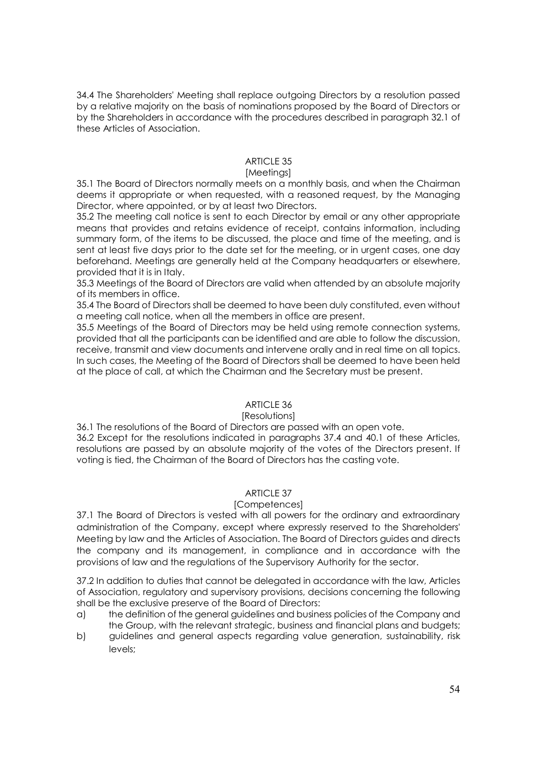34.4 The Shareholders' Meeting shall replace outgoing Directors by a resolution passed by a relative majority on the basis of nominations proposed by the Board of Directors or by the Shareholders in accordance with the procedures described in paragraph 32.1 of these Articles of Association.

# ARTICLE 35

# [Meetings]

35.1 The Board of Directors normally meets on a monthly basis, and when the Chairman deems it appropriate or when requested, with a reasoned request, by the Managing Director, where appointed, or by at least two Directors.

35.2 The meeting call notice is sent to each Director by email or any other appropriate means that provides and retains evidence of receipt, contains information, including summary form, of the items to be discussed, the place and time of the meeting, and is sent at least five days prior to the date set for the meeting, or in urgent cases, one day beforehand. Meetings are generally held at the Company headquarters or elsewhere, provided that it is in Italy.

35.3 Meetings of the Board of Directors are valid when attended by an absolute majority of its members in office.

35.4 The Board of Directors shall be deemed to have been duly constituted, even without a meeting call notice, when all the members in office are present.

35.5 Meetings of the Board of Directors may be held using remote connection systems, provided that all the participants can be identified and are able to follow the discussion, receive, transmit and view documents and intervene orally and in real time on all topics. In such cases, the Meeting of the Board of Directors shall be deemed to have been held at the place of call, at which the Chairman and the Secretary must be present.

# ARTICLE 36

# [Resolutions]

36.1 The resolutions of the Board of Directors are passed with an open vote. 36.2 Except for the resolutions indicated in paragraphs 37.4 and 40.1 of these Articles, resolutions are passed by an absolute majority of the votes of the Directors present. If voting is tied, the Chairman of the Board of Directors has the casting vote.

# ARTICLE 37

# [Competences]

37.1 The Board of Directors is vested with all powers for the ordinary and extraordinary administration of the Company, except where expressly reserved to the Shareholders' Meeting by law and the Articles of Association. The Board of Directors guides and directs the company and its management, in compliance and in accordance with the provisions of law and the regulations of the Supervisory Authority for the sector.

37.2 In addition to duties that cannot be delegated in accordance with the law, Articles of Association, regulatory and supervisory provisions, decisions concerning the following shall be the exclusive preserve of the Board of Directors:

- a) the definition of the general guidelines and business policies of the Company and the Group, with the relevant strategic, business and financial plans and budgets;
- b) guidelines and general aspects regarding value generation, sustainability, risk levels;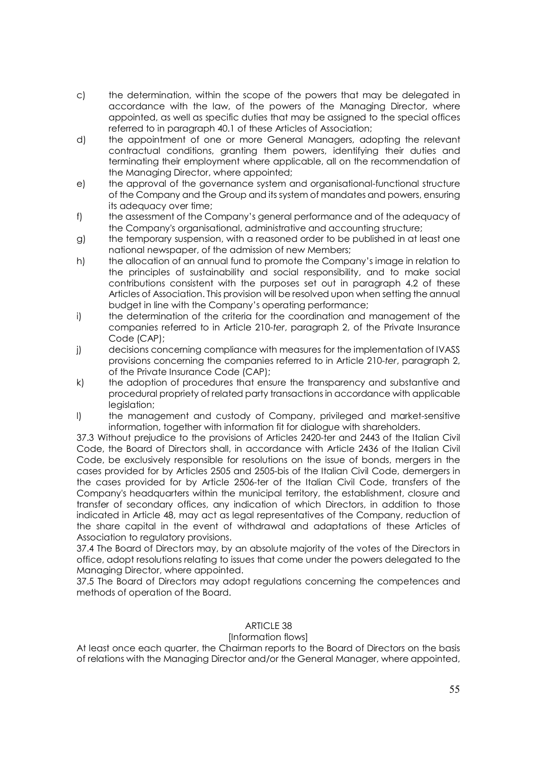- c) the determination, within the scope of the powers that may be delegated in accordance with the law, of the powers of the Managing Director, where appointed, as well as specific duties that may be assigned to the special offices referred to in paragraph 40.1 of these Articles of Association;
- d) the appointment of one or more General Managers, adopting the relevant contractual conditions, granting them powers, identifying their duties and terminating their employment where applicable, all on the recommendation of the Managing Director, where appointed;
- e) the approval of the governance system and organisational-functional structure of the Company and the Group and its system of mandates and powers, ensuring its adequacy over time;
- f) the assessment of the Company's general performance and of the adequacy of the Company's organisational, administrative and accounting structure;
- g) the temporary suspension, with a reasoned order to be published in at least one national newspaper, of the admission of new Members;
- h) the allocation of an annual fund to promote the Company's image in relation to the principles of sustainability and social responsibility, and to make social contributions consistent with the purposes set out in paragraph 4.2 of these Articles of Association. This provision will be resolved upon when setting the annual budget in line with the Company's operating performance;
- i) the determination of the criteria for the coordination and management of the companies referred to in Article 210-*ter*, paragraph 2, of the Private Insurance Code (CAP);
- j) decisions concerning compliance with measures for the implementation of IVASS provisions concerning the companies referred to in Article 210-*ter*, paragraph 2, of the Private Insurance Code (CAP);
- k) the adoption of procedures that ensure the transparency and substantive and procedural propriety of related party transactions in accordance with applicable leaislation;
- I) the management and custody of Company, privileged and market-sensitive information, together with information fit for dialogue with shareholders.

37.3 Without prejudice to the provisions of Articles 2420-ter and 2443 of the Italian Civil Code, the Board of Directors shall, in accordance with Article 2436 of the Italian Civil Code, be exclusively responsible for resolutions on the issue of bonds, mergers in the cases provided for by Articles 2505 and 2505-bis of the Italian Civil Code, demergers in the cases provided for by Article 2506-ter of the Italian Civil Code, transfers of the Company's headquarters within the municipal territory, the establishment, closure and transfer of secondary offices, any indication of which Directors, in addition to those indicated in Article 48, may act as legal representatives of the Company, reduction of the share capital in the event of withdrawal and adaptations of these Articles of Association to regulatory provisions.

37.4 The Board of Directors may, by an absolute majority of the votes of the Directors in office, adopt resolutions relating to issues that come under the powers delegated to the Managing Director, where appointed.

37.5 The Board of Directors may adopt regulations concerning the competences and methods of operation of the Board.

# ARTICLE 38

# [Information flows]

At least once each quarter, the Chairman reports to the Board of Directors on the basis of relations with the Managing Director and/or the General Manager, where appointed,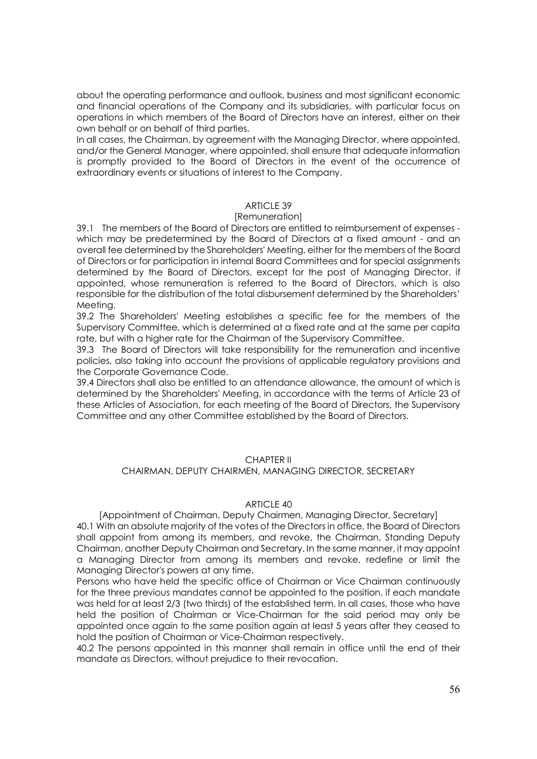about the operating performance and outlook, business and most significant economic and financial operations of the Company and its subsidiaries, with particular focus on operations in which members of the Board of Directors have an interest, either on their own behalf or on behalf of third parties.

In all cases, the Chairman, by agreement with the Managing Director, where appointed, and/or the General Manager, where appointed, shall ensure that adequate information is promptly provided to the Board of Directors in the event of the occurrence of extraordinary events or situations of interest to the Company.

# ARTICLE 39

## [Remuneration]

39.1 The members of the Board of Directors are entitled to reimbursement of expenses which may be predetermined by the Board of Directors at a fixed amount - and an overall fee determined by the Shareholders' Meeting, either for the members of the Board of Directors or for participation in internal Board Committees and for special assignments determined by the Board of Directors, except for the post of Managing Director, if appointed, whose remuneration is referred to the Board of Directors, which is also responsible for the distribution of the total disbursement determined by the Shareholders' Meeting.

39.2 The Shareholders' Meeting establishes a specific fee for the members of the Supervisory Committee, which is determined at a fixed rate and at the same per capita rate, but with a higher rate for the Chairman of the Supervisory Committee.

39.3 The Board of Directors will take responsibility for the remuneration and incentive policies, also taking into account the provisions of applicable regulatory provisions and the Corporate Governance Code.

39.4 Directors shall also be entitled to an attendance allowance, the amount of which is determined by the Shareholders' Meeting, in accordance with the terms of Article 23 of these Articles of Association, for each meeting of the Board of Directors, the Supervisory Committee and any other Committee established by the Board of Directors.

## CHAPTER II

## CHAIRMAN, DEPUTY CHAIRMEN, MANAGING DIRECTOR, SECRETARY

#### ARTICLE 40

[Appointment of Chairman, Deputy Chairmen, Managing Director, Secretary] 40.1 With an absolute majority of the votes of the Directors in office, the Board of Directors shall appoint from among its members, and revoke, the Chairman, Standing Deputy Chairman, another Deputy Chairman and Secretary. In the same manner, it may appoint a Managing Director from among its members and revoke, redefine or limit the Managing Director's powers at any time.

Persons who have held the specific office of Chairman or Vice Chairman continuously for the three previous mandates cannot be appointed to the position, if each mandate was held for at least 2/3 (two thirds) of the established term. In all cases, those who have held the position of Chairman or Vice-Chairman for the said period may only be appointed once again to the same position again at least 5 years after they ceased to hold the position of Chairman or Vice-Chairman respectively.

40.2 The persons appointed in this manner shall remain in office until the end of their mandate as Directors, without prejudice to their revocation.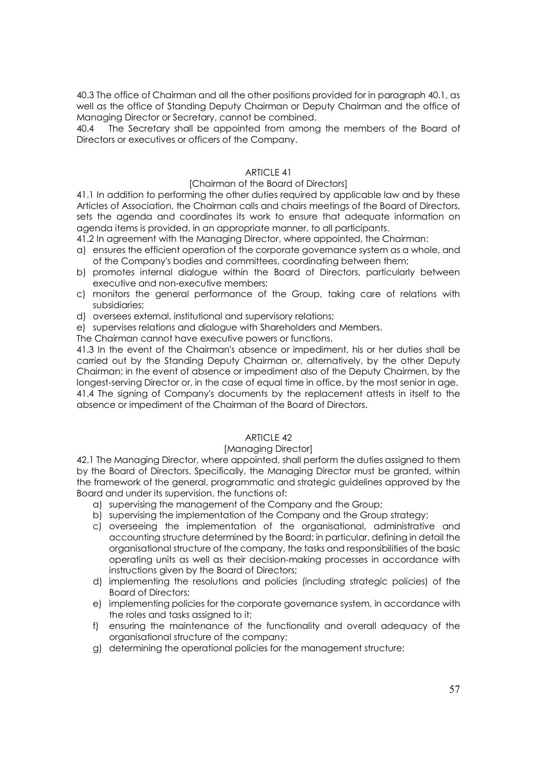40.3 The office of Chairman and all the other positions provided for in paragraph 40.1, as well as the office of Standing Deputy Chairman or Deputy Chairman and the office of Managing Director or Secretary, cannot be combined.

40.4 The Secretary shall be appointed from among the members of the Board of Directors or executives or officers of the Company.

# ARTICLE 41

## [Chairman of the Board of Directors]

41.1 In addition to performing the other duties required by applicable law and by these Articles of Association, the Chairman calls and chairs meetings of the Board of Directors, sets the agenda and coordinates its work to ensure that adequate information on agenda items is provided, in an appropriate manner, to all participants.

- 41.2 In agreement with the Managing Director, where appointed, the Chairman:
- a) ensures the efficient operation of the corporate governance system as a whole, and of the Company's bodies and committees, coordinating between them;
- b) promotes internal dialogue within the Board of Directors, particularly between executive and non-executive members;
- c) monitors the general performance of the Group, taking care of relations with subsidiaries;
- d) oversees external, institutional and supervisory relations;
- e) supervises relations and dialogue with Shareholders and Members.

The Chairman cannot have executive powers or functions.

41.3 In the event of the Chairman's absence or impediment, his or her duties shall be carried out by the Standing Deputy Chairman or, alternatively, by the other Deputy Chairman; in the event of absence or impediment also of the Deputy Chairmen, by the longest-serving Director or, in the case of equal time in office, by the most senior in age. 41.4 The signing of Company's documents by the replacement attests in itself to the absence or impediment of the Chairman of the Board of Directors.

# ARTICLE 42

#### [Managing Director]

42.1 The Managing Director, where appointed, shall perform the duties assigned to them by the Board of Directors. Specifically, the Managing Director must be granted, within the framework of the general, programmatic and strategic guidelines approved by the Board and under its supervision, the functions of:

- a) supervising the management of the Company and the Group;
- b) supervising the implementation of the Company and the Group strategy;
- c) overseeing the implementation of the organisational, administrative and accounting structure determined by the Board; in particular, defining in detail the organisational structure of the company, the tasks and responsibilities of the basic operating units as well as their decision-making processes in accordance with instructions given by the Board of Directors;
- d) implementing the resolutions and policies (including strategic policies) of the Board of Directors;
- e) implementing policies for the corporate governance system, in accordance with the roles and tasks assigned to it;
- f) ensuring the maintenance of the functionality and overall adequacy of the organisational structure of the company;
- g) determining the operational policies for the management structure;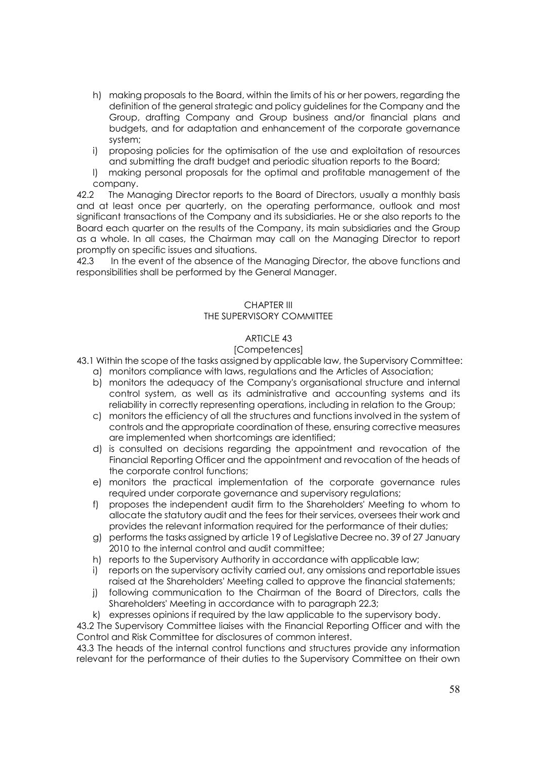- h) making proposals to the Board, within the limits of his or her powers, regarding the definition of the general strategic and policy guidelines for the Company and the Group, drafting Company and Group business and/or financial plans and budgets, and for adaptation and enhancement of the corporate governance system;
- i) proposing policies for the optimisation of the use and exploitation of resources and submitting the draft budget and periodic situation reports to the Board;
- l) making personal proposals for the optimal and profitable management of the company.

42.2 The Managing Director reports to the Board of Directors, usually a monthly basis and at least once per quarterly, on the operating performance, outlook and most significant transactions of the Company and its subsidiaries. He or she also reports to the Board each quarter on the results of the Company, its main subsidiaries and the Group as a whole. In all cases, the Chairman may call on the Managing Director to report promptly on specific issues and situations.

42.3 In the event of the absence of the Managing Director, the above functions and responsibilities shall be performed by the General Manager.

#### CHAPTER III THE SUPERVISORY COMMITTEE

# ARTICLE 43

# [Competences]

43.1 Within the scope of the tasks assigned by applicable law, the Supervisory Committee:

- a) monitors compliance with laws, regulations and the Articles of Association;
- b) monitors the adequacy of the Company's organisational structure and internal control system, as well as its administrative and accounting systems and its reliability in correctly representing operations, including in relation to the Group;
- c) monitors the efficiency of all the structures and functions involved in the system of controls and the appropriate coordination of these, ensuring corrective measures are implemented when shortcomings are identified;
- d) is consulted on decisions regarding the appointment and revocation of the Financial Reporting Officer and the appointment and revocation of the heads of the corporate control functions;
- e) monitors the practical implementation of the corporate governance rules required under corporate governance and supervisory regulations;
- f) proposes the independent audit firm to the Shareholders' Meeting to whom to allocate the statutory audit and the fees for their services, oversees their work and provides the relevant information required for the performance of their duties;
- g) performs the tasks assigned by article 19 of Legislative Decree no. 39 of 27 January 2010 to the internal control and audit committee;
- h) reports to the Supervisory Authority in accordance with applicable law;
- i) reports on the supervisory activity carried out, any omissions and reportable issues raised at the Shareholders' Meeting called to approve the financial statements;
- j) following communication to the Chairman of the Board of Directors, calls the Shareholders' Meeting in accordance with to paragraph 22.3;

k) expresses opinions if required by the law applicable to the supervisory body.

43.2 The Supervisory Committee liaises with the Financial Reporting Officer and with the Control and Risk Committee for disclosures of common interest.

43.3 The heads of the internal control functions and structures provide any information relevant for the performance of their duties to the Supervisory Committee on their own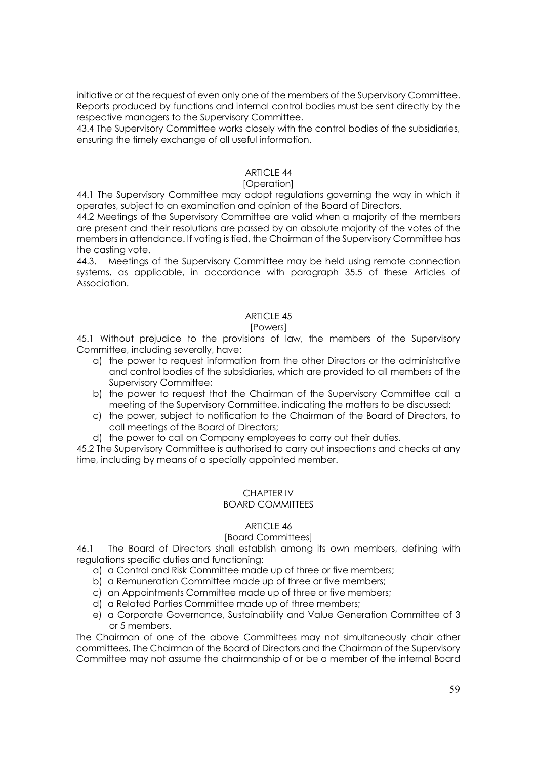initiative or at the request of even only one of the members of the Supervisory Committee. Reports produced by functions and internal control bodies must be sent directly by the respective managers to the Supervisory Committee.

43.4 The Supervisory Committee works closely with the control bodies of the subsidiaries, ensuring the timely exchange of all useful information.

# ARTICLE 44

#### [Operation]

44.1 The Supervisory Committee may adopt regulations governing the way in which it operates, subject to an examination and opinion of the Board of Directors.

44.2 Meetings of the Supervisory Committee are valid when a majority of the members are present and their resolutions are passed by an absolute majority of the votes of the members in attendance. If voting is tied, the Chairman of the Supervisory Committee has the casting vote.

44.3. Meetings of the Supervisory Committee may be held using remote connection systems, as applicable, in accordance with paragraph 35.5 of these Articles of Association.

#### ARTICLE 45

#### [Powers]

45.1 Without prejudice to the provisions of law, the members of the Supervisory Committee, including severally, have:

- a) the power to request information from the other Directors or the administrative and control bodies of the subsidiaries, which are provided to all members of the Supervisory Committee;
- b) the power to request that the Chairman of the Supervisory Committee call a meeting of the Supervisory Committee, indicating the matters to be discussed;
- c) the power, subject to notification to the Chairman of the Board of Directors, to call meetings of the Board of Directors;
- d) the power to call on Company employees to carry out their duties.

45.2 The Supervisory Committee is authorised to carry out inspections and checks at any time, including by means of a specially appointed member.

#### CHAPTER IV BOARD COMMITTEES

## ARTICLE 46

## [Board Committees]

46.1 The Board of Directors shall establish among its own members, defining with regulations specific duties and functioning:

- a) a Control and Risk Committee made up of three or five members;
- b) a Remuneration Committee made up of three or five members;
- c) an Appointments Committee made up of three or five members;
- d) a Related Parties Committee made up of three members;
- e) a Corporate Governance, Sustainability and Value Generation Committee of 3 or 5 members.

The Chairman of one of the above Committees may not simultaneously chair other committees. The Chairman of the Board of Directors and the Chairman of the Supervisory Committee may not assume the chairmanship of or be a member of the internal Board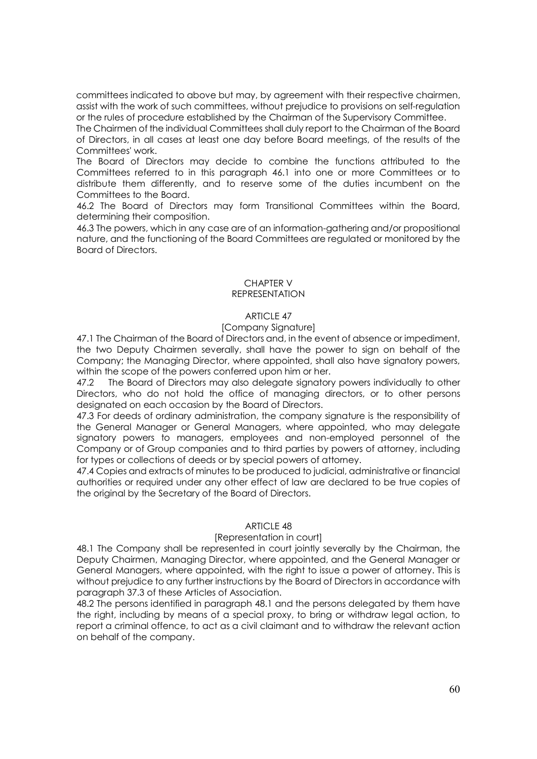committees indicated to above but may, by agreement with their respective chairmen, assist with the work of such committees, without prejudice to provisions on self-regulation or the rules of procedure established by the Chairman of the Supervisory Committee.

The Chairmen of the individual Committees shall duly report to the Chairman of the Board of Directors, in all cases at least one day before Board meetings, of the results of the Committees' work.

The Board of Directors may decide to combine the functions attributed to the Committees referred to in this paragraph 46.1 into one or more Committees or to distribute them differently, and to reserve some of the duties incumbent on the Committees to the Board.

46.2 The Board of Directors may form Transitional Committees within the Board, determining their composition.

46.3 The powers, which in any case are of an information-gathering and/or propositional nature, and the functioning of the Board Committees are regulated or monitored by the Board of Directors.

#### CHAPTER V REPRESENTATION

# ARTICLE 47

## [Company Signature]

47.1 The Chairman of the Board of Directors and, in the event of absence or impediment, the two Deputy Chairmen severally, shall have the power to sign on behalf of the Company; the Managing Director, where appointed, shall also have signatory powers, within the scope of the powers conferred upon him or her.

47.2 The Board of Directors may also delegate signatory powers individually to other Directors, who do not hold the office of managing directors, or to other persons designated on each occasion by the Board of Directors.

47.3 For deeds of ordinary administration, the company signature is the responsibility of the General Manager or General Managers, where appointed, who may delegate signatory powers to managers, employees and non-employed personnel of the Company or of Group companies and to third parties by powers of attorney, including for types or collections of deeds or by special powers of attorney.

47.4 Copies and extracts of minutes to be produced to judicial, administrative or financial authorities or required under any other effect of law are declared to be true copies of the original by the Secretary of the Board of Directors.

## ARTICLE 48

## [Representation in court]

48.1 The Company shall be represented in court jointly severally by the Chairman, the Deputy Chairmen, Managing Director, where appointed, and the General Manager or General Managers, where appointed, with the right to issue a power of attorney. This is without prejudice to any further instructions by the Board of Directors in accordance with paragraph 37.3 of these Articles of Association.

48.2 The persons identified in paragraph 48.1 and the persons delegated by them have the right, including by means of a special proxy, to bring or withdraw legal action, to report a criminal offence, to act as a civil claimant and to withdraw the relevant action on behalf of the company.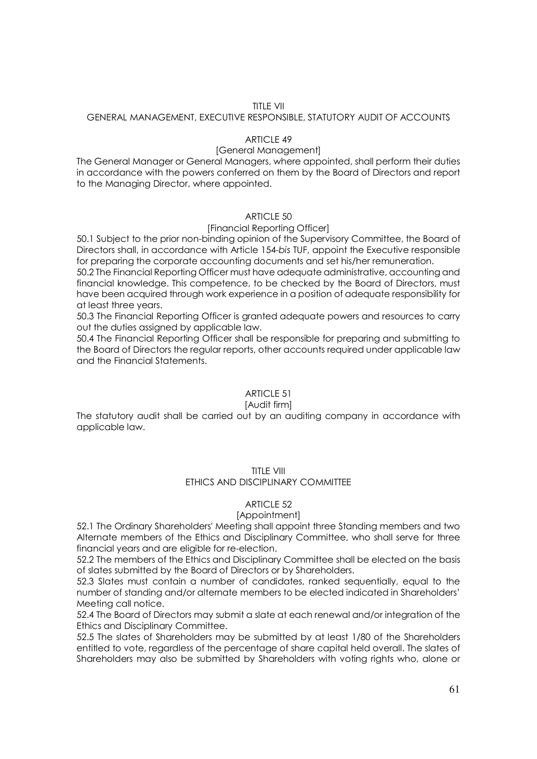## TITLE VII

## GENERAL MANAGEMENT, EXECUTIVE RESPONSIBLE, STATUTORY AUDIT OF ACCOUNTS

#### ARTICI F 49

#### [General Management]

The General Manager or General Managers, where appointed, shall perform their duties in accordance with the powers conferred on them by the Board of Directors and report to the Managing Director, where appointed.

# ARTICLE 50

#### [Financial Reporting Officer]

50.1 Subject to the prior non-binding opinion of the Supervisory Committee, the Board of Directors shall, in accordance with Article 154-*bis* TUF, appoint the Executive responsible for preparing the corporate accounting documents and set his/her remuneration.

50.2 The Financial Reporting Officer must have adequate administrative, accounting and financial knowledge. This competence, to be checked by the Board of Directors, must have been acquired through work experience in a position of adequate responsibility for at least three years.

50.3 The Financial Reporting Officer is granted adequate powers and resources to carry out the duties assigned by applicable law.

50.4 The Financial Reporting Officer shall be responsible for preparing and submitting to the Board of Directors the regular reports, other accounts required under applicable law and the Financial Statements.

## ARTICLE 51

#### [Audit firm]

The statutory audit shall be carried out by an auditing company in accordance with applicable law.

#### TITLE VIII

# ETHICS AND DISCIPLINARY COMMITTEE

## ARTICLE 52

#### [Appointment]

52.1 The Ordinary Shareholders' Meeting shall appoint three Standing members and two Alternate members of the Ethics and Disciplinary Committee, who shall serve for three financial years and are eligible for re-election.

52.2 The members of the Ethics and Disciplinary Committee shall be elected on the basis of slates submitted by the Board of Directors or by Shareholders.

52.3 Slates must contain a number of candidates, ranked sequentially, equal to the number of standing and/or alternate members to be elected indicated in Shareholders' Meeting call notice.

52.4 The Board of Directors may submit a slate at each renewal and/or integration of the Ethics and Disciplinary Committee.

52.5 The slates of Shareholders may be submitted by at least 1/80 of the Shareholders entitled to vote, regardless of the percentage of share capital held overall. The slates of Shareholders may also be submitted by Shareholders with voting rights who, alone or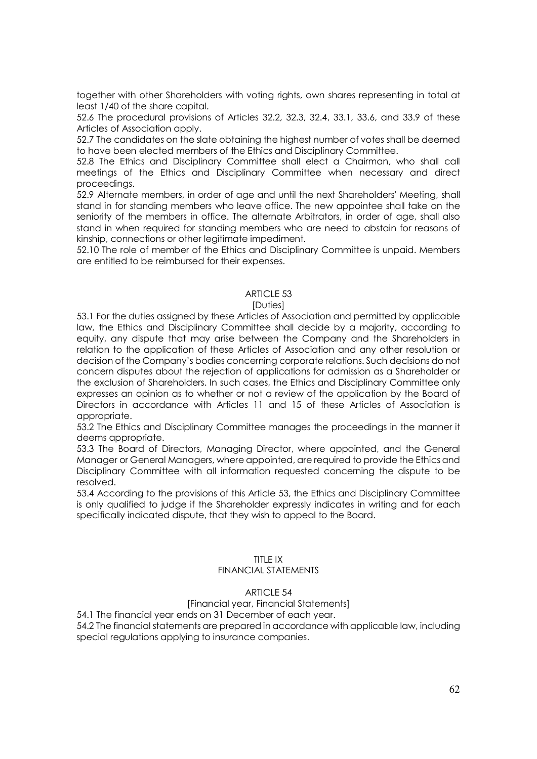together with other Shareholders with voting rights, own shares representing in total at least 1/40 of the share capital.

52.6 The procedural provisions of Articles 32.2, 32.3, 32.4, 33.1, 33.6, and 33.9 of these Articles of Association apply.

52.7 The candidates on the slate obtaining the highest number of votes shall be deemed to have been elected members of the Ethics and Disciplinary Committee.

52.8 The Ethics and Disciplinary Committee shall elect a Chairman, who shall call meetings of the Ethics and Disciplinary Committee when necessary and direct proceedings.

52.9 Alternate members, in order of age and until the next Shareholders' Meeting, shall stand in for standing members who leave office. The new appointee shall take on the seniority of the members in office. The alternate Arbitrators, in order of age, shall also stand in when required for standing members who are need to abstain for reasons of kinship, connections or other legitimate impediment.

52.10 The role of member of the Ethics and Disciplinary Committee is unpaid. Members are entitled to be reimbursed for their expenses.

## ARTICLE 53

## **[Duties]**

53.1 For the duties assigned by these Articles of Association and permitted by applicable law, the Ethics and Disciplinary Committee shall decide by a majority, according to equity, any dispute that may arise between the Company and the Shareholders in relation to the application of these Articles of Association and any other resolution or decision of the Company's bodies concerning corporate relations. Such decisions do not concern disputes about the rejection of applications for admission as a Shareholder or the exclusion of Shareholders. In such cases, the Ethics and Disciplinary Committee only expresses an opinion as to whether or not a review of the application by the Board of Directors in accordance with Articles 11 and 15 of these Articles of Association is appropriate.

53.2 The Ethics and Disciplinary Committee manages the proceedings in the manner it deems appropriate.

53.3 The Board of Directors, Managing Director, where appointed, and the General Manager or General Managers, where appointed, are required to provide the Ethics and Disciplinary Committee with all information requested concerning the dispute to be resolved.

53.4 According to the provisions of this Article 53, the Ethics and Disciplinary Committee is only qualified to judge if the Shareholder expressly indicates in writing and for each specifically indicated dispute, that they wish to appeal to the Board.

# TITLE IX

# FINANCIAL STATEMENTS

## ARTICLE 54

# [Financial year, Financial Statements]

54.1 The financial year ends on 31 December of each year.

54.2 The financial statements are prepared in accordance with applicable law, including special regulations applying to insurance companies.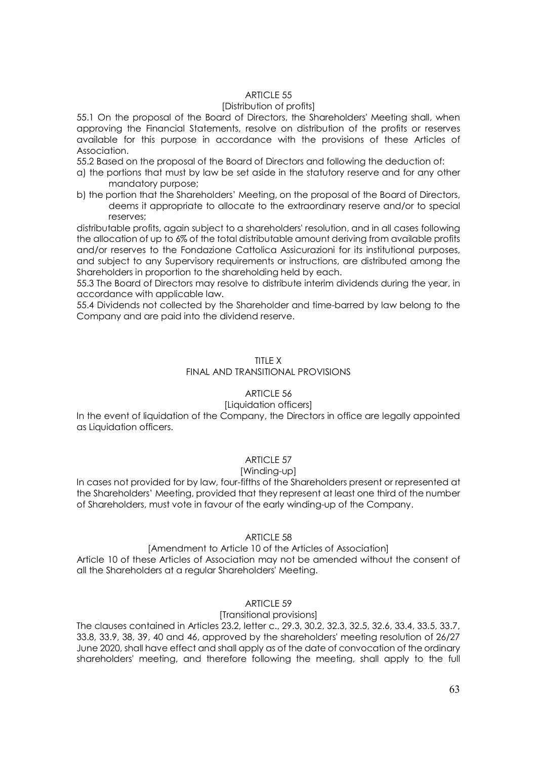# ARTICLE 55

#### [Distribution of profits]

55.1 On the proposal of the Board of Directors, the Shareholders' Meeting shall, when approving the Financial Statements, resolve on distribution of the profits or reserves available for this purpose in accordance with the provisions of these Articles of Association.

55.2 Based on the proposal of the Board of Directors and following the deduction of:

- a) the portions that must by law be set aside in the statutory reserve and for any other mandatory purpose;
- b) the portion that the Shareholders' Meeting, on the proposal of the Board of Directors, deems it appropriate to allocate to the extraordinary reserve and/or to special reserves;

distributable profits, again subject to a shareholders' resolution, and in all cases following the allocation of up to 6% of the total distributable amount deriving from available profits and/or reserves to the Fondazione Cattolica Assicurazioni for its institutional purposes, and subject to any Supervisory requirements or instructions, are distributed among the Shareholders in proportion to the shareholding held by each.

55.3 The Board of Directors may resolve to distribute interim dividends during the year, in accordance with applicable law.

55.4 Dividends not collected by the Shareholder and time-barred by law belong to the Company and are paid into the dividend reserve.

## TITLE X

## FINAL AND TRANSITIONAL PROVISIONS

# ARTICLE 56

## [Liquidation officers]

In the event of liquidation of the Company, the Directors in office are legally appointed as Liquidation officers.

# ARTICLE 57

## [Winding-up]

In cases not provided for by law, four-fifths of the Shareholders present or represented at the Shareholders' Meeting, provided that they represent at least one third of the number of Shareholders, must vote in favour of the early winding-up of the Company.

## ARTICLE 58

## [Amendment to Article 10 of the Articles of Association]

Article 10 of these Articles of Association may not be amended without the consent of all the Shareholders at a regular Shareholders' Meeting.

# ARTICLE 59

## [Transitional provisions]

The clauses contained in Articles 23.2, letter c., 29.3, 30.2, 32.3, 32.5, 32.6, 33.4, 33.5, 33.7, 33.8, 33.9, 38, 39, 40 and 46, approved by the shareholders' meeting resolution of 26/27 June 2020, shall have effect and shall apply as of the date of convocation of the ordinary shareholders' meeting, and therefore following the meeting, shall apply to the full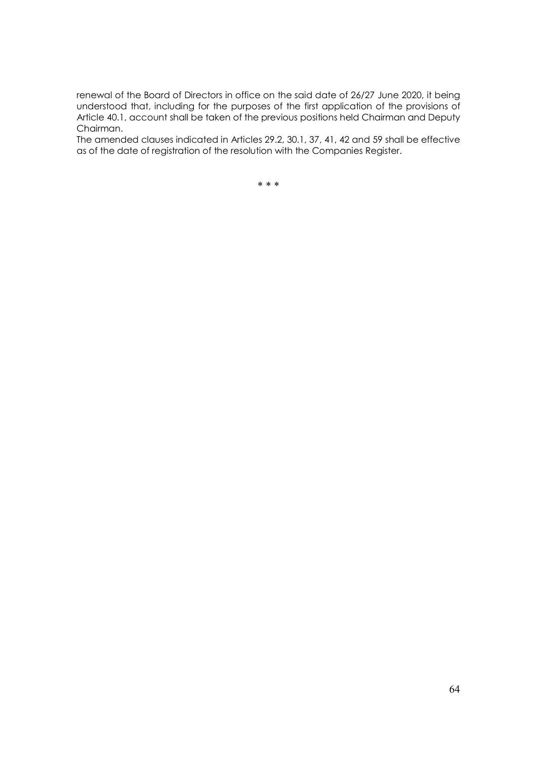renewal of the Board of Directors in office on the said date of 26/27 June 2020, it being understood that, including for the purposes of the first application of the provisions of Article 40.1, account shall be taken of the previous positions held Chairman and Deputy Chairman.

The amended clauses indicated in Articles 29.2, 30.1, 37, 41, 42 and 59 shall be effective as of the date of registration of the resolution with the Companies Register.

\* \* \*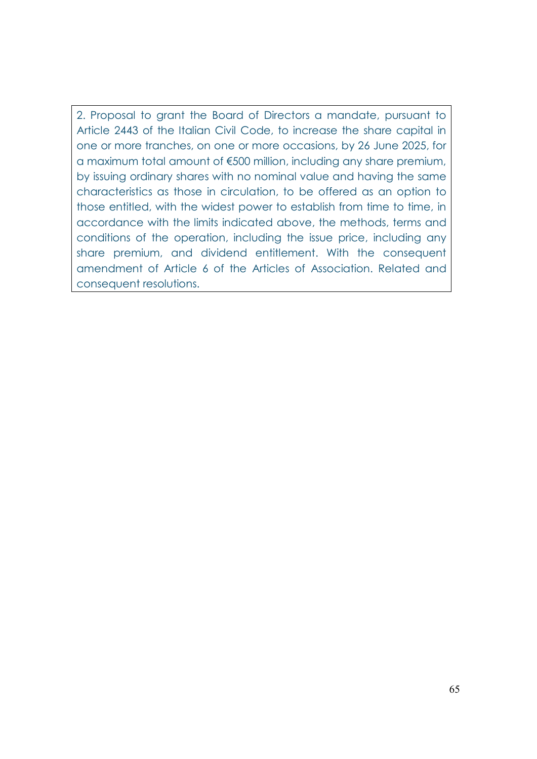2. Proposal to grant the Board of Directors a mandate, pursuant to Article 2443 of the Italian Civil Code, to increase the share capital in one or more tranches, on one or more occasions, by 26 June 2025, for a maximum total amount of €500 million, including any share premium, by issuing ordinary shares with no nominal value and having the same characteristics as those in circulation, to be offered as an option to those entitled, with the widest power to establish from time to time, in accordance with the limits indicated above, the methods, terms and conditions of the operation, including the issue price, including any share premium, and dividend entitlement. With the consequent amendment of Article 6 of the Articles of Association. Related and consequent resolutions.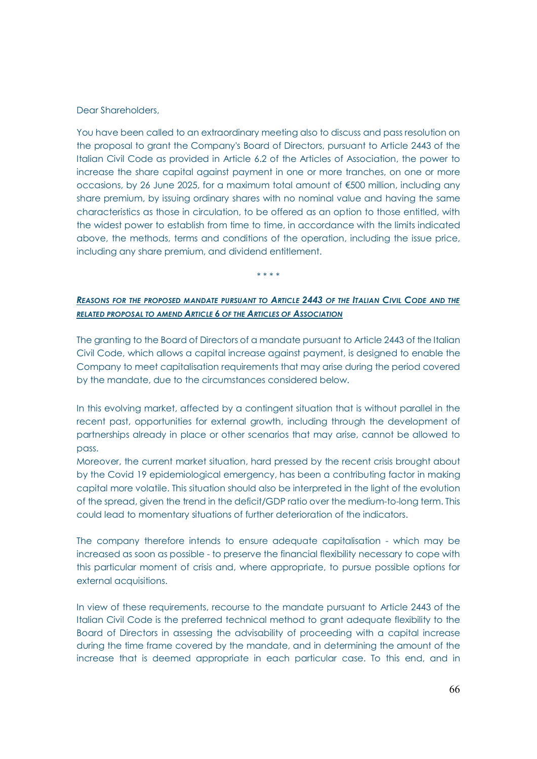#### Dear Shareholders,

You have been called to an extraordinary meeting also to discuss and pass resolution on the proposal to grant the Company's Board of Directors, pursuant to Article 2443 of the Italian Civil Code as provided in Article 6.2 of the Articles of Association, the power to increase the share capital against payment in one or more tranches, on one or more occasions, by 26 June 2025, for a maximum total amount of €500 million, including any share premium, by issuing ordinary shares with no nominal value and having the same characteristics as those in circulation, to be offered as an option to those entitled, with the widest power to establish from time to time, in accordance with the limits indicated above, the methods, terms and conditions of the operation, including the issue price, including any share premium, and dividend entitlement.

\* \* \* \*

# *REASONS FOR THE PROPOSED MANDATE PURSUANT TO ARTICLE 2443 OF THE ITALIAN CIVIL CODE AND THE RELATED PROPOSAL TO AMEND ARTICLE 6 OF THE ARTICLES OF ASSOCIATION*

The granting to the Board of Directors of a mandate pursuant to Article 2443 of the Italian Civil Code, which allows a capital increase against payment, is designed to enable the Company to meet capitalisation requirements that may arise during the period covered by the mandate, due to the circumstances considered below.

In this evolving market, affected by a contingent situation that is without parallel in the recent past, opportunities for external growth, including through the development of partnerships already in place or other scenarios that may arise, cannot be allowed to pass.

Moreover, the current market situation, hard pressed by the recent crisis brought about by the Covid 19 epidemiological emergency, has been a contributing factor in making capital more volatile. This situation should also be interpreted in the light of the evolution of the spread, given the trend in the deficit/GDP ratio over the medium-to-long term. This could lead to momentary situations of further deterioration of the indicators.

The company therefore intends to ensure adequate capitalisation - which may be increased as soon as possible - to preserve the financial flexibility necessary to cope with this particular moment of crisis and, where appropriate, to pursue possible options for external acquisitions.

In view of these requirements, recourse to the mandate pursuant to Article 2443 of the Italian Civil Code is the preferred technical method to grant adequate flexibility to the Board of Directors in assessing the advisability of proceeding with a capital increase during the time frame covered by the mandate, and in determining the amount of the increase that is deemed appropriate in each particular case. To this end, and in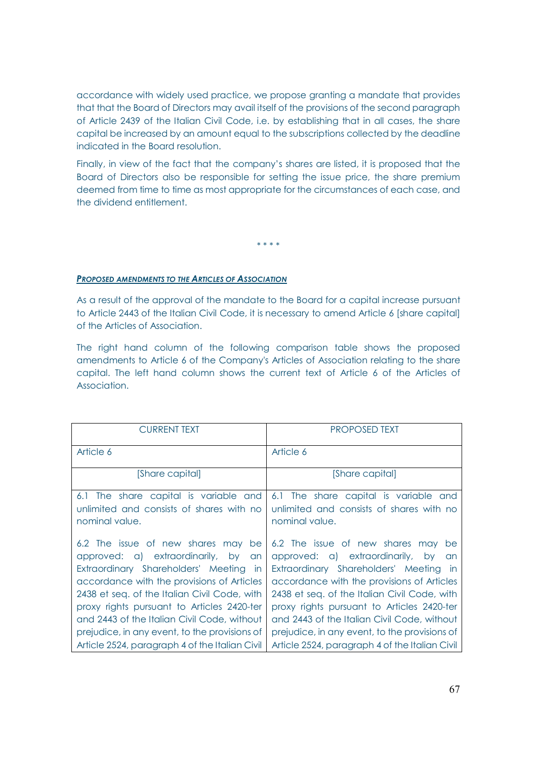accordance with widely used practice, we propose granting a mandate that provides that that the Board of Directors may avail itself of the provisions of the second paragraph of Article 2439 of the Italian Civil Code, i.e. by establishing that in all cases, the share capital be increased by an amount equal to the subscriptions collected by the deadline indicated in the Board resolution.

Finally, in view of the fact that the company's shares are listed, it is proposed that the Board of Directors also be responsible for setting the issue price, the share premium deemed from time to time as most appropriate for the circumstances of each case, and the dividend entitlement.

\* \* \* \*

## *PROPOSED AMENDMENTS TO THE ARTICLES OF ASSOCIATION*

As a result of the approval of the mandate to the Board for a capital increase pursuant to Article 2443 of the Italian Civil Code, it is necessary to amend Article 6 [share capital] of the Articles of Association.

The right hand column of the following comparison table shows the proposed amendments to Article 6 of the Company's Articles of Association relating to the share capital. The left hand column shows the current text of Article 6 of the Articles of Association.

| <b>CURRENT TEXT</b>                                                                                                                                                                                                                                                                                                                                                                                                  | <b>PROPOSED TEXT</b>                                                                                                                                                                                                                                                                                                                                                                                                 |
|----------------------------------------------------------------------------------------------------------------------------------------------------------------------------------------------------------------------------------------------------------------------------------------------------------------------------------------------------------------------------------------------------------------------|----------------------------------------------------------------------------------------------------------------------------------------------------------------------------------------------------------------------------------------------------------------------------------------------------------------------------------------------------------------------------------------------------------------------|
| Article 6                                                                                                                                                                                                                                                                                                                                                                                                            | Article 6                                                                                                                                                                                                                                                                                                                                                                                                            |
| [Share capital]                                                                                                                                                                                                                                                                                                                                                                                                      | [Share capital]                                                                                                                                                                                                                                                                                                                                                                                                      |
| 6.1 The share capital is variable and<br>unlimited and consists of shares with no<br>nominal value.                                                                                                                                                                                                                                                                                                                  | 6.1 The share capital is variable and<br>unlimited and consists of shares with no<br>nominal value.                                                                                                                                                                                                                                                                                                                  |
| 6.2 The issue of new shares may be<br>approved: a) extraordinarily, by<br>an<br>Extraordinary Shareholders' Meeting in<br>accordance with the provisions of Articles<br>2438 et seq. of the Italian Civil Code, with<br>proxy rights pursuant to Articles 2420-ter<br>and 2443 of the Italian Civil Code, without<br>prejudice, in any event, to the provisions of<br>Article 2524, paragraph 4 of the Italian Civil | 6.2 The issue of new shares may be<br>approved: a) extraordinarily, by<br>an<br>Extraordinary Shareholders' Meeting in<br>accordance with the provisions of Articles<br>2438 et seq. of the Italian Civil Code, with<br>proxy rights pursuant to Articles 2420-ter<br>and 2443 of the Italian Civil Code, without<br>prejudice, in any event, to the provisions of<br>Article 2524, paragraph 4 of the Italian Civil |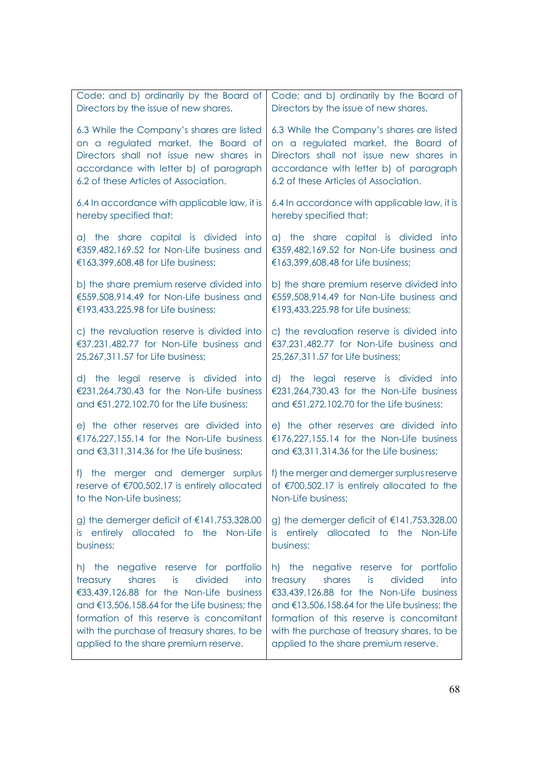| Code; and b) ordinarily by the Board of                                                                           | Code; and b) ordinarily by the Board of                                                                         |
|-------------------------------------------------------------------------------------------------------------------|-----------------------------------------------------------------------------------------------------------------|
| Directors by the issue of new shares.                                                                             | Directors by the issue of new shares.                                                                           |
| 6.3 While the Company's shares are listed                                                                         | 6.3 While the Company's shares are listed                                                                       |
| on a regulated market, the Board of                                                                               | on a regulated market, the Board of                                                                             |
| Directors shall not issue new shares in                                                                           | Directors shall not issue new shares in                                                                         |
| accordance with letter b) of paragraph                                                                            | accordance with letter b) of paragraph                                                                          |
| 6.2 of these Articles of Association.                                                                             | 6.2 of these Articles of Association.                                                                           |
| 6.4 In accordance with applicable law, it is                                                                      | 6.4 In accordance with applicable law, it is                                                                    |
| hereby specified that:                                                                                            | hereby specified that:                                                                                          |
| a) the share capital is divided into                                                                              | a) the share capital is divided into                                                                            |
| €359,482,169.52 for Non-Life business and                                                                         | €359,482,169.52 for Non-Life business and                                                                       |
| €163,399,608.48 for Life business;                                                                                | €163,399,608.48 for Life business;                                                                              |
| b) the share premium reserve divided into                                                                         | b) the share premium reserve divided into                                                                       |
| €559,508,914.49 for Non-Life business and                                                                         | €559,508,914.49 for Non-Life business and                                                                       |
| €193,433,225.98 for Life business;                                                                                | €193,433,225.98 for Life business;                                                                              |
| c) the revaluation reserve is divided into                                                                        | c) the revaluation reserve is divided into                                                                      |
| €37,231,482.77 for Non-Life business and                                                                          | €37,231,482.77 for Non-Life business and                                                                        |
| 25,267,311.57 for Life business;                                                                                  | 25,267,311.57 for Life business;                                                                                |
| d) the legal reserve is divided into                                                                              | d) the legal reserve is divided into                                                                            |
| €231,264,730.43 for the Non-Life business                                                                         | €231,264,730.43 for the Non-Life business                                                                       |
| and €51,272,102.70 for the Life business;                                                                         | and €51,272,102.70 for the Life business;                                                                       |
| e) the other reserves are divided into                                                                            | e) the other reserves are divided into                                                                          |
| €176,227,155.14 for the Non-Life business                                                                         | €176,227,155.14 for the Non-Life business                                                                       |
| and €3,311,314.36 for the Life business;                                                                          | and €3,311,314.36 for the Life business;                                                                        |
| the merger and demerger surplus<br>f<br>reserve of €700,502.17 is entirely allocated<br>to the Non-Life business; | f) the merger and demerger surplus reserve<br>of €700,502.17 is entirely allocated to the<br>Non-Life business; |
| g) the demerger deficit of $\epsilon$ 141,753,328.00<br>entirely allocated to the Non-Life<br>is -<br>business;   | g) the demerger deficit of $\epsilon$ 141,753,328.00<br>is entirely allocated to the Non-Life<br>business;      |
| negative reserve for portfolio                                                                                    | the negative reserve for portfolio                                                                              |
| h) the                                                                                                            | h)                                                                                                              |
| shares                                                                                                            | shares                                                                                                          |
| is                                                                                                                | is                                                                                                              |
| divided                                                                                                           | divided                                                                                                         |
| treasury                                                                                                          | into                                                                                                            |
| into                                                                                                              | treasury                                                                                                        |
| €33,439,126.88 for the Non-Life business                                                                          | €33,439,126.88 for the Non-Life business                                                                        |
| and €13,506,158.64 for the Life business; the                                                                     | and €13,506,158.64 for the Life business; the                                                                   |
| formation of this reserve is concomitant                                                                          | formation of this reserve is concomitant                                                                        |
| with the purchase of treasury shares, to be                                                                       | with the purchase of treasury shares, to be                                                                     |
| applied to the share premium reserve.                                                                             | applied to the share premium reserve.                                                                           |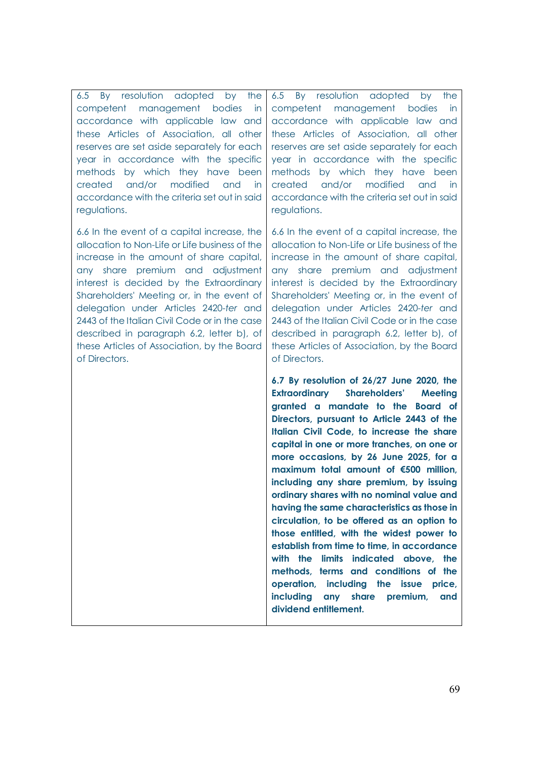6.5 By resolution adopted by the competent management bodies in accordance with applicable law and these Articles of Association, all other reserves are set aside separately for each year in accordance with the specific methods by which they have been created and/or modified and in accordance with the criteria set out in said regulations.

6.6 In the event of a capital increase, the allocation to Non-Life or Life business of the increase in the amount of share capital, any share premium and adjustment interest is decided by the Extraordinary Shareholders' Meeting or, in the event of delegation under Articles 2420-*ter* and 2443 of the Italian Civil Code or in the case described in paragraph 6.2, letter b), of these Articles of Association, by the Board of Directors.

6.5 By resolution adopted by the competent management bodies in accordance with applicable law and these Articles of Association, all other reserves are set aside separately for each year in accordance with the specific methods by which they have been created and/or modified and in accordance with the criteria set out in said regulations.

6.6 In the event of a capital increase, the allocation to Non-Life or Life business of the increase in the amount of share capital, any share premium and adjustment interest is decided by the Extraordinary Shareholders' Meeting or, in the event of delegation under Articles 2420-*ter* and 2443 of the Italian Civil Code or in the case described in paragraph 6.2, letter b), of these Articles of Association, by the Board of Directors.

**6.7 By resolution of 26/27 June 2020, the Extraordinary Shareholders' Meeting granted a mandate to the Board of Directors, pursuant to Article 2443 of the Italian Civil Code, to increase the share capital in one or more tranches, on one or more occasions, by 26 June 2025, for a maximum total amount of €500 million, including any share premium, by issuing ordinary shares with no nominal value and having the same characteristics as those in circulation, to be offered as an option to those entitled, with the widest power to establish from time to time, in accordance with the limits indicated above, the methods, terms and conditions of the operation, including the issue price, including any share premium, and dividend entitlement.**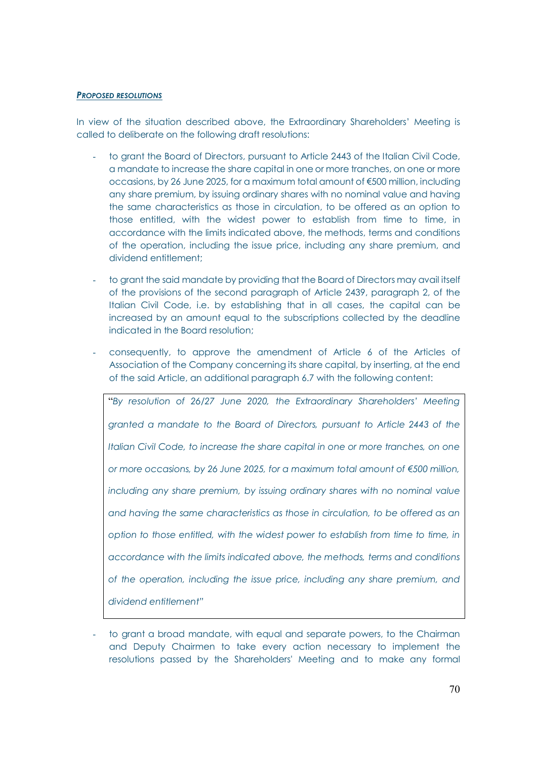#### *PROPOSED RESOLUTIONS*

In view of the situation described above, the Extraordinary Shareholders' Meeting is called to deliberate on the following draft resolutions:

- to grant the Board of Directors, pursuant to Article 2443 of the Italian Civil Code, a mandate to increase the share capital in one or more tranches, on one or more occasions, by 26 June 2025, for a maximum total amount of €500 million, including any share premium, by issuing ordinary shares with no nominal value and having the same characteristics as those in circulation, to be offered as an option to those entitled, with the widest power to establish from time to time, in accordance with the limits indicated above, the methods, terms and conditions of the operation, including the issue price, including any share premium, and dividend entitlement;
- to grant the said mandate by providing that the Board of Directors may avail itself of the provisions of the second paragraph of Article 2439, paragraph 2, of the Italian Civil Code, i.e. by establishing that in all cases, the capital can be increased by an amount equal to the subscriptions collected by the deadline indicated in the Board resolution;
- consequently, to approve the amendment of Article 6 of the Articles of Association of the Company concerning its share capital, by inserting, at the end of the said Article, an additional paragraph 6.7 with the following content:

"*By resolution of 26/27 June 2020, the Extraordinary Shareholders' Meeting granted a mandate to the Board of Directors, pursuant to Article 2443 of the Italian Civil Code, to increase the share capital in one or more tranches, on one or more occasions, by 26 June 2025, for a maximum total amount of €500 million, including any share premium, by issuing ordinary shares with no nominal value and having the same characteristics as those in circulation, to be offered as an option to those entitled, with the widest power to establish from time to time, in accordance with the limits indicated above, the methods, terms and conditions of the operation, including the issue price, including any share premium, and dividend entitlement"*

to grant a broad mandate, with equal and separate powers, to the Chairman and Deputy Chairmen to take every action necessary to implement the resolutions passed by the Shareholders' Meeting and to make any formal